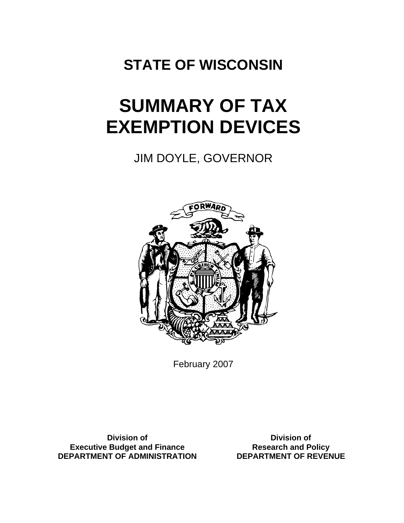## **STATE OF WISCONSIN**

# **SUMMARY OF TAX EXEMPTION DEVICES**

JIM DOYLE, GOVERNOR



February 2007

**Division of Executive Budget and Finance DEPARTMENT OF ADMINISTRATION**

**Division of Research and Policy DEPARTMENT OF REVENUE**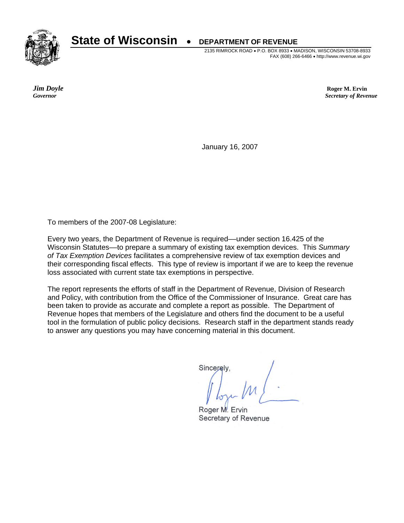**State of Wisconsin** • **DEPARTMENT OF REVENUE** 



2135 RIMROCK ROAD • P.O. BOX 8933 • MADISON, WISCONSIN 53708-8933 FAX (608) 266-6466 • http://www.revenue.wi.gov

*Jim Doyle* **Roger M. Ervin** *Governor**Secretary of Revenue*

January 16, 2007

To members of the 2007-08 Legislature:

Every two years, the Department of Revenue is required––under section 16.425 of the Wisconsin Statutes––to prepare a summary of existing tax exemption devices. This *Summary of Tax Exemption Devices* facilitates a comprehensive review of tax exemption devices and their corresponding fiscal effects. This type of review is important if we are to keep the revenue loss associated with current state tax exemptions in perspective.

The report represents the efforts of staff in the Department of Revenue, Division of Research and Policy, with contribution from the Office of the Commissioner of Insurance. Great care has been taken to provide as accurate and complete a report as possible. The Department of Revenue hopes that members of the Legislature and others find the document to be a useful tool in the formulation of public policy decisions. Research staff in the department stands ready to answer any questions you may have concerning material in this document.

Sincerely

Roger M. Ervin Secretary of Revenue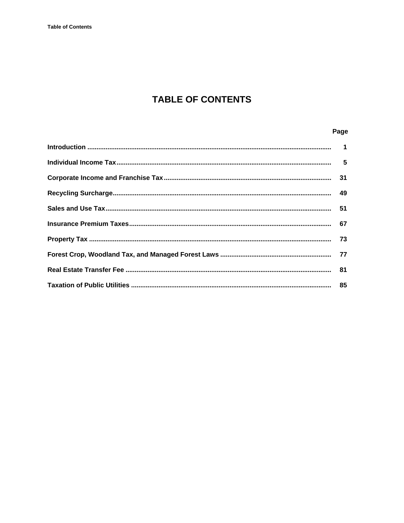## **TABLE OF CONTENTS**

### Page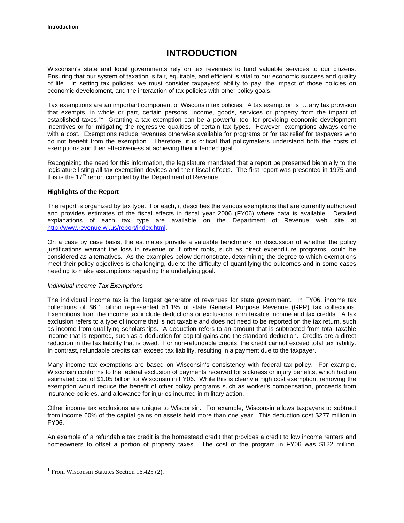## **INTRODUCTION**

<span id="page-3-0"></span>Wisconsin's state and local governments rely on tax revenues to fund valuable services to our citizens. Ensuring that our system of taxation is fair, equitable, and efficient is vital to our economic success and quality of life. In setting tax policies, we must consider taxpayers' ability to pay, the impact of those policies on economic development, and the interaction of tax policies with other policy goals.

Tax exemptions are an important component of Wisconsin tax policies. A tax exemption is "…any tax provision that exempts, in whole or part, certain persons, income, goods, services or property from the impact of established taxes."<sup>1</sup> Granting a tax exemption can be a powerful tool for providing economic development incentives or for mitigating the regressive qualities of certain tax types. However, exemptions always come with a cost. Exemptions reduce revenues otherwise available for programs or for tax relief for taxpayers who do not benefit from the exemption. Therefore, it is critical that policymakers understand both the costs of exemptions and their effectiveness at achieving their intended goal.

Recognizing the need for this information, the legislature mandated that a report be presented biennially to the legislature listing all tax exemption devices and their fiscal effects. The first report was presented in 1975 and this is the  $17<sup>th</sup>$  report compiled by the Department of Revenue.

#### **Highlights of the Report**

The report is organized by tax type. For each, it describes the various exemptions that are currently authorized and provides estimates of the fiscal effects in fiscal year 2006 (FY06) where data is available. Detailed explanations of each tax type are available on the Department of Revenue web site at [http://www.revenue.wi.us/report/index.html.](http://www.revenue.wi.us/report/index.html)

On a case by case basis, the estimates provide a valuable benchmark for discussion of whether the policy justifications warrant the loss in revenue or if other tools, such as direct expenditure programs, could be considered as alternatives. As the examples below demonstrate, determining the degree to which exemptions meet their policy objectives is challenging, due to the difficulty of quantifying the outcomes and in some cases needing to make assumptions regarding the underlying goal.

#### *Individual Income Tax Exemptions*

The individual income tax is the largest generator of revenues for state government. In FY06, income tax collections of \$6.1 billion represented 51.1% of state General Purpose Revenue (GPR) tax collections. Exemptions from the income tax include deductions or exclusions from taxable income and tax credits. A tax exclusion refers to a type of income that is not taxable and does not need to be reported on the tax return, such as income from qualifying scholarships. A deduction refers to an amount that is subtracted from total taxable income that is reported, such as a deduction for capital gains and the standard deduction. Credits are a direct reduction in the tax liability that is owed. For non-refundable credits, the credit cannot exceed total tax liability. In contrast, refundable credits can exceed tax liability, resulting in a payment due to the taxpayer.

Many income tax exemptions are based on Wisconsin's consistency with federal tax policy. For example, Wisconsin conforms to the federal exclusion of payments received for sickness or injury benefits, which had an estimated cost of \$1.05 billion for Wisconsin in FY06. While this is clearly a high cost exemption, removing the exemption would reduce the benefit of other policy programs such as worker's compensation, proceeds from insurance policies, and allowance for injuries incurred in military action.

Other income tax exclusions are unique to Wisconsin. For example, Wisconsin allows taxpayers to subtract from income 60% of the capital gains on assets held more than one year. This deduction cost \$277 million in FY06.

An example of a refundable tax credit is the homestead credit that provides a credit to low income renters and homeowners to offset a portion of property taxes. The cost of the program in FY06 was \$122 million.

 $\overline{a}$ 

<sup>&</sup>lt;sup>1</sup> From Wisconsin Statutes Section 16.425 (2).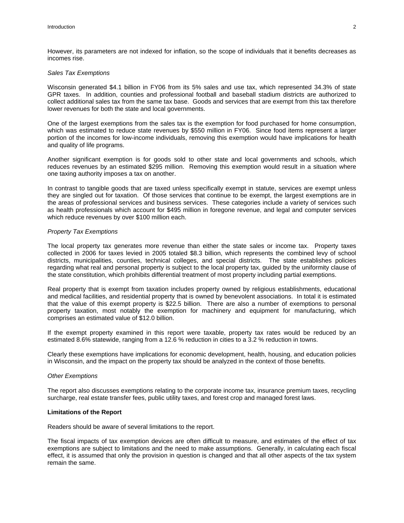However, its parameters are not indexed for inflation, so the scope of individuals that it benefits decreases as incomes rise.

#### *Sales Tax Exemptions*

Wisconsin generated \$4.1 billion in FY06 from its 5% sales and use tax, which represented 34.3% of state GPR taxes. In addition, counties and professional football and baseball stadium districts are authorized to collect additional sales tax from the same tax base. Goods and services that are exempt from this tax therefore lower revenues for both the state and local governments.

One of the largest exemptions from the sales tax is the exemption for food purchased for home consumption, which was estimated to reduce state revenues by \$550 million in FY06. Since food items represent a larger portion of the incomes for low-income individuals, removing this exemption would have implications for health and quality of life programs.

Another significant exemption is for goods sold to other state and local governments and schools, which reduces revenues by an estimated \$295 million. Removing this exemption would result in a situation where one taxing authority imposes a tax on another.

In contrast to tangible goods that are taxed unless specifically exempt in statute, services are exempt unless they are singled out for taxation. Of those services that continue to be exempt, the largest exemptions are in the areas of professional services and business services. These categories include a variety of services such as health professionals which account for \$495 million in foregone revenue, and legal and computer services which reduce revenues by over \$100 million each.

#### *Property Tax Exemptions*

The local property tax generates more revenue than either the state sales or income tax. Property taxes collected in 2006 for taxes levied in 2005 totaled \$8.3 billion, which represents the combined levy of school districts, municipalities, counties, technical colleges, and special districts. The state establishes policies regarding what real and personal property is subject to the local property tax, guided by the uniformity clause of the state constitution, which prohibits differential treatment of most property including partial exemptions.

Real property that is exempt from taxation includes property owned by religious establishments, educational and medical facilities, and residential property that is owned by benevolent associations. In total it is estimated that the value of this exempt property is \$22.5 billion. There are also a number of exemptions to personal property taxation, most notably the exemption for machinery and equipment for manufacturing, which comprises an estimated value of \$12.0 billion.

If the exempt property examined in this report were taxable, property tax rates would be reduced by an estimated 8.6% statewide, ranging from a 12.6 % reduction in cities to a 3.2 % reduction in towns.

Clearly these exemptions have implications for economic development, health, housing, and education policies in Wisconsin, and the impact on the property tax should be analyzed in the context of those benefits.

#### *Other Exemptions*

The report also discusses exemptions relating to the corporate income tax, insurance premium taxes, recycling surcharge, real estate transfer fees, public utility taxes, and forest crop and managed forest laws.

#### **Limitations of the Report**

Readers should be aware of several limitations to the report.

The fiscal impacts of tax exemption devices are often difficult to measure, and estimates of the effect of tax exemptions are subject to limitations and the need to make assumptions. Generally, in calculating each fiscal effect, it is assumed that only the provision in question is changed and that all other aspects of the tax system remain the same.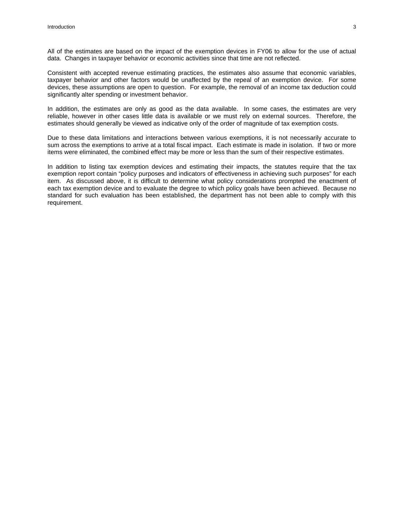All of the estimates are based on the impact of the exemption devices in FY06 to allow for the use of actual data. Changes in taxpayer behavior or economic activities since that time are not reflected.

Consistent with accepted revenue estimating practices, the estimates also assume that economic variables, taxpayer behavior and other factors would be unaffected by the repeal of an exemption device. For some devices, these assumptions are open to question. For example, the removal of an income tax deduction could significantly alter spending or investment behavior.

In addition, the estimates are only as good as the data available. In some cases, the estimates are very reliable, however in other cases little data is available or we must rely on external sources. Therefore, the estimates should generally be viewed as indicative only of the order of magnitude of tax exemption costs.

Due to these data limitations and interactions between various exemptions, it is not necessarily accurate to sum across the exemptions to arrive at a total fiscal impact. Each estimate is made in isolation. If two or more items were eliminated, the combined effect may be more or less than the sum of their respective estimates.

In addition to listing tax exemption devices and estimating their impacts, the statutes require that the tax exemption report contain "policy purposes and indicators of effectiveness in achieving such purposes" for each item. As discussed above, it is difficult to determine what policy considerations prompted the enactment of each tax exemption device and to evaluate the degree to which policy goals have been achieved. Because no standard for such evaluation has been established, the department has not been able to comply with this requirement.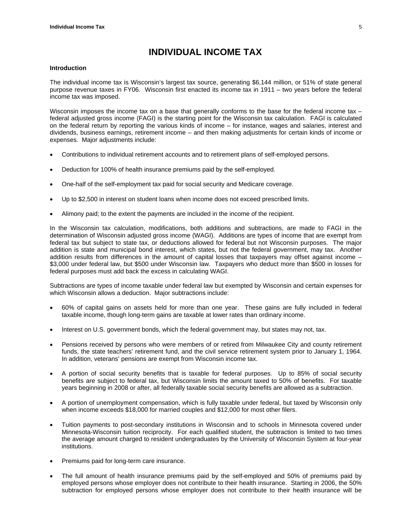## **INDIVIDUAL INCOME TAX**

#### <span id="page-6-0"></span>**Introduction**

The individual income tax is Wisconsin's largest tax source, generating \$6,144 million, or 51% of state general purpose revenue taxes in FY06. Wisconsin first enacted its income tax in 1911 – two years before the federal income tax was imposed.

Wisconsin imposes the income tax on a base that generally conforms to the base for the federal income tax – federal adjusted gross income (FAGI) is the starting point for the Wisconsin tax calculation. FAGI is calculated on the federal return by reporting the various kinds of income – for instance, wages and salaries, interest and dividends, business earnings, retirement income – and then making adjustments for certain kinds of income or expenses. Major adjustments include:

- Contributions to individual retirement accounts and to retirement plans of self-employed persons.
- Deduction for 100% of health insurance premiums paid by the self-employed.
- One-half of the self-employment tax paid for social security and Medicare coverage.
- Up to \$2,500 in interest on student loans when income does not exceed prescribed limits.
- Alimony paid; to the extent the payments are included in the income of the recipient.

In the Wisconsin tax calculation, modifications, both additions and subtractions, are made to FAGI in the determination of Wisconsin adjusted gross income (WAGI). Additions are types of income that are exempt from federal tax but subject to state tax, or deductions allowed for federal but not Wisconsin purposes. The major addition is state and municipal bond interest, which states, but not the federal government, may tax. Another addition results from differences in the amount of capital losses that taxpayers may offset against income – \$3,000 under federal law, but \$500 under Wisconsin law. Taxpayers who deduct more than \$500 in losses for federal purposes must add back the excess in calculating WAGI.

Subtractions are types of income taxable under federal law but exempted by Wisconsin and certain expenses for which Wisconsin allows a deduction. Major subtractions include:

- 60% of capital gains on assets held for more than one year. These gains are fully included in federal taxable income, though long-term gains are taxable at lower rates than ordinary income.
- Interest on U.S. government bonds, which the federal government may, but states may not, tax.
- Pensions received by persons who were members of or retired from Milwaukee City and county retirement funds, the state teachers' retirement fund, and the civil service retirement system prior to January 1, 1964. In addition, veterans' pensions are exempt from Wisconsin income tax.
- A portion of social security benefits that is taxable for federal purposes. Up to 85% of social security benefits are subject to federal tax, but Wisconsin limits the amount taxed to 50% of benefits. For taxable years beginning in 2008 or after, all federally taxable social security benefits are allowed as a subtraction.
- A portion of unemployment compensation, which is fully taxable under federal, but taxed by Wisconsin only when income exceeds \$18,000 for married couples and \$12,000 for most other filers.
- Tuition payments to post-secondary institutions in Wisconsin and to schools in Minnesota covered under Minnesota-Wisconsin tuition reciprocity. For each qualified student, the subtraction is limited to two times the average amount charged to resident undergraduates by the University of Wisconsin System at four-year institutions.
- Premiums paid for long-term care insurance.
- The full amount of health insurance premiums paid by the self-employed and 50% of premiums paid by employed persons whose employer does not contribute to their health insurance. Starting in 2006, the 50% subtraction for employed persons whose employer does not contribute to their health insurance will be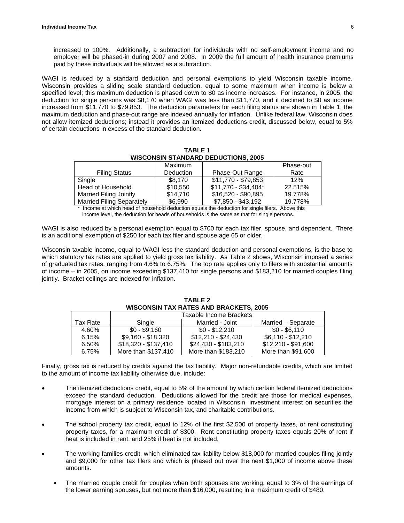increased to 100%. Additionally, a subtraction for individuals with no self-employment income and no employer will be phased-in during 2007 and 2008. In 2009 the full amount of health insurance premiums paid by these individuals will be allowed as a subtraction.

WAGI is reduced by a standard deduction and personal exemptions to yield Wisconsin taxable income. Wisconsin provides a sliding scale standard deduction, equal to some maximum when income is below a specified level; this maximum deduction is phased down to \$0 as income increases. For instance, in 2005, the deduction for single persons was \$8,170 when WAGI was less than \$11,770, and it declined to \$0 as income increased from \$11,770 to \$79,853. The deduction parameters for each filing status are shown in Table 1; the maximum deduction and phase-out range are indexed annually for inflation. Unlike federal law, Wisconsin does not allow itemized deductions; instead it provides an itemized deductions credit, discussed below, equal to 5% of certain deductions in excess of the standard deduction.

**WISCONSIN STANDARD DEDUCTIONS, 2005** Filing Status Maximum Deduction | Phase-Out Range Phase-out Rate Single \$8,170 \$11,770 - \$79,853 12% Head of Household  $\begin{array}{|l} \hline \end{array}$  \$10,550  $\begin{array}{|l} \hline \end{array}$  \$11,770 - \$34,404\*  $\begin{array}{|l} \hline \end{array}$  22.515% Married Filing Jointly \$14,710 \$16,520 - \$90,895 19.778%<br>Married Filing Separately \$6.990 \$7.850 - \$43.192 19.778% Married Filing Separately | \$6,990 | \$7,850 - \$43,192 | 19.778%

**TABLE 1** 

Income at which head of household deduction equals the deduction for single filers. Above this income level, the deduction for heads of households is the same as that for single persons.

WAGI is also reduced by a personal exemption equal to \$700 for each tax filer, spouse, and dependent. There is an additional exemption of \$250 for each tax filer and spouse age 65 or older.

Wisconsin taxable income, equal to WAGI less the standard deduction and personal exemptions, is the base to which statutory tax rates are applied to yield gross tax liability. As Table 2 shows, Wisconsin imposed a series of graduated tax rates, ranging from 4.6% to 6.75%. The top rate applies only to filers with substantial amounts of income – in 2005, on income exceeding \$137,410 for single persons and \$183,210 for married couples filing jointly. Bracket ceilings are indexed for inflation.

|          | Taxable Income Brackets |                      |                     |
|----------|-------------------------|----------------------|---------------------|
| Tax Rate | Single                  | Married - Joint      | Married - Separate  |
| 4.60%    | $$0 - $9.160$           | $$0 - $12.210$       | $$0 - $6.110$       |
| 6.15%    | $$9,160 - $18,320$      | \$12,210 - \$24,430  | $$6,110 - $12,210$  |
| 6.50%    | \$18,320 - \$137,410    | \$24,430 - \$183,210 | $$12,210 - $91,600$ |
| 6.75%    | More than \$137,410     | More than \$183,210  | More than \$91,600  |

**TABLE 2 WISCONSIN TAX RATES AND BRACKETS, 2005**

Finally, gross tax is reduced by credits against the tax liability. Major non-refundable credits, which are limited to the amount of income tax liability otherwise due, include:

- The itemized deductions credit, equal to 5% of the amount by which certain federal itemized deductions exceed the standard deduction. Deductions allowed for the credit are those for medical expenses, mortgage interest on a primary residence located in Wisconsin, investment interest on securities the income from which is subject to Wisconsin tax, and charitable contributions.
- The school property tax credit, equal to 12% of the first \$2,500 of property taxes, or rent constituting property taxes, for a maximum credit of \$300. Rent constituting property taxes equals 20% of rent if heat is included in rent, and 25% if heat is not included.
- The working families credit, which eliminated tax liability below \$18,000 for married couples filing jointly and \$9,000 for other tax filers and which is phased out over the next \$1,000 of income above these amounts.
	- The married couple credit for couples when both spouses are working, equal to 3% of the earnings of the lower earning spouses, but not more than \$16,000, resulting in a maximum credit of \$480.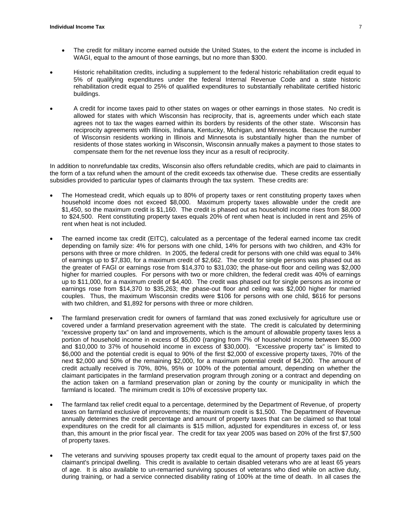- The credit for military income earned outside the United States, to the extent the income is included in WAGI, equal to the amount of those earnings, but no more than \$300.
- Historic rehabilitation credits, including a supplement to the federal historic rehabilitation credit equal to 5% of qualifying expenditures under the federal Internal Revenue Code and a state historic rehabilitation credit equal to 25% of qualified expenditures to substantially rehabilitate certified historic buildings.
- A credit for income taxes paid to other states on wages or other earnings in those states. No credit is allowed for states with which Wisconsin has reciprocity, that is, agreements under which each state agrees not to tax the wages earned within its borders by residents of the other state. Wisconsin has reciprocity agreements with Illinois, Indiana, Kentucky, Michigan, and Minnesota. Because the number of Wisconsin residents working in Illinois and Minnesota is substantially higher than the number of residents of those states working in Wisconsin, Wisconsin annually makes a payment to those states to compensate them for the net revenue loss they incur as a result of reciprocity.

In addition to nonrefundable tax credits, Wisconsin also offers refundable credits, which are paid to claimants in the form of a tax refund when the amount of the credit exceeds tax otherwise due. These credits are essentially subsidies provided to particular types of claimants through the tax system. These credits are:

- The Homestead credit, which equals up to 80% of property taxes or rent constituting property taxes when household income does not exceed \$8,000. Maximum property taxes allowable under the credit are \$1,450, so the maximum credit is \$1,160. The credit is phased out as household income rises from \$8,000 to \$24,500. Rent constituting property taxes equals 20% of rent when heat is included in rent and 25% of rent when heat is not included.
- The earned income tax credit (EITC), calculated as a percentage of the federal earned income tax credit depending on family size: 4% for persons with one child, 14% for persons with two children, and 43% for persons with three or more children. In 2005, the federal credit for persons with one child was equal to 34% of earnings up to \$7,830, for a maximum credit of \$2,662. The credit for single persons was phased out as the greater of FAGI or earnings rose from \$14,370 to \$31,030; the phase-out floor and ceiling was \$2,000 higher for married couples. For persons with two or more children, the federal credit was 40% of earnings up to \$11,000, for a maximum credit of \$4,400. The credit was phased out for single persons as income or earnings rose from \$14,370 to \$35,263; the phase-out floor and ceiling was \$2,000 higher for married couples. Thus, the maximum Wisconsin credits were \$106 for persons with one child, \$616 for persons with two children, and \$1,892 for persons with three or more children.
- The farmland preservation credit for owners of farmland that was zoned exclusively for agriculture use or covered under a farmland preservation agreement with the state. The credit is calculated by determining "excessive property tax" on land and improvements, which is the amount of allowable property taxes less a portion of household income in excess of \$5,000 (ranging from 7% of household income between \$5,000 and \$10,000 to 37% of household income in excess of \$30,000). "Excessive property tax" is limited to \$6,000 and the potential credit is equal to 90% of the first \$2,000 of excessive property taxes, 70% of the next \$2,000 and 50% of the remaining \$2,000, for a maximum potential credit of \$4,200. The amount of credit actually received is 70%, 80%, 95% or 100% of the potential amount, depending on whether the claimant participates in the farmland preservation program through zoning or a contract and depending on the action taken on a farmland preservation plan or zoning by the county or municipality in which the farmland is located. The minimum credit is 10% of excessive property tax.
- The farmland tax relief credit equal to a percentage, determined by the Department of Revenue, of property taxes on farmland exclusive of improvements; the maximum credit is \$1,500. The Department of Revenue annually determines the credit percentage and amount of property taxes that can be claimed so that total expenditures on the credit for all claimants is \$15 million, adjusted for expenditures in excess of, or less than, this amount in the prior fiscal year. The credit for tax year 2005 was based on 20% of the first \$7,500 of property taxes.
- The veterans and surviving spouses property tax credit equal to the amount of property taxes paid on the claimant's principal dwelling. This credit is available to certain disabled veterans who are at least 65 years of age. It is also available to un-remarried surviving spouses of veterans who died while on active duty, during training, or had a service connected disability rating of 100% at the time of death. In all cases the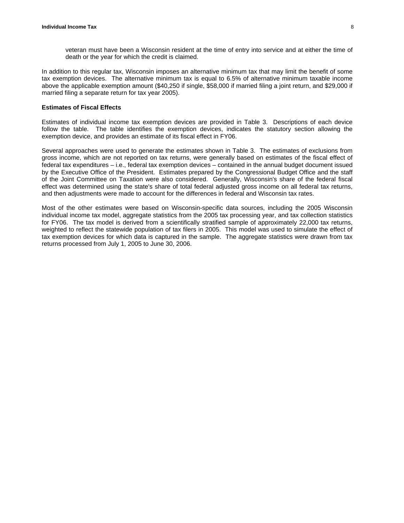In addition to this regular tax, Wisconsin imposes an alternative minimum tax that may limit the benefit of some tax exemption devices. The alternative minimum tax is equal to 6.5% of alternative minimum taxable income above the applicable exemption amount (\$40,250 if single, \$58,000 if married filing a joint return, and \$29,000 if married filing a separate return for tax year 2005).

#### **Estimates of Fiscal Effects**

Estimates of individual income tax exemption devices are provided in Table 3. Descriptions of each device follow the table. The table identifies the exemption devices, indicates the statutory section allowing the exemption device, and provides an estimate of its fiscal effect in FY06.

Several approaches were used to generate the estimates shown in Table 3. The estimates of exclusions from gross income, which are not reported on tax returns, were generally based on estimates of the fiscal effect of federal tax expenditures – i.e., federal tax exemption devices – contained in the annual budget document issued by the Executive Office of the President. Estimates prepared by the Congressional Budget Office and the staff of the Joint Committee on Taxation were also considered. Generally, Wisconsin's share of the federal fiscal effect was determined using the state's share of total federal adjusted gross income on all federal tax returns, and then adjustments were made to account for the differences in federal and Wisconsin tax rates.

Most of the other estimates were based on Wisconsin-specific data sources, including the 2005 Wisconsin individual income tax model, aggregate statistics from the 2005 tax processing year, and tax collection statistics for FY06. The tax model is derived from a scientifically stratified sample of approximately 22,000 tax returns, weighted to reflect the statewide population of tax filers in 2005. This model was used to simulate the effect of tax exemption devices for which data is captured in the sample. The aggregate statistics were drawn from tax returns processed from July 1, 2005 to June 30, 2006.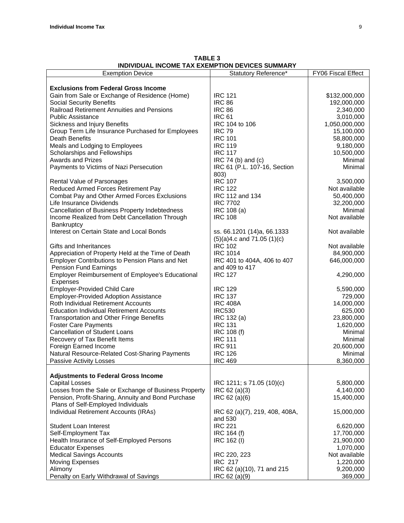| INDIVIDUAL INCOME TAX EXEMPTION DEVICES SUMMARY<br><b>Exemption Device</b> | Statutory Reference*                 | FY06 Fiscal Effect         |
|----------------------------------------------------------------------------|--------------------------------------|----------------------------|
|                                                                            |                                      |                            |
| <b>Exclusions from Federal Gross Income</b>                                |                                      |                            |
| Gain from Sale or Exchange of Residence (Home)                             | <b>IRC 121</b>                       | \$132,000,000              |
| <b>Social Security Benefits</b>                                            | <b>IRC 86</b>                        | 192,000,000                |
| Railroad Retirement Annuities and Pensions                                 | <b>IRC 86</b>                        | 2,340,000                  |
| <b>Public Assistance</b>                                                   | <b>IRC 61</b>                        | 3,010,000                  |
| Sickness and Injury Benefits                                               | IRC 104 to 106                       | 1,050,000,000              |
| Group Term Life Insurance Purchased for Employees                          | <b>IRC 79</b>                        | 15,100,000                 |
| Death Benefits                                                             | <b>IRC 101</b>                       | 58,800,000                 |
| Meals and Lodging to Employees                                             | <b>IRC 119</b>                       | 9,180,000                  |
| Scholarships and Fellowships                                               | <b>IRC 117</b>                       | 10,500,000                 |
| <b>Awards and Prizes</b>                                                   | IRC 74 (b) and (c)                   | Minimal                    |
| Payments to Victims of Nazi Persecution                                    | IRC 61 (P.L. 107-16, Section<br>803) | Minimal                    |
| <b>Rental Value of Parsonages</b>                                          | <b>IRC 107</b>                       | 3,500,000                  |
| Reduced Armed Forces Retirement Pay                                        | <b>IRC 122</b>                       | Not available              |
| Combat Pay and Other Armed Forces Exclusions                               | IRC 112 and 134                      | 50,400,000                 |
| Life Insurance Dividends                                                   | <b>IRC 7702</b>                      | 32,200,000                 |
| Cancellation of Business Property Indebtedness                             | IRC 108 (a)                          | Minimal                    |
| Income Realized from Debt Cancellation Through                             | <b>IRC 108</b>                       | Not available              |
| <b>Bankruptcy</b>                                                          |                                      |                            |
| Interest on Certain State and Local Bonds                                  | ss. 66.1201 (14)a, 66.1333           | Not available              |
|                                                                            | $(5)(a)4.c$ and 71.05 $(1)(c)$       |                            |
| Gifts and Inheritances                                                     | <b>IRC 102</b>                       | Not available              |
| Appreciation of Property Held at the Time of Death                         | <b>IRC 1014</b>                      | 84,900,000                 |
| Employer Contributions to Pension Plans and Net                            | IRC 401 to 404A, 406 to 407          | 646,000,000                |
| Pension Fund Earnings                                                      | and 409 to 417                       |                            |
| <b>Employer Reimbursement of Employee's Educational</b>                    | <b>IRC 127</b>                       | 4,290,000                  |
| Expenses                                                                   |                                      |                            |
| <b>Employer-Provided Child Care</b>                                        | <b>IRC 129</b>                       | 5,590,000                  |
| <b>Employer-Provided Adoption Assistance</b>                               | <b>IRC 137</b>                       | 729,000                    |
| Roth Individual Retirement Accounts                                        | <b>IRC 408A</b>                      | 14,000,000                 |
| <b>Education Individual Retirement Accounts</b>                            | <b>IRC530</b>                        | 625,000                    |
| <b>Transportation and Other Fringe Benefits</b>                            | IRC 132 (a)                          | 23,800,000                 |
| <b>Foster Care Payments</b>                                                | <b>IRC 131</b>                       | 1,620,000                  |
| <b>Cancellation of Student Loans</b>                                       | IRC 108 (f)                          | Minimal                    |
| Recovery of Tax Benefit Items                                              | <b>IRC 111</b>                       | Minimal                    |
| Foreign Earned Income                                                      | <b>IRC 911</b>                       | 20,600,000                 |
| Natural Resource-Related Cost-Sharing Payments                             | <b>IRC 126</b>                       | Minimal                    |
| Passive Activity Losses                                                    | <b>IRC 469</b>                       | 8,360,000                  |
|                                                                            |                                      |                            |
| <b>Adjustments to Federal Gross Income</b>                                 |                                      |                            |
| <b>Capital Losses</b>                                                      | IRC 1211; s 71.05 (10)(c)            | 5,800,000                  |
| Losses from the Sale or Exchange of Business Property                      | IRC 62 (a)(3)                        | 4,140,000                  |
| Pension, Profit-Sharing, Annuity and Bond Purchase                         | IRC 62 (a)(6)                        | 15,400,000                 |
| Plans of Self-Employed Individuals                                         |                                      |                            |
| Individual Retirement Accounts (IRAs)                                      | IRC 62 (a)(7), 219, 408, 408A,       | 15,000,000                 |
|                                                                            | and 530<br><b>IRC 221</b>            |                            |
| <b>Student Loan Interest</b>                                               |                                      | 6,620,000<br>17,700,000    |
| Self-Employment Tax                                                        | IRC 164 (f)                          | 21,900,000                 |
| Health Insurance of Self-Employed Persons                                  | IRC 162 (I)                          |                            |
| <b>Educator Expenses</b>                                                   |                                      | 1,070,000                  |
| <b>Medical Savings Accounts</b>                                            | IRC 220, 223<br><b>IRC 217</b>       | Not available<br>1,220,000 |
| <b>Moving Expenses</b><br>Alimony                                          | IRC 62 (a)(10), 71 and 215           | 9,200,000                  |
| Penalty on Early Withdrawal of Savings                                     | IRC 62 (a)(9)                        | 369,000                    |
|                                                                            |                                      |                            |

**TABLE 3 INDIVIDUAL INCOME TAX EXEMPTION DEVICES SUMMARY**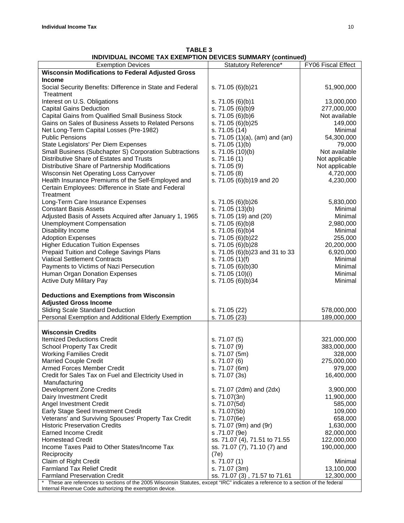| INDIVIDUAL INCOME TAX EXEMPTION DEVICES SUMMART (CONTINUED) |                                |                    |
|-------------------------------------------------------------|--------------------------------|--------------------|
| <b>Exemption Devices</b>                                    | Statutory Reference*           | FY06 Fiscal Effect |
| <b>Wisconsin Modifications to Federal Adjusted Gross</b>    |                                |                    |
| <b>Income</b>                                               |                                |                    |
| Social Security Benefits: Difference in State and Federal   | s. 71.05 (6)(b)21              | 51,900,000         |
| Treatment                                                   |                                |                    |
| Interest on U.S. Obligations                                | s. 71.05 (6)(b)1               | 13,000,000         |
| <b>Capital Gains Deduction</b>                              | s. 71.05 (6)(b)9               | 277,000,000        |
|                                                             |                                | Not available      |
| Capital Gains from Qualified Small Business Stock           | s. 71.05 (6)(b)6               |                    |
| Gains on Sales of Business Assets to Related Persons        | s. 71.05 (6)(b)25              | 149,000            |
| Net Long-Term Capital Losses (Pre-1982)                     | s. 71.05 (14)                  | Minimal            |
| <b>Public Pensions</b>                                      | s. 71.05 (1)(a), (am) and (an) | 54,300,000         |
| State Legislators' Per Diem Expenses                        | s. 71.05 (1)(b)                | 79,000             |
| Small Business (Subchapter S) Corporation Subtractions      | s. 71.05 (10)(b)               | Not available      |
| Distributive Share of Estates and Trusts                    | s. 71.16(1)                    | Not applicable     |
| Distributive Share of Partnership Modifications             | s. 71.05 (9)                   | Not applicable     |
| <b>Wisconsin Net Operating Loss Carryover</b>               | s. 71.05 (8)                   | 4,720,000          |
| Health Insurance Premiums of the Self-Employed and          | s. 71.05 (6)(b)19 and 20       | 4,230,000          |
| Certain Employees: Difference in State and Federal          |                                |                    |
| Treatment                                                   |                                |                    |
| Long-Term Care Insurance Expenses                           | s. 71.05 (6)(b)26              | 5,830,000          |
|                                                             |                                |                    |
| <b>Constant Basis Assets</b>                                | s. 71.05 (13)(b)               | Minimal            |
| Adjusted Basis of Assets Acquired after January 1, 1965     | s. 71.05 (19) and (20)         | Minimal            |
| <b>Unemployment Compensation</b>                            | s. 71.05 (6)(b)8               | 2,980,000          |
| Disability Income                                           | s. 71.05 (6)(b)4               | Minimal            |
| <b>Adoption Expenses</b>                                    | s. 71.05 (6)(b)22              | 255,000            |
| <b>Higher Education Tuition Expenses</b>                    | s. 71.05 (6)(b)28              | 20,200,000         |
| Prepaid Tuition and College Savings Plans                   | s. 71.05 (6)(b)23 and 31 to 33 | 6,920,000          |
| <b>Viatical Settlement Contracts</b>                        | s. $71.05(1)(f)$               | Minimal            |
| Payments to Victims of Nazi Persecution                     | s. 71.05 (6)(b)30              | Minimal            |
| Human Organ Donation Expenses                               | s. 71.05 (10)(i)               | Minimal            |
| <b>Active Duty Military Pay</b>                             | s. 71.05 (6)(b)34              | Minimal            |
|                                                             |                                |                    |
|                                                             |                                |                    |
| <b>Deductions and Exemptions from Wisconsin</b>             |                                |                    |
| <b>Adjusted Gross Income</b>                                |                                |                    |
| <b>Sliding Scale Standard Deduction</b>                     | s. 71.05 (22)                  | 578,000,000        |
| Personal Exemption and Additional Elderly Exemption         | s. 71.05 (23)                  | 189,000,000        |
|                                                             |                                |                    |
| <b>Wisconsin Credits</b>                                    |                                |                    |
| <b>Itemized Deductions Credit</b>                           | s. 71.07 (5)                   | 321,000,000        |
| <b>School Property Tax Credit</b>                           | s. 71.07 (9)                   | 383,000,000        |
| <b>Working Families Credit</b>                              | s. 71.07 (5m)                  | 328,000            |
| <b>Married Couple Credit</b>                                | s. 71.07 (6)                   | 275,000,000        |
| <b>Armed Forces Member Credit</b>                           | s. 71.07 (6m)                  | 979,000            |
| Credit for Sales Tax on Fuel and Electricity Used in        | s. 71.07 (3s)                  | 16,400,000         |
|                                                             |                                |                    |
| Manufacturing                                               |                                |                    |
| <b>Development Zone Credits</b>                             | s. 71.07 (2dm) and (2dx)       | 3,900,000          |
| Dairy Investment Credit                                     | s. 71.07(3n)                   | 11,900,000         |
| Angel Investment Credit                                     | s. 71.07(5d)                   | 585,000            |
| Early Stage Seed Investment Credit                          | s. 71.07(5b)                   | 109,000            |
| Veterans' and Surviving Spouses' Property Tax Credit        | s. 71.07(6e)                   | 658,000            |
| <b>Historic Preservation Credits</b>                        | s. 71.07 (9m) and (9r)         | 1,630,000          |
| <b>Earned Income Credit</b>                                 | s.71.07 (9e)                   | 82,000,000         |
| <b>Homestead Credit</b>                                     | ss. 71.07 (4), 71.51 to 71.55  | 122,000,000        |
| Income Taxes Paid to Other States/Income Tax                | ss. 71.07 (7), 71.10 (7) and   | 190,000,000        |
| Reciprocity                                                 | (7e)                           |                    |
| Claim of Right Credit                                       | s. 71.07 (1)                   | Minimal            |
|                                                             |                                |                    |
| <b>Farmland Tax Relief Credit</b>                           | s. 71.07 (3m)                  | 13,100,000         |
| <b>Farmland Preservation Credit</b>                         | ss. 71.07 (3), 71.57 to 71.61  | 12,300,000         |

**TABLE 3 INDIVIDUAL INCOME TAX EXEMPTION DEVICES SUMMARY (continued)**

\* These are references to sections of the 2005 Wisconsin Statutes, except "IRC" indicates a reference to a section of the federal Internal Revenue Code authorizing the exemption device.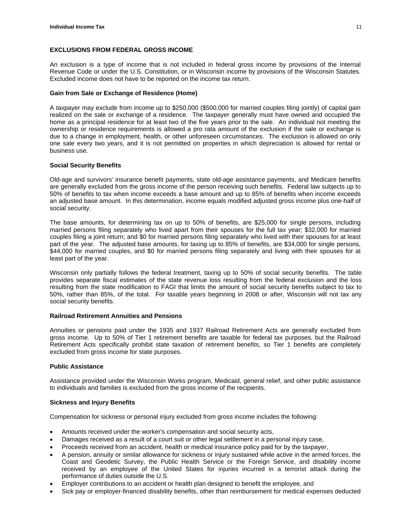#### **EXCLUSIONS FROM FEDERAL GROSS INCOME**

An exclusion is a type of income that is not included in federal gross income by provisions of the Internal Revenue Code or under the U.S. Constitution, or in Wisconsin income by provisions of the Wisconsin Statutes. Excluded income does not have to be reported on the income tax return.

#### **Gain from Sale or Exchange of Residence (Home)**

A taxpayer may exclude from income up to \$250,000 (\$500,000 for married couples filing jointly) of capital gain realized on the sale or exchange of a residence. The taxpayer generally must have owned and occupied the home as a principal residence for at least two of the five years prior to the sale. An individual not meeting the ownership or residence requirements is allowed a pro rata amount of the exclusion if the sale or exchange is due to a change in employment, health, or other unforeseen circumstances. The exclusion is allowed on only one sale every two years, and it is not permitted on properties in which depreciation is allowed for rental or business use.

#### **Social Security Benefits**

Old-age and survivors' insurance benefit payments, state old-age assistance payments, and Medicare benefits are generally excluded from the gross income of the person receiving such benefits. Federal law subjects up to 50% of benefits to tax when income exceeds a base amount and up to 85% of benefits when income exceeds an adjusted base amount. In this determination, income equals modified adjusted gross income plus one-half of social security.

The base amounts, for determining tax on up to 50% of benefits, are \$25,000 for single persons, including married persons filing separately who lived apart from their spouses for the full tax year; \$32,000 for married couples filing a joint return; and \$0 for married persons filing separately who lived with their spouses for at least part of the year. The adjusted base amounts, for taxing up to 85% of benefits, are \$34,000 for single persons, \$44,000 for married couples, and \$0 for married persons filing separately and living with their spouses for at least part of the year.

Wisconsin only partially follows the federal treatment, taxing up to 50% of social security benefits. The table provides separate fiscal estimates of the state revenue loss resulting from the federal exclusion and the loss resulting from the state modification to FAGI that limits the amount of social security benefits subject to tax to 50%, rather than 85%, of the total. For taxable years beginning in 2008 or after, Wisconsin will not tax any social security benefits.

#### **Railroad Retirement Annuities and Pensions**

Annuities or pensions paid under the 1935 and 1937 Railroad Retirement Acts are generally excluded from gross income. Up to 50% of Tier 1 retirement benefits are taxable for federal tax purposes, but the Railroad Retirement Acts specifically prohibit state taxation of retirement benefits, so Tier 1 benefits are completely excluded from gross income for state purposes.

#### **Public Assistance**

Assistance provided under the Wisconsin Works program, Medicaid, general relief, and other public assistance to individuals and families is excluded from the gross income of the recipients.

#### **Sickness and Injury Benefits**

Compensation for sickness or personal injury excluded from gross income includes the following:

- Amounts received under the worker's compensation and social security acts,
- Damages received as a result of a court suit or other legal settlement in a personal injury case,
- Proceeds received from an accident, health or medical insurance policy paid for by the taxpayer,
- A pension, annuity or similar allowance for sickness or injury sustained while active in the armed forces, the Coast and Geodetic Survey, the Public Health Service or the Foreign Service, and disability income received by an employee of the United States for injuries incurred in a terrorist attack during the performance of duties outside the U.S.
- Employer contributions to an accident or health plan designed to benefit the employee, and
- Sick pay or employer-financed disability benefits, other than reimbursement for medical expenses deducted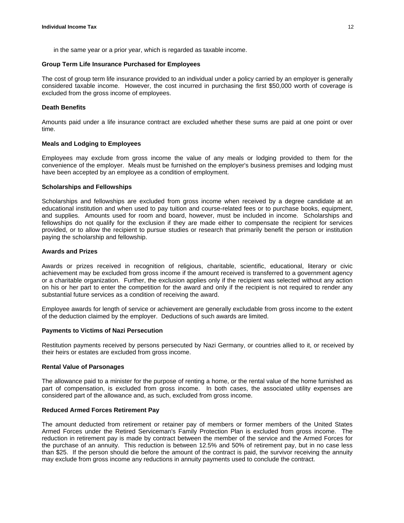in the same year or a prior year, which is regarded as taxable income.

#### **Group Term Life Insurance Purchased for Employees**

The cost of group term life insurance provided to an individual under a policy carried by an employer is generally considered taxable income. However, the cost incurred in purchasing the first \$50,000 worth of coverage is excluded from the gross income of employees.

#### **Death Benefits**

Amounts paid under a life insurance contract are excluded whether these sums are paid at one point or over time.

#### **Meals and Lodging to Employees**

Employees may exclude from gross income the value of any meals or lodging provided to them for the convenience of the employer. Meals must be furnished on the employer's business premises and lodging must have been accepted by an employee as a condition of employment.

#### **Scholarships and Fellowships**

Scholarships and fellowships are excluded from gross income when received by a degree candidate at an educational institution and when used to pay tuition and course-related fees or to purchase books, equipment, and supplies. Amounts used for room and board, however, must be included in income. Scholarships and fellowships do not qualify for the exclusion if they are made either to compensate the recipient for services provided, or to allow the recipient to pursue studies or research that primarily benefit the person or institution paying the scholarship and fellowship.

#### **Awards and Prizes**

Awards or prizes received in recognition of religious, charitable, scientific, educational, literary or civic achievement may be excluded from gross income if the amount received is transferred to a government agency or a charitable organization. Further, the exclusion applies only if the recipient was selected without any action on his or her part to enter the competition for the award and only if the recipient is not required to render any substantial future services as a condition of receiving the award.

Employee awards for length of service or achievement are generally excludable from gross income to the extent of the deduction claimed by the employer. Deductions of such awards are limited.

#### **Payments to Victims of Nazi Persecution**

Restitution payments received by persons persecuted by Nazi Germany, or countries allied to it, or received by their heirs or estates are excluded from gross income.

#### **Rental Value of Parsonages**

The allowance paid to a minister for the purpose of renting a home, or the rental value of the home furnished as part of compensation, is excluded from gross income. In both cases, the associated utility expenses are considered part of the allowance and, as such, excluded from gross income.

#### **Reduced Armed Forces Retirement Pay**

The amount deducted from retirement or retainer pay of members or former members of the United States Armed Forces under the Retired Serviceman's Family Protection Plan is excluded from gross income. The reduction in retirement pay is made by contract between the member of the service and the Armed Forces for the purchase of an annuity. This reduction is between 12.5% and 50% of retirement pay, but in no case less than \$25. If the person should die before the amount of the contract is paid, the survivor receiving the annuity may exclude from gross income any reductions in annuity payments used to conclude the contract.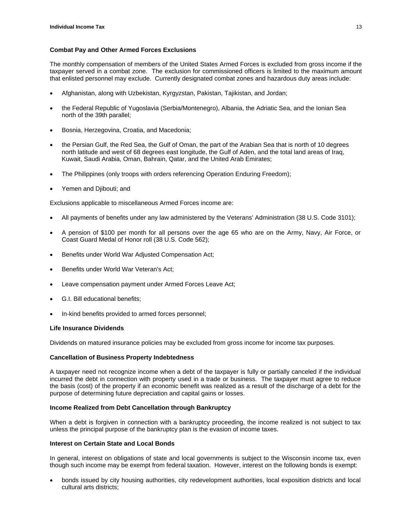#### **Combat Pay and Other Armed Forces Exclusions**

The monthly compensation of members of the United States Armed Forces is excluded from gross income if the taxpayer served in a combat zone. The exclusion for commissioned officers is limited to the maximum amount that enlisted personnel may exclude. Currently designated combat zones and hazardous duty areas include:

- Afghanistan, along with Uzbekistan, Kyrgyzstan, Pakistan, Tajikistan, and Jordan;
- the Federal Republic of Yugoslavia (Serbia/Montenegro), Albania, the Adriatic Sea, and the Ionian Sea north of the 39th parallel;
- Bosnia, Herzegovina, Croatia, and Macedonia;
- the Persian Gulf, the Red Sea, the Gulf of Oman, the part of the Arabian Sea that is north of 10 degrees north latitude and west of 68 degrees east longitude, the Gulf of Aden, and the total land areas of Iraq, Kuwait, Saudi Arabia, Oman, Bahrain, Qatar, and the United Arab Emirates;
- The Philippines (only troops with orders referencing Operation Enduring Freedom);
- Yemen and Djibouti; and

Exclusions applicable to miscellaneous Armed Forces income are:

- All payments of benefits under any law administered by the Veterans' Administration (38 U.S. Code 3101);
- A pension of \$100 per month for all persons over the age 65 who are on the Army, Navy, Air Force, or Coast Guard Medal of Honor roll (38 U.S. Code 562);
- Benefits under World War Adjusted Compensation Act;
- Benefits under World War Veteran's Act;
- Leave compensation payment under Armed Forces Leave Act;
- G.I. Bill educational benefits;
- In-kind benefits provided to armed forces personnel;

#### **Life Insurance Dividends**

Dividends on matured insurance policies may be excluded from gross income for income tax purposes.

#### **Cancellation of Business Property Indebtedness**

A taxpayer need not recognize income when a debt of the taxpayer is fully or partially canceled if the individual incurred the debt in connection with property used in a trade or business. The taxpayer must agree to reduce the basis (cost) of the property if an economic benefit was realized as a result of the discharge of a debt for the purpose of determining future depreciation and capital gains or losses.

#### **Income Realized from Debt Cancellation through Bankruptcy**

When a debt is forgiven in connection with a bankruptcy proceeding, the income realized is not subject to tax unless the principal purpose of the bankruptcy plan is the evasion of income taxes.

#### **Interest on Certain State and Local Bonds**

In general, interest on obligations of state and local governments is subject to the Wisconsin income tax, even though such income may be exempt from federal taxation. However, interest on the following bonds is exempt:

• bonds issued by city housing authorities, city redevelopment authorities, local exposition districts and local cultural arts districts;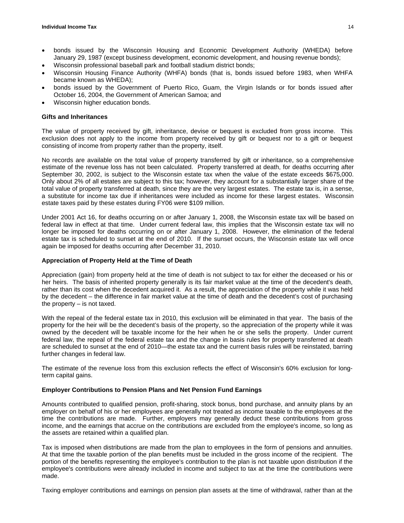- bonds issued by the Wisconsin Housing and Economic Development Authority (WHEDA) before January 29, 1987 (except business development, economic development, and housing revenue bonds);
- Wisconsin professional baseball park and football stadium district bonds;
- Wisconsin Housing Finance Authority (WHFA) bonds (that is, bonds issued before 1983, when WHFA became known as WHEDA);
- bonds issued by the Government of Puerto Rico, Guam, the Virgin Islands or for bonds issued after October 16, 2004, the Government of American Samoa; and
- Wisconsin higher education bonds.

#### **Gifts and Inheritances**

The value of property received by gift, inheritance, devise or bequest is excluded from gross income. This exclusion does not apply to the income from property received by gift or bequest nor to a gift or bequest consisting of income from property rather than the property, itself.

No records are available on the total value of property transferred by gift or inheritance, so a comprehensive estimate of the revenue loss has not been calculated. Property transferred at death, for deaths occurring after September 30, 2002, is subject to the Wisconsin estate tax when the value of the estate exceeds \$675,000. Only about 2% of all estates are subject to this tax; however, they account for a substantially larger share of the total value of property transferred at death, since they are the very largest estates. The estate tax is, in a sense, a substitute for income tax due if inheritances were included as income for these largest estates. Wisconsin estate taxes paid by these estates during FY06 were \$109 million.

Under 2001 Act 16, for deaths occurring on or after January 1, 2008, the Wisconsin estate tax will be based on federal law in effect at that time. Under current federal law, this implies that the Wisconsin estate tax will no longer be imposed for deaths occurring on or after January 1, 2008. However, the elimination of the federal estate tax is scheduled to sunset at the end of 2010. If the sunset occurs, the Wisconsin estate tax will once again be imposed for deaths occurring after December 31, 2010.

#### **Appreciation of Property Held at the Time of Death**

Appreciation (gain) from property held at the time of death is not subject to tax for either the deceased or his or her heirs. The basis of inherited property generally is its fair market value at the time of the decedent's death, rather than its cost when the decedent acquired it. As a result, the appreciation of the property while it was held by the decedent – the difference in fair market value at the time of death and the decedent's cost of purchasing the property – is not taxed.

With the repeal of the federal estate tax in 2010, this exclusion will be eliminated in that year. The basis of the property for the heir will be the decedent's basis of the property, so the appreciation of the property while it was owned by the decedent will be taxable income for the heir when he or she sells the property. Under current federal law, the repeal of the federal estate tax and the change in basis rules for property transferred at death are scheduled to sunset at the end of 2010—the estate tax and the current basis rules will be reinstated, barring further changes in federal law.

The estimate of the revenue loss from this exclusion reflects the effect of Wisconsin's 60% exclusion for longterm capital gains.

#### **Employer Contributions to Pension Plans and Net Pension Fund Earnings**

Amounts contributed to qualified pension, profit-sharing, stock bonus, bond purchase, and annuity plans by an employer on behalf of his or her employees are generally not treated as income taxable to the employees at the time the contributions are made. Further, employers may generally deduct these contributions from gross income, and the earnings that accrue on the contributions are excluded from the employee's income, so long as the assets are retained within a qualified plan.

Tax is imposed when distributions are made from the plan to employees in the form of pensions and annuities. At that time the taxable portion of the plan benefits must be included in the gross income of the recipient. The portion of the benefits representing the employee's contribution to the plan is not taxable upon distribution if the employee's contributions were already included in income and subject to tax at the time the contributions were made.

Taxing employer contributions and earnings on pension plan assets at the time of withdrawal, rather than at the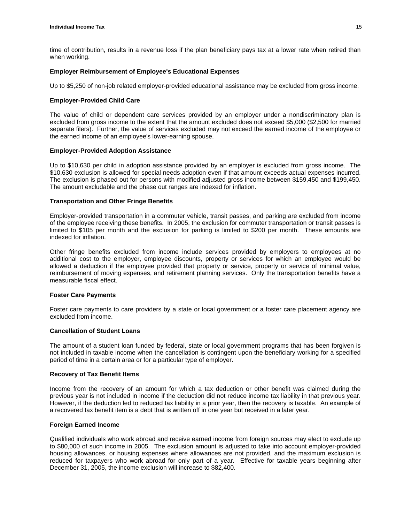time of contribution, results in a revenue loss if the plan beneficiary pays tax at a lower rate when retired than when working.

#### **Employer Reimbursement of Employee's Educational Expenses**

Up to \$5,250 of non-job related employer-provided educational assistance may be excluded from gross income.

#### **Employer-Provided Child Care**

The value of child or dependent care services provided by an employer under a nondiscriminatory plan is excluded from gross income to the extent that the amount excluded does not exceed \$5,000 (\$2,500 for married separate filers). Further, the value of services excluded may not exceed the earned income of the employee or the earned income of an employee's lower-earning spouse.

#### **Employer-Provided Adoption Assistance**

Up to \$10,630 per child in adoption assistance provided by an employer is excluded from gross income. The \$10,630 exclusion is allowed for special needs adoption even if that amount exceeds actual expenses incurred. The exclusion is phased out for persons with modified adjusted gross income between \$159,450 and \$199,450. The amount excludable and the phase out ranges are indexed for inflation.

#### **Transportation and Other Fringe Benefits**

Employer-provided transportation in a commuter vehicle, transit passes, and parking are excluded from income of the employee receiving these benefits. In 2005, the exclusion for commuter transportation or transit passes is limited to \$105 per month and the exclusion for parking is limited to \$200 per month. These amounts are indexed for inflation.

Other fringe benefits excluded from income include services provided by employers to employees at no additional cost to the employer, employee discounts, property or services for which an employee would be allowed a deduction if the employee provided that property or service, property or service of minimal value, reimbursement of moving expenses, and retirement planning services. Only the transportation benefits have a measurable fiscal effect.

#### **Foster Care Payments**

Foster care payments to care providers by a state or local government or a foster care placement agency are excluded from income.

#### **Cancellation of Student Loans**

The amount of a student loan funded by federal, state or local government programs that has been forgiven is not included in taxable income when the cancellation is contingent upon the beneficiary working for a specified period of time in a certain area or for a particular type of employer.

#### **Recovery of Tax Benefit Items**

Income from the recovery of an amount for which a tax deduction or other benefit was claimed during the previous year is not included in income if the deduction did not reduce income tax liability in that previous year. However, if the deduction led to reduced tax liability in a prior year, then the recovery is taxable. An example of a recovered tax benefit item is a debt that is written off in one year but received in a later year.

#### **Foreign Earned Income**

Qualified individuals who work abroad and receive earned income from foreign sources may elect to exclude up to \$80,000 of such income in 2005. The exclusion amount is adjusted to take into account employer-provided housing allowances, or housing expenses where allowances are not provided, and the maximum exclusion is reduced for taxpayers who work abroad for only part of a year. Effective for taxable years beginning after December 31, 2005, the income exclusion will increase to \$82,400.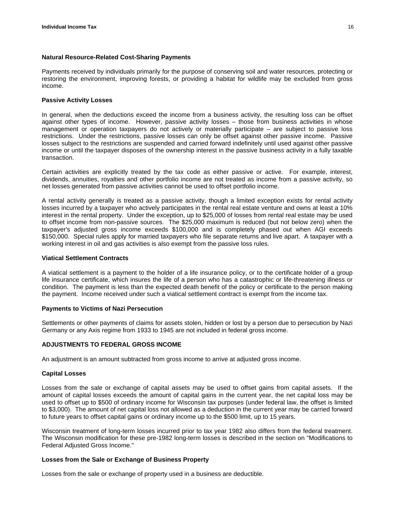#### **Natural Resource-Related Cost-Sharing Payments**

Payments received by individuals primarily for the purpose of conserving soil and water resources, protecting or restoring the environment, improving forests, or providing a habitat for wildlife may be excluded from gross income.

#### **Passive Activity Losses**

In general, when the deductions exceed the income from a business activity, the resulting loss can be offset against other types of income. However, passive activity losses – those from business activities in whose management or operation taxpayers do not actively or materially participate – are subject to passive loss restrictions. Under the restrictions, passive losses can only be offset against other passive income. Passive losses subject to the restrictions are suspended and carried forward indefinitely until used against other passive income or until the taxpayer disposes of the ownership interest in the passive business activity in a fully taxable transaction.

Certain activities are explicitly treated by the tax code as either passive or active. For example, interest, dividends, annuities, royalties and other portfolio income are not treated as income from a passive activity, so net losses generated from passive activities cannot be used to offset portfolio income.

A rental activity generally is treated as a passive activity, though a limited exception exists for rental activity losses incurred by a taxpayer who actively participates in the rental real estate venture and owns at least a 10% interest in the rental property. Under the exception, up to \$25,000 of losses from rental real estate may be used to offset income from non-passive sources. The \$25,000 maximum is reduced (but not below zero) when the taxpayer's adjusted gross income exceeds \$100,000 and is completely phased out when AGI exceeds \$150,000. Special rules apply for married taxpayers who file separate returns and live apart. A taxpayer with a working interest in oil and gas activities is also exempt from the passive loss rules.

#### **Viatical Settlement Contracts**

A viatical settlement is a payment to the holder of a life insurance policy, or to the certificate holder of a group life insurance certificate, which insures the life of a person who has a catastrophic or life-threatening illness or condition. The payment is less than the expected death benefit of the policy or certificate to the person making the payment. Income received under such a viatical settlement contract is exempt from the income tax.

#### **Payments to Victims of Nazi Persecution**

Settlements or other payments of claims for assets stolen, hidden or lost by a person due to persecution by Nazi Germany or any Axis regime from 1933 to 1945 are not included in federal gross income.

#### **ADJUSTMENTS TO FEDERAL GROSS INCOME**

An adjustment is an amount subtracted from gross income to arrive at adjusted gross income.

#### **Capital Losses**

Losses from the sale or exchange of capital assets may be used to offset gains from capital assets. If the amount of capital losses exceeds the amount of capital gains in the current year, the net capital loss may be used to offset up to \$500 of ordinary income for Wisconsin tax purposes (under federal law, the offset is limited to \$3,000). The amount of net capital loss not allowed as a deduction in the current year may be carried forward to future years to offset capital gains or ordinary income up to the \$500 limit, up to 15 years.

Wisconsin treatment of long-term losses incurred prior to tax year 1982 also differs from the federal treatment. The Wisconsin modification for these pre-1982 long-term losses is described in the section on "Modifications to Federal Adjusted Gross Income."

#### **Losses from the Sale or Exchange of Business Property**

Losses from the sale or exchange of property used in a business are deductible.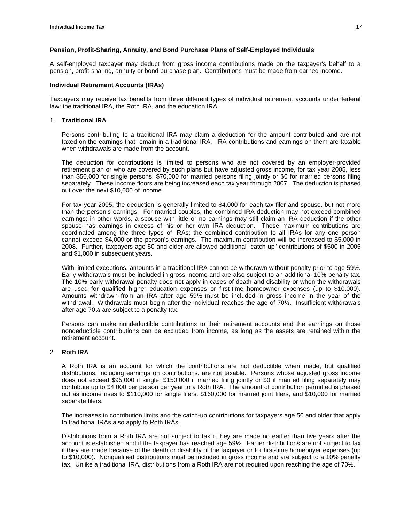#### **Pension, Profit-Sharing, Annuity, and Bond Purchase Plans of Self-Employed Individuals**

A self-employed taxpayer may deduct from gross income contributions made on the taxpayer's behalf to a pension, profit-sharing, annuity or bond purchase plan. Contributions must be made from earned income.

#### **Individual Retirement Accounts (IRAs)**

Taxpayers may receive tax benefits from three different types of individual retirement accounts under federal law: the traditional IRA, the Roth IRA, and the education IRA.

#### 1. **Traditional IRA**

Persons contributing to a traditional IRA may claim a deduction for the amount contributed and are not taxed on the earnings that remain in a traditional IRA. IRA contributions and earnings on them are taxable when withdrawals are made from the account.

The deduction for contributions is limited to persons who are not covered by an employer-provided retirement plan or who are covered by such plans but have adjusted gross income, for tax year 2005, less than \$50,000 for single persons, \$70,000 for married persons filing jointly or \$0 for married persons filing separately. These income floors are being increased each tax year through 2007. The deduction is phased out over the next \$10,000 of income.

For tax year 2005, the deduction is generally limited to \$4,000 for each tax filer and spouse, but not more than the person's earnings. For married couples, the combined IRA deduction may not exceed combined earnings; in other words, a spouse with little or no earnings may still claim an IRA deduction if the other spouse has earnings in excess of his or her own IRA deduction. These maximum contributions are coordinated among the three types of IRAs; the combined contribution to all IRAs for any one person cannot exceed \$4,000 or the person's earnings. The maximum contribution will be increased to \$5,000 in 2008. Further, taxpayers age 50 and older are allowed additional "catch-up" contributions of \$500 in 2005 and \$1,000 in subsequent years.

With limited exceptions, amounts in a traditional IRA cannot be withdrawn without penalty prior to age 59<sup>1</sup>/<sub>2</sub>. Early withdrawals must be included in gross income and are also subject to an additional 10% penalty tax. The 10% early withdrawal penalty does not apply in cases of death and disability or when the withdrawals are used for qualified higher education expenses or first-time homeowner expenses (up to \$10,000). Amounts withdrawn from an IRA after age 59½ must be included in gross income in the year of the withdrawal. Withdrawals must begin after the individual reaches the age of 70½. Insufficient withdrawals after age 70½ are subject to a penalty tax.

Persons can make nondeductible contributions to their retirement accounts and the earnings on those nondeductible contributions can be excluded from income, as long as the assets are retained within the retirement account.

#### 2. **Roth IRA**

A Roth IRA is an account for which the contributions are not deductible when made, but qualified distributions, including earnings on contributions, are not taxable. Persons whose adjusted gross income does not exceed \$95,000 if single, \$150,000 if married filing jointly or \$0 if married filing separately may contribute up to \$4,000 per person per year to a Roth IRA. The amount of contribution permitted is phased out as income rises to \$110,000 for single filers, \$160,000 for married joint filers, and \$10,000 for married separate filers.

The increases in contribution limits and the catch-up contributions for taxpayers age 50 and older that apply to traditional IRAs also apply to Roth IRAs.

Distributions from a Roth IRA are not subject to tax if they are made no earlier than five years after the account is established and if the taxpayer has reached age 59½. Earlier distributions are not subject to tax if they are made because of the death or disability of the taxpayer or for first-time homebuyer expenses (up to \$10,000). Nonqualified distributions must be included in gross income and are subject to a 10% penalty tax. Unlike a traditional IRA, distributions from a Roth IRA are not required upon reaching the age of 70½.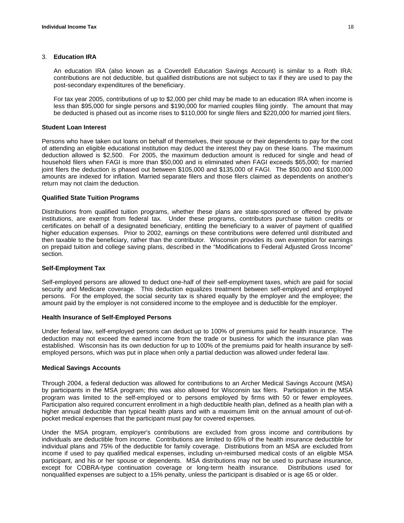#### 3. **Education IRA**

An education IRA (also known as a Coverdell Education Savings Account) is similar to a Roth IRA: contributions are not deductible, but qualified distributions are not subject to tax if they are used to pay the post-secondary expenditures of the beneficiary.

For tax year 2005, contributions of up to \$2,000 per child may be made to an education IRA when income is less than \$95,000 for single persons and \$190,000 for married couples filing jointly. The amount that may be deducted is phased out as income rises to \$110,000 for single filers and \$220,000 for married joint filers.

#### **Student Loan Interest**

Persons who have taken out loans on behalf of themselves, their spouse or their dependents to pay for the cost of attending an eligible educational institution may deduct the interest they pay on these loans. The maximum deduction allowed is \$2,500. For 2005, the maximum deduction amount is reduced for single and head of household filers when FAGI is more than \$50,000 and is eliminated when FAGI exceeds \$65,000; for married joint filers the deduction is phased out between \$105,000 and \$135,000 of FAGI. The \$50,000 and \$100,000 amounts are indexed for inflation. Married separate filers and those filers claimed as dependents on another's return may not claim the deduction.

#### **Qualified State Tuition Programs**

Distributions from qualified tuition programs, whether these plans are state-sponsored or offered by private institutions, are exempt from federal tax. Under these programs, contributors purchase tuition credits or certificates on behalf of a designated beneficiary, entitling the beneficiary to a waiver of payment of qualified higher education expenses. Prior to 2002, earnings on these contributions were deferred until distributed and then taxable to the beneficiary, rather than the contributor. Wisconsin provides its own exemption for earnings on prepaid tuition and college saving plans, described in the "Modifications to Federal Adjusted Gross Income" section.

#### **Self-Employment Tax**

Self-employed persons are allowed to deduct one-half of their self-employment taxes, which are paid for social security and Medicare coverage. This deduction equalizes treatment between self-employed and employed persons. For the employed, the social security tax is shared equally by the employer and the employee; the amount paid by the employer is not considered income to the employee and is deductible for the employer.

#### **Health Insurance of Self-Employed Persons**

Under federal law, self-employed persons can deduct up to 100% of premiums paid for health insurance. The deduction may not exceed the earned income from the trade or business for which the insurance plan was established. Wisconsin has its own deduction for up to 100% of the premiums paid for health insurance by selfemployed persons, which was put in place when only a partial deduction was allowed under federal law.

#### **Medical Savings Accounts**

Through 2004, a federal deduction was allowed for contributions to an Archer Medical Savings Account (MSA) by participants in the MSA program; this was also allowed for Wisconsin tax filers. Participation in the MSA program was limited to the self-employed or to persons employed by firms with 50 or fewer employees. Participation also required concurrent enrollment in a high deductible health plan, defined as a health plan with a higher annual deductible than typical health plans and with a maximum limit on the annual amount of out-ofpocket medical expenses that the participant must pay for covered expenses.

Under the MSA program, employer's contributions are excluded from gross income and contributions by individuals are deductible from income. Contributions are limited to 65% of the health insurance deductible for individual plans and 75% of the deductible for family coverage. Distributions from an MSA are excluded from income if used to pay qualified medical expenses, including un-reimbursed medical costs of an eligible MSA participant, and his or her spouse or dependents. MSA distributions may not be used to purchase insurance, except for COBRA-type continuation coverage or long-term health insurance. Distributions used for nonqualified expenses are subject to a 15% penalty, unless the participant is disabled or is age 65 or older.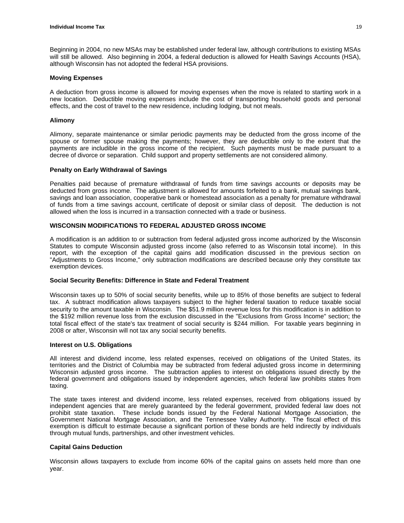Beginning in 2004, no new MSAs may be established under federal law, although contributions to existing MSAs will still be allowed. Also beginning in 2004, a federal deduction is allowed for Health Savings Accounts (HSA), although Wisconsin has not adopted the federal HSA provisions.

#### **Moving Expenses**

A deduction from gross income is allowed for moving expenses when the move is related to starting work in a new location. Deductible moving expenses include the cost of transporting household goods and personal effects, and the cost of travel to the new residence, including lodging, but not meals.

#### **Alimony**

Alimony, separate maintenance or similar periodic payments may be deducted from the gross income of the spouse or former spouse making the payments; however, they are deductible only to the extent that the payments are includible in the gross income of the recipient. Such payments must be made pursuant to a decree of divorce or separation. Child support and property settlements are not considered alimony.

#### **Penalty on Early Withdrawal of Savings**

Penalties paid because of premature withdrawal of funds from time savings accounts or deposits may be deducted from gross income. The adjustment is allowed for amounts forfeited to a bank, mutual savings bank, savings and loan association, cooperative bank or homestead association as a penalty for premature withdrawal of funds from a time savings account, certificate of deposit or similar class of deposit. The deduction is not allowed when the loss is incurred in a transaction connected with a trade or business.

#### **WISCONSIN MODIFICATIONS TO FEDERAL ADJUSTED GROSS INCOME**

A modification is an addition to or subtraction from federal adjusted gross income authorized by the Wisconsin Statutes to compute Wisconsin adjusted gross income (also referred to as Wisconsin total income). In this report, with the exception of the capital gains add modification discussed in the previous section on "Adjustments to Gross Income," only subtraction modifications are described because only they constitute tax exemption devices.

#### **Social Security Benefits: Difference in State and Federal Treatment**

Wisconsin taxes up to 50% of social security benefits, while up to 85% of those benefits are subject to federal tax. A subtract modification allows taxpayers subject to the higher federal taxation to reduce taxable social security to the amount taxable in Wisconsin. The \$51.9 million revenue loss for this modification is in addition to the \$192 million revenue loss from the exclusion discussed in the "Exclusions from Gross Income" section; the total fiscal effect of the state's tax treatment of social security is \$244 million. For taxable years beginning in 2008 or after, Wisconsin will not tax any social security benefits.

#### **Interest on U.S. Obligations**

All interest and dividend income, less related expenses, received on obligations of the United States, its territories and the District of Columbia may be subtracted from federal adjusted gross income in determining Wisconsin adjusted gross income. The subtraction applies to interest on obligations issued directly by the federal government and obligations issued by independent agencies, which federal law prohibits states from taxing.

The state taxes interest and dividend income, less related expenses, received from obligations issued by independent agencies that are merely guaranteed by the federal government, provided federal law does not prohibit state taxation. These include bonds issued by the Federal National Mortgage Association, the Government National Mortgage Association, and the Tennessee Valley Authority. The fiscal effect of this exemption is difficult to estimate because a significant portion of these bonds are held indirectly by individuals through mutual funds, partnerships, and other investment vehicles.

#### **Capital Gains Deduction**

Wisconsin allows taxpayers to exclude from income 60% of the capital gains on assets held more than one year.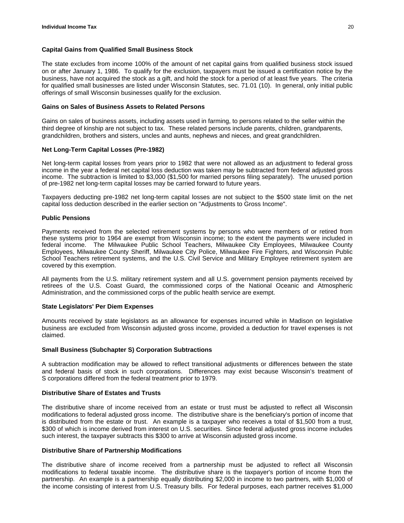#### **Capital Gains from Qualified Small Business Stock**

The state excludes from income 100% of the amount of net capital gains from qualified business stock issued on or after January 1, 1986. To qualify for the exclusion, taxpayers must be issued a certification notice by the business, have not acquired the stock as a gift, and hold the stock for a period of at least five years. The criteria for qualified small businesses are listed under Wisconsin Statutes, sec. 71.01 (10). In general, only initial public offerings of small Wisconsin businesses qualify for the exclusion.

#### **Gains on Sales of Business Assets to Related Persons**

Gains on sales of business assets, including assets used in farming, to persons related to the seller within the third degree of kinship are not subject to tax. These related persons include parents, children, grandparents, grandchildren, brothers and sisters, uncles and aunts, nephews and nieces, and great grandchildren.

#### **Net Long-Term Capital Losses (Pre-1982)**

Net long-term capital losses from years prior to 1982 that were not allowed as an adjustment to federal gross income in the year a federal net capital loss deduction was taken may be subtracted from federal adjusted gross income. The subtraction is limited to \$3,000 (\$1,500 for married persons filing separately). The unused portion of pre-1982 net long-term capital losses may be carried forward to future years.

Taxpayers deducting pre-1982 net long-term capital losses are not subject to the \$500 state limit on the net capital loss deduction described in the earlier section on "Adjustments to Gross Income".

#### **Public Pensions**

Payments received from the selected retirement systems by persons who were members of or retired from these systems prior to 1964 are exempt from Wisconsin income; to the extent the payments were included in federal income. The Milwaukee Public School Teachers, Milwaukee City Employees, Milwaukee County Employees, Milwaukee County Sheriff, Milwaukee City Police, Milwaukee Fire Fighters, and Wisconsin Public School Teachers retirement systems, and the U.S. Civil Service and Military Employee retirement system are covered by this exemption.

All payments from the U.S. military retirement system and all U.S. government pension payments received by retirees of the U.S. Coast Guard, the commissioned corps of the National Oceanic and Atmospheric Administration, and the commissioned corps of the public health service are exempt.

#### **State Legislators' Per Diem Expenses**

Amounts received by state legislators as an allowance for expenses incurred while in Madison on legislative business are excluded from Wisconsin adjusted gross income, provided a deduction for travel expenses is not claimed.

#### **Small Business (Subchapter S) Corporation Subtractions**

A subtraction modification may be allowed to reflect transitional adjustments or differences between the state and federal basis of stock in such corporations. Differences may exist because Wisconsin's treatment of S corporations differed from the federal treatment prior to 1979.

#### **Distributive Share of Estates and Trusts**

The distributive share of income received from an estate or trust must be adjusted to reflect all Wisconsin modifications to federal adjusted gross income. The distributive share is the beneficiary's portion of income that is distributed from the estate or trust. An example is a taxpayer who receives a total of \$1,500 from a trust, \$300 of which is income derived from interest on U.S. securities. Since federal adjusted gross income includes such interest, the taxpayer subtracts this \$300 to arrive at Wisconsin adjusted gross income.

#### **Distributive Share of Partnership Modifications**

The distributive share of income received from a partnership must be adjusted to reflect all Wisconsin modifications to federal taxable income. The distributive share is the taxpayer's portion of income from the partnership. An example is a partnership equally distributing \$2,000 in income to two partners, with \$1,000 of the income consisting of interest from U.S. Treasury bills. For federal purposes, each partner receives \$1,000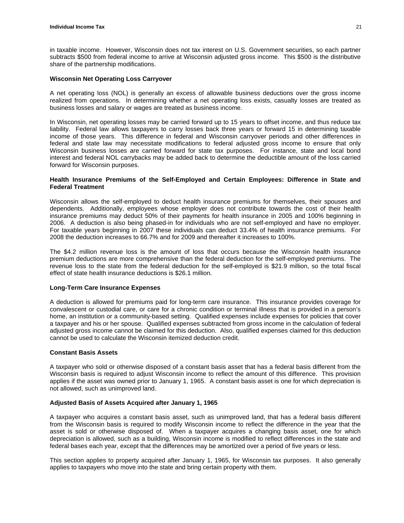in taxable income. However, Wisconsin does not tax interest on U.S. Government securities, so each partner subtracts \$500 from federal income to arrive at Wisconsin adjusted gross income. This \$500 is the distributive share of the partnership modifications.

#### **Wisconsin Net Operating Loss Carryover**

A net operating loss (NOL) is generally an excess of allowable business deductions over the gross income realized from operations. In determining whether a net operating loss exists, casualty losses are treated as business losses and salary or wages are treated as business income.

In Wisconsin, net operating losses may be carried forward up to 15 years to offset income, and thus reduce tax liability. Federal law allows taxpayers to carry losses back three years or forward 15 in determining taxable income of those years. This difference in federal and Wisconsin carryover periods and other differences in federal and state law may necessitate modifications to federal adjusted gross income to ensure that only Wisconsin business losses are carried forward for state tax purposes. For instance, state and local bond interest and federal NOL carrybacks may be added back to determine the deductible amount of the loss carried forward for Wisconsin purposes.

#### **Health Insurance Premiums of the Self-Employed and Certain Employees: Difference in State and Federal Treatment**

Wisconsin allows the self-employed to deduct health insurance premiums for themselves, their spouses and dependents. Additionally, employees whose employer does not contribute towards the cost of their health insurance premiums may deduct 50% of their payments for health insurance in 2005 and 100% beginning in 2006. A deduction is also being phased-in for individuals who are not self-employed and have no employer. For taxable years beginning in 2007 these individuals can deduct 33.4% of health insurance premiums. For 2008 the deduction increases to 66.7% and for 2009 and thereafter it increases to 100%.

The \$4.2 million revenue loss is the amount of loss that occurs because the Wisconsin health insurance premium deductions are more comprehensive than the federal deduction for the self-employed premiums. The revenue loss to the state from the federal deduction for the self-employed is \$21.9 million, so the total fiscal effect of state health insurance deductions is \$26.1 million.

#### **Long-Term Care Insurance Expenses**

A deduction is allowed for premiums paid for long-term care insurance. This insurance provides coverage for convalescent or custodial care, or care for a chronic condition or terminal illness that is provided in a person's home, an institution or a community-based setting. Qualified expenses include expenses for policies that cover a taxpayer and his or her spouse. Qualified expenses subtracted from gross income in the calculation of federal adjusted gross income cannot be claimed for this deduction. Also, qualified expenses claimed for this deduction cannot be used to calculate the Wisconsin itemized deduction credit.

#### **Constant Basis Assets**

A taxpayer who sold or otherwise disposed of a constant basis asset that has a federal basis different from the Wisconsin basis is required to adjust Wisconsin income to reflect the amount of this difference. This provision applies if the asset was owned prior to January 1, 1965. A constant basis asset is one for which depreciation is not allowed, such as unimproved land.

#### **Adjusted Basis of Assets Acquired after January 1, 1965**

A taxpayer who acquires a constant basis asset, such as unimproved land, that has a federal basis different from the Wisconsin basis is required to modify Wisconsin income to reflect the difference in the year that the asset is sold or otherwise disposed of. When a taxpayer acquires a changing basis asset, one for which depreciation is allowed, such as a building, Wisconsin income is modified to reflect differences in the state and federal bases each year, except that the differences may be amortized over a period of five years or less.

This section applies to property acquired after January 1, 1965, for Wisconsin tax purposes. It also generally applies to taxpayers who move into the state and bring certain property with them.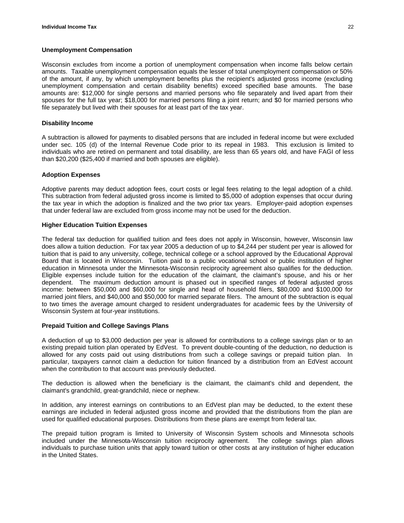#### **Unemployment Compensation**

Wisconsin excludes from income a portion of unemployment compensation when income falls below certain amounts. Taxable unemployment compensation equals the lesser of total unemployment compensation or 50% of the amount, if any, by which unemployment benefits plus the recipient's adjusted gross income (excluding unemployment compensation and certain disability benefits) exceed specified base amounts. The base amounts are: \$12,000 for single persons and married persons who file separately and lived apart from their spouses for the full tax year; \$18,000 for married persons filing a joint return; and \$0 for married persons who file separately but lived with their spouses for at least part of the tax year.

#### **Disability Income**

A subtraction is allowed for payments to disabled persons that are included in federal income but were excluded under sec. 105 (d) of the Internal Revenue Code prior to its repeal in 1983. This exclusion is limited to individuals who are retired on permanent and total disability, are less than 65 years old, and have FAGI of less than \$20,200 (\$25,400 if married and both spouses are eligible).

#### **Adoption Expenses**

Adoptive parents may deduct adoption fees, court costs or legal fees relating to the legal adoption of a child. This subtraction from federal adjusted gross income is limited to \$5,000 of adoption expenses that occur during the tax year in which the adoption is finalized and the two prior tax years. Employer-paid adoption expenses that under federal law are excluded from gross income may not be used for the deduction.

#### **Higher Education Tuition Expenses**

The federal tax deduction for qualified tuition and fees does not apply in Wisconsin, however, Wisconsin law does allow a tuition deduction. For tax year 2005 a deduction of up to \$4,244 per student per year is allowed for tuition that is paid to any university, college, technical college or a school approved by the Educational Approval Board that is located in Wisconsin. Tuition paid to a public vocational school or public institution of higher education in Minnesota under the Minnesota-Wisconsin reciprocity agreement also qualifies for the deduction. Eligible expenses include tuition for the education of the claimant, the claimant's spouse, and his or her dependent. The maximum deduction amount is phased out in specified ranges of federal adjusted gross income: between \$50,000 and \$60,000 for single and head of household filers, \$80,000 and \$100,000 for married joint filers, and \$40,000 and \$50,000 for married separate filers. The amount of the subtraction is equal to two times the average amount charged to resident undergraduates for academic fees by the University of Wisconsin System at four-year institutions.

#### **Prepaid Tuition and College Savings Plans**

A deduction of up to \$3,000 deduction per year is allowed for contributions to a college savings plan or to an existing prepaid tuition plan operated by EdVest. To prevent double-counting of the deduction, no deduction is allowed for any costs paid out using distributions from such a college savings or prepaid tuition plan. In particular, taxpayers cannot claim a deduction for tuition financed by a distribution from an EdVest account when the contribution to that account was previously deducted.

The deduction is allowed when the beneficiary is the claimant, the claimant's child and dependent, the claimant's grandchild, great-grandchild, niece or nephew.

In addition, any interest earnings on contributions to an EdVest plan may be deducted, to the extent these earnings are included in federal adjusted gross income and provided that the distributions from the plan are used for qualified educational purposes. Distributions from these plans are exempt from federal tax.

The prepaid tuition program is limited to University of Wisconsin System schools and Minnesota schools included under the Minnesota-Wisconsin tuition reciprocity agreement. The college savings plan allows individuals to purchase tuition units that apply toward tuition or other costs at any institution of higher education in the United States.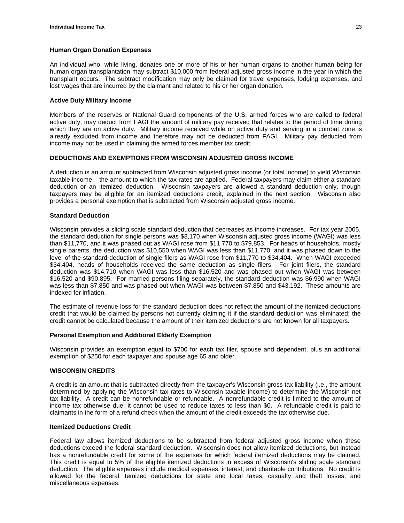#### **Human Organ Donation Expenses**

An individual who, while living, donates one or more of his or her human organs to another human being for human organ transplantation may subtract \$10,000 from federal adjusted gross income in the year in which the transplant occurs. The subtract modification may only be claimed for travel expenses, lodging expenses, and lost wages that are incurred by the claimant and related to his or her organ donation.

#### **Active Duty Military Income**

Members of the reserves or National Guard components of the U.S. armed forces who are called to federal active duty, may deduct from FAGI the amount of military pay received that relates to the period of time during which they are on active duty. Military income received while on active duty and serving in a combat zone is already excluded from income and therefore may not be deducted from FAGI. Military pay deducted from income may not be used in claiming the armed forces member tax credit.

#### **DEDUCTIONS AND EXEMPTIONS FROM WISCONSIN ADJUSTED GROSS INCOME**

A deduction is an amount subtracted from Wisconsin adjusted gross income (or total income) to yield Wisconsin taxable income – the amount to which the tax rates are applied. Federal taxpayers may claim either a standard deduction or an itemized deduction. Wisconsin taxpayers are allowed a standard deduction only, though taxpayers may be eligible for an itemized deductions credit, explained in the next section. Wisconsin also provides a personal exemption that is subtracted from Wisconsin adjusted gross income.

#### **Standard Deduction**

Wisconsin provides a sliding scale standard deduction that decreases as income increases. For tax year 2005, the standard deduction for single persons was \$8,170 when Wisconsin adjusted gross income (WAGI) was less than \$11,770, and it was phased out as WAGI rose from \$11,770 to \$79,853. For heads of households, mostly single parents, the deduction was \$10,550 when WAGI was less than \$11,770, and it was phased down to the level of the standard deduction of single filers as WAGI rose from \$11,770 to \$34,404. When WAGI exceeded \$34,404, heads of households received the same deduction as single filers. For joint filers, the standard deduction was \$14,710 when WAGI was less than \$16,520 and was phased out when WAGI was between \$16,520 and \$90,895. For married persons filing separately, the standard deduction was \$6,990 when WAGI was less than \$7,850 and was phased out when WAGI was between \$7,850 and \$43,192. These amounts are indexed for inflation.

The estimate of revenue loss for the standard deduction does not reflect the amount of the itemized deductions credit that would be claimed by persons not currently claiming it if the standard deduction was eliminated; the credit cannot be calculated because the amount of their itemized deductions are not known for all taxpayers.

#### **Personal Exemption and Additional Elderly Exemption**

Wisconsin provides an exemption equal to \$700 for each tax filer, spouse and dependent, plus an additional exemption of \$250 for each taxpayer and spouse age 65 and older.

#### **WISCONSIN CREDITS**

A credit is an amount that is subtracted directly from the taxpayer's Wisconsin gross tax liability (i.e., the amount determined by applying the Wisconsin tax rates to Wisconsin taxable income) to determine the Wisconsin net tax liability. A credit can be nonrefundable or refundable. A nonrefundable credit is limited to the amount of income tax otherwise due; it cannot be used to reduce taxes to less than \$0. A refundable credit is paid to claimants in the form of a refund check when the amount of the credit exceeds the tax otherwise due.

#### **Itemized Deductions Credit**

Federal law allows itemized deductions to be subtracted from federal adjusted gross income when these deductions exceed the federal standard deduction. Wisconsin does not allow itemized deductions, but instead has a nonrefundable credit for some of the expenses for which federal itemized deductions may be claimed. This credit is equal to 5% of the eligible itemized deductions in excess of Wisconsin's sliding scale standard deduction. The eligible expenses include medical expenses, interest, and charitable contributions. No credit is allowed for the federal itemized deductions for state and local taxes, casualty and theft losses, and miscellaneous expenses.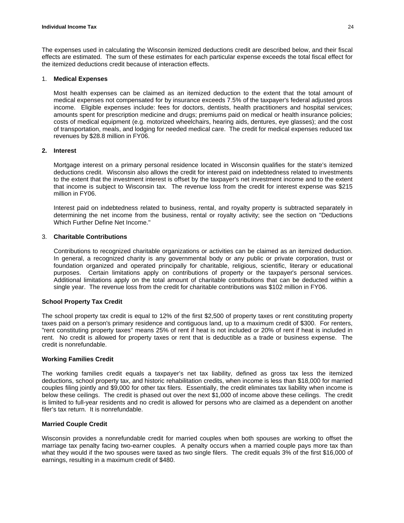The expenses used in calculating the Wisconsin itemized deductions credit are described below, and their fiscal effects are estimated. The sum of these estimates for each particular expense exceeds the total fiscal effect for the itemized deductions credit because of interaction effects.

#### 1. **Medical Expenses**

Most health expenses can be claimed as an itemized deduction to the extent that the total amount of medical expenses not compensated for by insurance exceeds 7.5% of the taxpayer's federal adjusted gross income. Eligible expenses include: fees for doctors, dentists, health practitioners and hospital services; amounts spent for prescription medicine and drugs; premiums paid on medical or health insurance policies; costs of medical equipment (e.g. motorized wheelchairs, hearing aids, dentures, eye glasses); and the cost of transportation, meals, and lodging for needed medical care. The credit for medical expenses reduced tax revenues by \$28.8 million in FY06.

#### **2. Interest**

Mortgage interest on a primary personal residence located in Wisconsin qualifies for the state's itemized deductions credit. Wisconsin also allows the credit for interest paid on indebtedness related to investments to the extent that the investment interest is offset by the taxpayer's net investment income and to the extent that income is subject to Wisconsin tax. The revenue loss from the credit for interest expense was \$215 million in FY06.

Interest paid on indebtedness related to business, rental, and royalty property is subtracted separately in determining the net income from the business, rental or royalty activity; see the section on "Deductions Which Further Define Net Income."

#### 3. **Charitable Contributions**

Contributions to recognized charitable organizations or activities can be claimed as an itemized deduction. In general, a recognized charity is any governmental body or any public or private corporation, trust or foundation organized and operated principally for charitable, religious, scientific, literary or educational purposes. Certain limitations apply on contributions of property or the taxpayer's personal services. Additional limitations apply on the total amount of charitable contributions that can be deducted within a single year. The revenue loss from the credit for charitable contributions was \$102 million in FY06.

#### **School Property Tax Credit**

The school property tax credit is equal to 12% of the first \$2,500 of property taxes or rent constituting property taxes paid on a person's primary residence and contiguous land, up to a maximum credit of \$300. For renters, "rent constituting property taxes" means 25% of rent if heat is not included or 20% of rent if heat is included in rent. No credit is allowed for property taxes or rent that is deductible as a trade or business expense. The credit is nonrefundable.

#### **Working Families Credit**

The working families credit equals a taxpayer's net tax liability, defined as gross tax less the itemized deductions, school property tax, and historic rehabilitation credits, when income is less than \$18,000 for married couples filing jointly and \$9,000 for other tax filers. Essentially, the credit eliminates tax liability when income is below these ceilings. The credit is phased out over the next \$1,000 of income above these ceilings. The credit is limited to full-year residents and no credit is allowed for persons who are claimed as a dependent on another filer's tax return. It is nonrefundable.

#### **Married Couple Credit**

Wisconsin provides a nonrefundable credit for married couples when both spouses are working to offset the marriage tax penalty facing two-earner couples. A penalty occurs when a married couple pays more tax than what they would if the two spouses were taxed as two single filers. The credit equals 3% of the first \$16,000 of earnings, resulting in a maximum credit of \$480.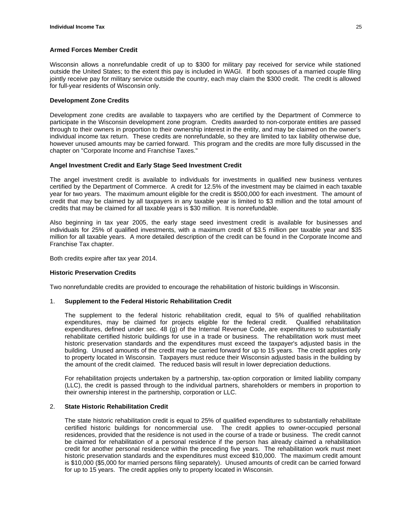#### **Armed Forces Member Credit**

Wisconsin allows a nonrefundable credit of up to \$300 for military pay received for service while stationed outside the United States; to the extent this pay is included in WAGI. If both spouses of a married couple filing jointly receive pay for military service outside the country, each may claim the \$300 credit. The credit is allowed for full-year residents of Wisconsin only.

#### **Development Zone Credits**

Development zone credits are available to taxpayers who are certified by the Department of Commerce to participate in the Wisconsin development zone program. Credits awarded to non-corporate entities are passed through to their owners in proportion to their ownership interest in the entity, and may be claimed on the owner's individual income tax return. These credits are nonrefundable, so they are limited to tax liability otherwise due, however unused amounts may be carried forward. This program and the credits are more fully discussed in the chapter on "Corporate Income and Franchise Taxes."

#### **Angel Investment Credit and Early Stage Seed Investment Credit**

The angel investment credit is available to individuals for investments in qualified new business ventures certified by the Department of Commerce. A credit for 12.5% of the investment may be claimed in each taxable year for two years. The maximum amount eligible for the credit is \$500,000 for each investment. The amount of credit that may be claimed by all taxpayers in any taxable year is limited to \$3 million and the total amount of credits that may be claimed for all taxable years is \$30 million. It is nonrefundable.

Also beginning in tax year 2005, the early stage seed investment credit is available for businesses and individuals for 25% of qualified investments, with a maximum credit of \$3.5 million per taxable year and \$35 million for all taxable years. A more detailed description of the credit can be found in the Corporate Income and Franchise Tax chapter.

Both credits expire after tax year 2014.

#### **Historic Preservation Credits**

Two nonrefundable credits are provided to encourage the rehabilitation of historic buildings in Wisconsin.

#### 1. **Supplement to the Federal Historic Rehabilitation Credit**

The supplement to the federal historic rehabilitation credit, equal to 5% of qualified rehabilitation expenditures, may be claimed for projects eligible for the federal credit. Qualified rehabilitation expenditures, defined under sec. 48 (g) of the Internal Revenue Code, are expenditures to substantially rehabilitate certified historic buildings for use in a trade or business. The rehabilitation work must meet historic preservation standards and the expenditures must exceed the taxpayer's adjusted basis in the building. Unused amounts of the credit may be carried forward for up to 15 years. The credit applies only to property located in Wisconsin. Taxpayers must reduce their Wisconsin adjusted basis in the building by the amount of the credit claimed. The reduced basis will result in lower depreciation deductions.

For rehabilitation projects undertaken by a partnership, tax-option corporation or limited liability company (LLC), the credit is passed through to the individual partners, shareholders or members in proportion to their ownership interest in the partnership, corporation or LLC.

#### 2. **State Historic Rehabilitation Credit**

The state historic rehabilitation credit is equal to 25% of qualified expenditures to substantially rehabilitate certified historic buildings for noncommercial use. The credit applies to owner-occupied personal residences, provided that the residence is not used in the course of a trade or business. The credit cannot be claimed for rehabilitation of a personal residence if the person has already claimed a rehabilitation credit for another personal residence within the preceding five years. The rehabilitation work must meet historic preservation standards and the expenditures must exceed \$10,000. The maximum credit amount is \$10,000 (\$5,000 for married persons filing separately). Unused amounts of credit can be carried forward for up to 15 years. The credit applies only to property located in Wisconsin.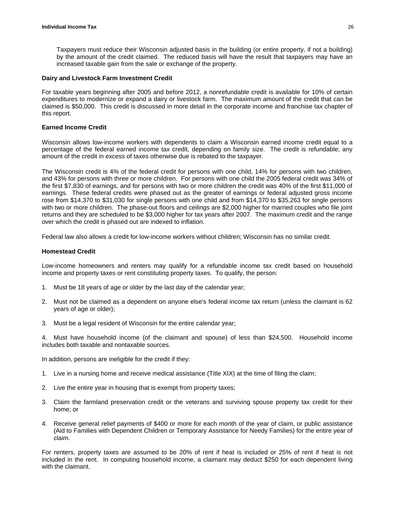Taxpayers must reduce their Wisconsin adjusted basis in the building (or entire property, if not a building) by the amount of the credit claimed. The reduced basis will have the result that taxpayers may have an increased taxable gain from the sale or exchange of the property.

#### **Dairy and Livestock Farm Investment Credit**

For taxable years beginning after 2005 and before 2012, a nonrefundable credit is available for 10% of certain expenditures to modernize or expand a dairy or livestock farm. The maximum amount of the credit that can be claimed is \$50,000. This credit is discussed in more detail in the corporate income and franchise tax chapter of this report.

#### **Earned Income Credit**

Wisconsin allows low-income workers with dependents to claim a Wisconsin earned income credit equal to a percentage of the federal earned income tax credit, depending on family size. The credit is refundable; any amount of the credit in excess of taxes otherwise due is rebated to the taxpayer.

The Wisconsin credit is 4% of the federal credit for persons with one child, 14% for persons with two children, and 43% for persons with three or more children. For persons with one child the 2005 federal credit was 34% of the first \$7,830 of earnings, and for persons with two or more children the credit was 40% of the first \$11,000 of earnings. These federal credits were phased out as the greater of earnings or federal adjusted gross income rose from \$14,370 to \$31,030 for single persons with one child and from \$14,370 to \$35,263 for single persons with two or more children. The phase-out floors and ceilings are \$2,000 higher for married couples who file joint returns and they are scheduled to be \$3,000 higher for tax years after 2007. The maximum credit and the range over which the credit is phased out are indexed to inflation.

Federal law also allows a credit for low-income workers without children; Wisconsin has no similar credit.

#### **Homestead Credit**

Low-income homeowners and renters may qualify for a refundable income tax credit based on household income and property taxes or rent constituting property taxes. To qualify, the person:

- 1. Must be 18 years of age or older by the last day of the calendar year;
- 2. Must not be claimed as a dependent on anyone else's federal income tax return (unless the claimant is 62 years of age or older);
- 3. Must be a legal resident of Wisconsin for the entire calendar year;

4. Must have household income (of the claimant and spouse) of less than \$24,500. Household income includes both taxable and nontaxable sources.

In addition, persons are ineligible for the credit if they:

- 1. Live in a nursing home and receive medical assistance (Title XIX) at the time of filing the claim;
- 2. Live the entire year in housing that is exempt from property taxes;
- 3. Claim the farmland preservation credit or the veterans and surviving spouse property tax credit for their home; or
- 4. Receive general relief payments of \$400 or more for each month of the year of claim, or public assistance (Aid to Families with Dependent Children or Temporary Assistance for Needy Families) for the entire year of claim.

For renters, property taxes are assumed to be 20% of rent if heat is included or 25% of rent if heat is not included in the rent. In computing household income, a claimant may deduct \$250 for each dependent living with the claimant.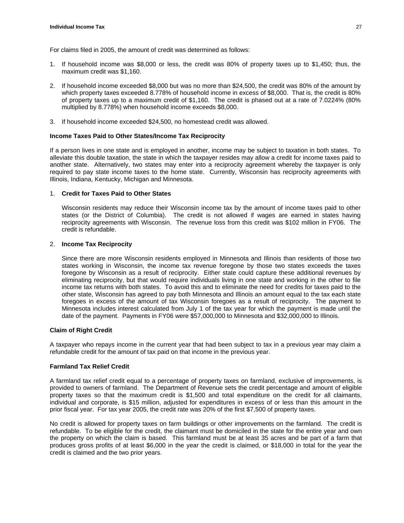For claims filed in 2005, the amount of credit was determined as follows:

- 1. If household income was \$8,000 or less, the credit was 80% of property taxes up to \$1,450; thus, the maximum credit was \$1,160.
- 2. If household income exceeded \$8,000 but was no more than \$24,500, the credit was 80% of the amount by which property taxes exceeded 8.778% of household income in excess of \$8,000. That is, the credit is 80% of property taxes up to a maximum credit of \$1,160. The credit is phased out at a rate of 7.0224% (80% multiplied by 8.778%) when household income exceeds \$8,000.
- 3. If household income exceeded \$24,500, no homestead credit was allowed.

#### **Income Taxes Paid to Other States/Income Tax Reciprocity**

If a person lives in one state and is employed in another, income may be subject to taxation in both states. To alleviate this double taxation, the state in which the taxpayer resides may allow a credit for income taxes paid to another state. Alternatively, two states may enter into a reciprocity agreement whereby the taxpayer is only required to pay state income taxes to the home state. Currently, Wisconsin has reciprocity agreements with Illinois, Indiana, Kentucky, Michigan and Minnesota.

#### 1. **Credit for Taxes Paid to Other States**

Wisconsin residents may reduce their Wisconsin income tax by the amount of income taxes paid to other states (or the District of Columbia). The credit is not allowed if wages are earned in states having reciprocity agreements with Wisconsin. The revenue loss from this credit was \$102 million in FY06. The credit is refundable.

#### 2. **Income Tax Reciprocity**

Since there are more Wisconsin residents employed in Minnesota and Illinois than residents of those two states working in Wisconsin, the income tax revenue foregone by those two states exceeds the taxes foregone by Wisconsin as a result of reciprocity. Either state could capture these additional revenues by eliminating reciprocity, but that would require individuals living in one state and working in the other to file income tax returns with both states. To avoid this and to eliminate the need for credits for taxes paid to the other state, Wisconsin has agreed to pay both Minnesota and Illinois an amount equal to the tax each state foregoes in excess of the amount of tax Wisconsin foregoes as a result of reciprocity. The payment to Minnesota includes interest calculated from July 1 of the tax year for which the payment is made until the date of the payment. Payments in FY06 were \$57,000,000 to Minnesota and \$32,000,000 to Illinois.

#### **Claim of Right Credit**

A taxpayer who repays income in the current year that had been subject to tax in a previous year may claim a refundable credit for the amount of tax paid on that income in the previous year.

#### **Farmland Tax Relief Credit**

A farmland tax relief credit equal to a percentage of property taxes on farmland, exclusive of improvements, is provided to owners of farmland. The Department of Revenue sets the credit percentage and amount of eligible property taxes so that the maximum credit is \$1,500 and total expenditure on the credit for all claimants, individual and corporate, is \$15 million, adjusted for expenditures in excess of or less than this amount in the prior fiscal year. For tax year 2005, the credit rate was 20% of the first \$7,500 of property taxes.

No credit is allowed for property taxes on farm buildings or other improvements on the farmland. The credit is refundable. To be eligible for the credit, the claimant must be domiciled in the state for the entire year and own the property on which the claim is based. This farmland must be at least 35 acres and be part of a farm that produces gross profits of at least \$6,000 in the year the credit is claimed, or \$18,000 in total for the year the credit is claimed and the two prior years.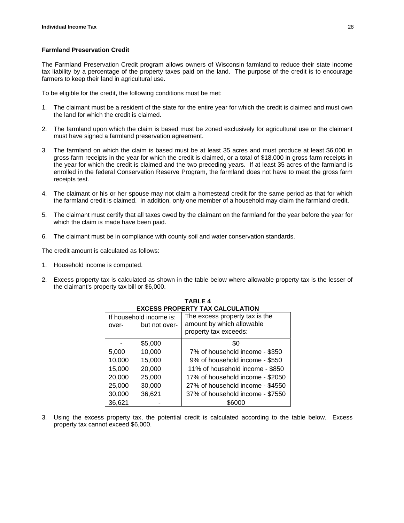#### **Farmland Preservation Credit**

The Farmland Preservation Credit program allows owners of Wisconsin farmland to reduce their state income tax liability by a percentage of the property taxes paid on the land. The purpose of the credit is to encourage farmers to keep their land in agricultural use.

To be eligible for the credit, the following conditions must be met:

- 1. The claimant must be a resident of the state for the entire year for which the credit is claimed and must own the land for which the credit is claimed.
- 2. The farmland upon which the claim is based must be zoned exclusively for agricultural use or the claimant must have signed a farmland preservation agreement.
- 3. The farmland on which the claim is based must be at least 35 acres and must produce at least \$6,000 in gross farm receipts in the year for which the credit is claimed, or a total of \$18,000 in gross farm receipts in the year for which the credit is claimed and the two preceding years. If at least 35 acres of the farmland is enrolled in the federal Conservation Reserve Program, the farmland does not have to meet the gross farm receipts test.
- 4. The claimant or his or her spouse may not claim a homestead credit for the same period as that for which the farmland credit is claimed. In addition, only one member of a household may claim the farmland credit.
- 5. The claimant must certify that all taxes owed by the claimant on the farmland for the year before the year for which the claim is made have been paid.
- 6. The claimant must be in compliance with county soil and water conservation standards.

The credit amount is calculated as follows:

- 1. Household income is computed.
- 2. Excess property tax is calculated as shown in the table below where allowable property tax is the lesser of the claimant's property tax bill or \$6,000.

| LAULJU I INUI<br>LII LAA VALVULATIVII |                                          |                                                                                      |
|---------------------------------------|------------------------------------------|--------------------------------------------------------------------------------------|
| over-                                 | If household income is:<br>but not over- | The excess property tax is the<br>amount by which allowable<br>property tax exceeds: |
|                                       | \$5,000                                  | \$0                                                                                  |
| 5,000                                 | 10,000                                   | 7% of household income - \$350                                                       |
| 10,000                                | 15,000                                   | 9% of household income - \$550                                                       |
| 15,000                                | 20,000                                   | 11% of household income - \$850                                                      |
| 20,000                                | 25,000                                   | 17% of household income - \$2050                                                     |
| 25,000                                | 30,000                                   | 27% of household income - \$4550                                                     |
| 30,000                                | 36,621                                   | 37% of household income - \$7550                                                     |
| 36,621                                |                                          | \$6000                                                                               |

**TABLE 4**  EVCESS **PROPERTY TAY CALCULATION** 

3. Using the excess property tax, the potential credit is calculated according to the table below. Excess property tax cannot exceed \$6,000.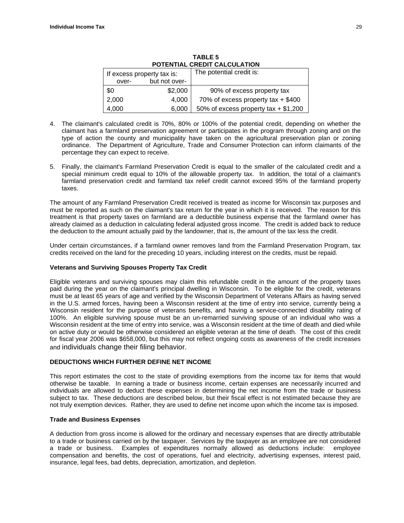| POTENTIAL CREDIT CALCULATION |               |                                        |
|------------------------------|---------------|----------------------------------------|
| If excess property tax is:   |               | The potential credit is:               |
| over-                        | but not over- |                                        |
| \$0                          | \$2,000       | 90% of excess property tax             |
| 2,000                        | 4,000         | 70% of excess property tax $+$ \$400   |
| 4,000                        | 6,000         | 50% of excess property tax $+$ \$1,200 |

**TABLE 5 POTENTIAL CREDIT CALCULATION**

- 4. The claimant's calculated credit is 70%, 80% or 100% of the potential credit, depending on whether the claimant has a farmland preservation agreement or participates in the program through zoning and on the type of action the county and municipality have taken on the agricultural preservation plan or zoning ordinance. The Department of Agriculture, Trade and Consumer Protection can inform claimants of the percentage they can expect to receive.
- 5. Finally, the claimant's Farmland Preservation Credit is equal to the smaller of the calculated credit and a special minimum credit equal to 10% of the allowable property tax. In addition, the total of a claimant's farmland preservation credit and farmland tax relief credit cannot exceed 95% of the farmland property taxes.

The amount of any Farmland Preservation Credit received is treated as income for Wisconsin tax purposes and must be reported as such on the claimant's tax return for the year in which it is received. The reason for this treatment is that property taxes on farmland are a deductible business expense that the farmland owner has already claimed as a deduction in calculating federal adjusted gross income. The credit is added back to reduce the deduction to the amount actually paid by the landowner, that is, the amount of the tax less the credit.

Under certain circumstances, if a farmland owner removes land from the Farmland Preservation Program, tax credits received on the land for the preceding 10 years, including interest on the credits, must be repaid.

#### **Veterans and Surviving Spouses Property Tax Credit**

Eligible veterans and surviving spouses may claim this refundable credit in the amount of the property taxes paid during the year on the claimant's principal dwelling in Wisconsin. To be eligible for the credit, veterans must be at least 65 years of age and verified by the Wisconsin Department of Veterans Affairs as having served in the U.S. armed forces, having been a Wisconsin resident at the time of entry into service, currently being a Wisconsin resident for the purpose of veterans benefits, and having a service-connected disability rating of 100%. An eligible surviving spouse must be an un-remarried surviving spouse of an individual who was a Wisconsin resident at the time of entry into service, was a Wisconsin resident at the time of death and died while on active duty or would be otherwise considered an eligible veteran at the time of death. The cost of this credit for fiscal year 2006 was \$658,000, but this may not reflect ongoing costs as awareness of the credit increases and individuals change their filing behavior.

#### **DEDUCTIONS WHICH FURTHER DEFINE NET INCOME**

This report estimates the cost to the state of providing exemptions from the income tax for items that would otherwise be taxable. In earning a trade or business income, certain expenses are necessarily incurred and individuals are allowed to deduct these expenses in determining the net income from the trade or business subject to tax. These deductions are described below, but their fiscal effect is not estimated because they are not truly exemption devices. Rather, they are used to define net income upon which the income tax is imposed.

#### **Trade and Business Expenses**

A deduction from gross income is allowed for the ordinary and necessary expenses that are directly attributable to a trade or business carried on by the taxpayer. Services by the taxpayer as an employee are not considered a trade or business. Examples of expenditures normally allowed as deductions include: employee compensation and benefits, the cost of operations, fuel and electricity, advertising expenses, interest paid, insurance, legal fees, bad debts, depreciation, amortization, and depletion.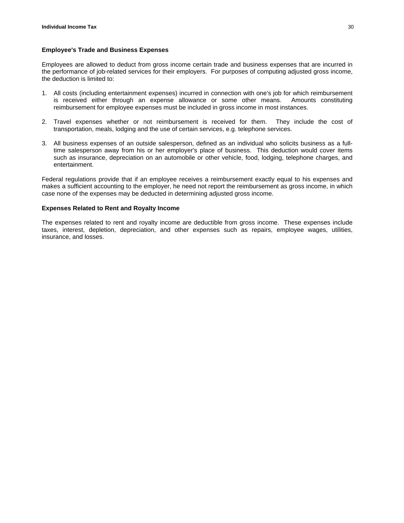#### **Employee's Trade and Business Expenses**

Employees are allowed to deduct from gross income certain trade and business expenses that are incurred in the performance of job-related services for their employers. For purposes of computing adjusted gross income, the deduction is limited to:

- 1. All costs (including entertainment expenses) incurred in connection with one's job for which reimbursement is received either through an expense allowance or some other means. Amounts constituting reimbursement for employee expenses must be included in gross income in most instances.
- 2. Travel expenses whether or not reimbursement is received for them. They include the cost of transportation, meals, lodging and the use of certain services, e.g. telephone services.
- 3. All business expenses of an outside salesperson, defined as an individual who solicits business as a fulltime salesperson away from his or her employer's place of business. This deduction would cover items such as insurance, depreciation on an automobile or other vehicle, food, lodging, telephone charges, and entertainment.

Federal regulations provide that if an employee receives a reimbursement exactly equal to his expenses and makes a sufficient accounting to the employer, he need not report the reimbursement as gross income, in which case none of the expenses may be deducted in determining adjusted gross income.

#### **Expenses Related to Rent and Royalty Income**

The expenses related to rent and royalty income are deductible from gross income. These expenses include taxes, interest, depletion, depreciation, and other expenses such as repairs, employee wages, utilities, insurance, and losses.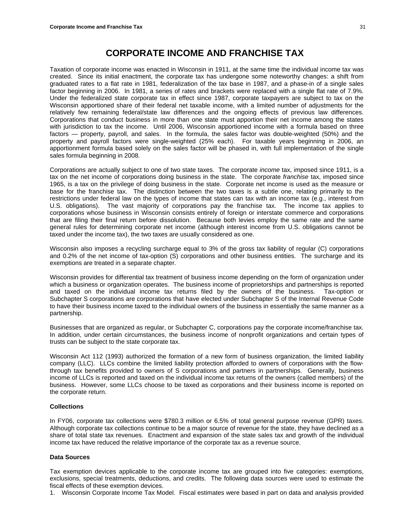## **CORPORATE INCOME AND FRANCHISE TAX**

<span id="page-32-0"></span>Taxation of corporate income was enacted in Wisconsin in 1911, at the same time the individual income tax was created. Since its initial enactment, the corporate tax has undergone some noteworthy changes: a shift from graduated rates to a flat rate in 1981, federalization of the tax base in 1987, and a phase-in of a single sales factor beginning in 2006. In 1981, a series of rates and brackets were replaced with a single flat rate of 7.9%. Under the federalized state corporate tax in effect since 1987, corporate taxpayers are subject to tax on the Wisconsin apportioned share of their federal net taxable income, with a limited number of adjustments for the relatively few remaining federal/state law differences and the ongoing effects of previous law differences. Corporations that conduct business in more than one state must apportion their net income among the states with jurisdiction to tax the income. Until 2006, Wisconsin apportioned income with a formula based on three factors — property, payroll, and sales. In the formula, the sales factor was double-weighted (50%) and the property and payroll factors were single-weighted (25% each). For taxable years beginning in 2006, an apportionment formula based solely on the sales factor will be phased in, with full implementation of the single sales formula beginning in 2008.

Corporations are actually subject to one of two state taxes. The corporate *income* tax, imposed since 1911, is a tax on the net income of corporations doing business in the state. The corporate *franchise* tax, imposed since 1965, is a tax on the privilege of doing business in the state. Corporate net income is used as the measure or base for the franchise tax. The distinction between the two taxes is a subtle one, relating primarily to the restrictions under federal law on the types of income that states can tax with an income tax (e.g., interest from U.S. obligations). The vast majority of corporations pay the franchise tax. The income tax applies to corporations whose business in Wisconsin consists entirely of foreign or interstate commerce and corporations that are filing their final return before dissolution. Because both levies employ the same rate and the same general rules for determining corporate net income (although interest income from U.S. obligations cannot be taxed under the income tax), the two taxes are usually considered as one.

Wisconsin also imposes a recycling surcharge equal to 3% of the gross tax liability of regular (C) corporations and 0.2% of the net income of tax-option (S) corporations and other business entities. The surcharge and its exemptions are treated in a separate chapter.

Wisconsin provides for differential tax treatment of business income depending on the form of organization under which a business or organization operates. The business income of proprietorships and partnerships is reported and taxed on the individual income tax returns filed by the owners of the business. Tax-option or Subchapter S corporations are corporations that have elected under Subchapter S of the Internal Revenue Code to have their business income taxed to the individual owners of the business in essentially the same manner as a partnership.

Businesses that are organized as regular, or Subchapter C, corporations pay the corporate income/franchise tax. In addition, under certain circumstances, the business income of nonprofit organizations and certain types of trusts can be subject to the state corporate tax.

Wisconsin Act 112 (1993) authorized the formation of a new form of business organization, the limited liability company (LLC). LLCs combine the limited liability protection afforded to owners of corporations with the flowthrough tax benefits provided to owners of S corporations and partners in partnerships. Generally, business income of LLCs is reported and taxed on the individual income tax returns of the owners (called members) of the business. However, some LLCs choose to be taxed as corporations and their business income is reported on the corporate return.

#### **Collections**

In FY06, corporate tax collections were \$780.3 million or 6.5% of total general purpose revenue (GPR) taxes. Although corporate tax collections continue to be a major source of revenue for the state, they have declined as a share of total state tax revenues. Enactment and expansion of the state sales tax and growth of the individual income tax have reduced the relative importance of the corporate tax as a revenue source.

#### **Data Sources**

Tax exemption devices applicable to the corporate income tax are grouped into five categories: exemptions, exclusions, special treatments, deductions, and credits. The following data sources were used to estimate the fiscal effects of these exemption devices.

1. Wisconsin Corporate Income Tax Model. Fiscal estimates were based in part on data and analysis provided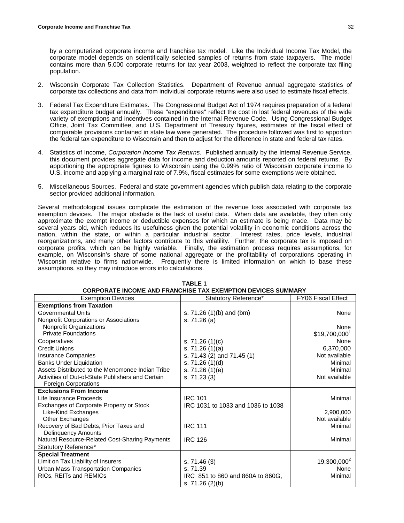by a computerized corporate income and franchise tax model. Like the Individual Income Tax Model, the corporate model depends on scientifically selected samples of returns from state taxpayers. The model contains more than 5,000 corporate returns for tax year 2003, weighted to reflect the corporate tax filing population.

- 2. Wisconsin Corporate Tax Collection Statistics. Department of Revenue annual aggregate statistics of corporate tax collections and data from individual corporate returns were also used to estimate fiscal effects.
- 3. Federal Tax Expenditure Estimates. The Congressional Budget Act of 1974 requires preparation of a federal tax expenditure budget annually. These "expenditures" reflect the cost in lost federal revenues of the wide variety of exemptions and incentives contained in the Internal Revenue Code. Using Congressional Budget Office, Joint Tax Committee, and U.S. Department of Treasury figures, estimates of the fiscal effect of comparable provisions contained in state law were generated. The procedure followed was first to apportion the federal tax expenditure to Wisconsin and then to adjust for the difference in state and federal tax rates.
- 4. Statistics of Income, *Corporation Income Tax Returns*. Published annually by the Internal Revenue Service, this document provides aggregate data for income and deduction amounts reported on federal returns. By apportioning the appropriate figures to Wisconsin using the 0.99% ratio of Wisconsin corporate income to U.S. income and applying a marginal rate of 7.9%, fiscal estimates for some exemptions were obtained.
- 5. Miscellaneous Sources. Federal and state government agencies which publish data relating to the corporate sector provided additional information.

Several methodological issues complicate the estimation of the revenue loss associated with corporate tax exemption devices. The major obstacle is the lack of useful data. When data are available, they often only approximate the exempt income or deductible expenses for which an estimate is being made. Data may be several years old, which reduces its usefulness given the potential volatility in economic conditions across the nation, within the state, or within a particular industrial sector. Interest rates, price levels, industrial reorganizations, and many other factors contribute to this volatility. Further, the corporate tax is imposed on corporate profits, which can be highly variable. Finally, the estimation process requires assumptions, for example, on Wisconsin's share of some national aggregate or the profitability of corporations operating in Wisconsin relative to firms nationwide. Frequently there is limited information on which to base these assumptions, so they may introduce errors into calculations.

| <b>Exemption Devices</b>                          | Statutory Reference*              | FY06 Fiscal Effect        |
|---------------------------------------------------|-----------------------------------|---------------------------|
| <b>Exemptions from Taxation</b>                   |                                   |                           |
| Governmental Units                                | s. $71.26(1)(b)$ and $(bm)$       | None                      |
| Nonprofit Corporations or Associations            | s. 71.26 (a)                      |                           |
| Nonprofit Organizations                           |                                   | None                      |
| <b>Private Foundations</b>                        |                                   | \$19,700,000 <sup>1</sup> |
| Cooperatives                                      | s. $71.26(1)(c)$                  | None                      |
| <b>Credit Unions</b>                              | s. $71.26(1)(a)$                  | 6,370,000                 |
| <b>Insurance Companies</b>                        | s. 71.43 (2) and 71.45 (1)        | Not available             |
| <b>Banks Under Liquidation</b>                    | s. $71.26(1)(d)$                  | Minimal                   |
| Assets Distributed to the Menomonee Indian Tribe  | s. 71.26 (1)(e)                   | Minimal                   |
| Activities of Out-of-State Publishers and Certain | s. 71.23(3)                       | Not available             |
| <b>Foreign Corporations</b>                       |                                   |                           |
| <b>Exclusions From Income</b>                     |                                   |                           |
| Life Insurance Proceeds                           | <b>IRC 101</b>                    | Minimal                   |
| Exchanges of Corporate Property or Stock          | IRC 1031 to 1033 and 1036 to 1038 |                           |
| Like-Kind Exchanges                               |                                   | 2,900,000                 |
| Other Exchanges                                   |                                   | Not available             |
| Recovery of Bad Debts, Prior Taxes and            | <b>IRC 111</b>                    | Minimal                   |
| <b>Delinquency Amounts</b>                        |                                   |                           |
| Natural Resource-Related Cost-Sharing Payments    | <b>IRC 126</b>                    | Minimal                   |
| Statutory Reference*                              |                                   |                           |
| <b>Special Treatment</b>                          |                                   |                           |
| Limit on Tax Liability of Insurers                | s. 71.46 (3)                      | $19,300,000^2$            |
| <b>Urban Mass Transportation Companies</b>        | s. 71.39                          | None                      |
| RICs, REITs and REMICs                            | IRC 851 to 860 and 860A to 860G,  | Minimal                   |
|                                                   | s. $71.26$ (2)(b)                 |                           |

#### **TABLE 1 CORPORATE INCOME AND FRANCHISE TAX EXEMPTION DEVICES SUMMARY**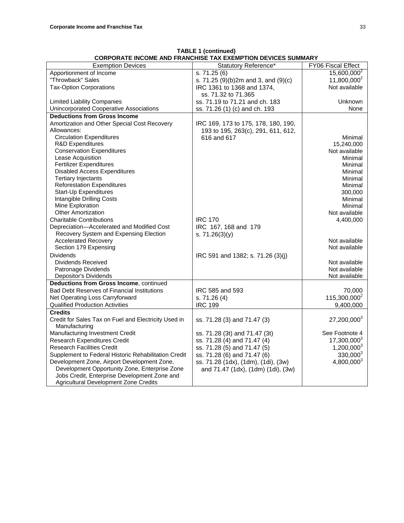| <b>Exemption Devices</b>                             | Statutory Reference*                | FY06 Fiscal Effect       |
|------------------------------------------------------|-------------------------------------|--------------------------|
| Apportionment of Income                              | s. 71.25(6)                         | 15,600,000 <sup>2</sup>  |
| "Throwback" Sales                                    | s. 71.25 (9)(b)2m and 3, and (9)(c) | $11,800,000^2$           |
| <b>Tax-Option Corporations</b>                       | IRC 1361 to 1368 and 1374,          | Not available            |
|                                                      | ss. 71.32 to 71.365                 |                          |
| <b>Limited Liability Companies</b>                   | ss. 71.19 to 71.21 and ch. 183      | <b>Unknown</b>           |
| Unincorporated Cooperative Associations              | ss. 71.26 (1) (c) and ch. 193       | None                     |
| <b>Deductions from Gross Income</b>                  |                                     |                          |
| Amortization and Other Special Cost Recovery         | IRC 169, 173 to 175, 178, 180, 190, |                          |
| Allowances:                                          | 193 to 195, 263(c), 291, 611, 612,  |                          |
| <b>Circulation Expenditures</b>                      | 616 and 617                         | Minimal                  |
| <b>R&amp;D Expenditures</b>                          |                                     | 15,240,000               |
| <b>Conservation Expenditures</b>                     |                                     | Not available            |
| Lease Acquisition                                    |                                     | Minimal                  |
| <b>Fertilizer Expenditures</b>                       |                                     | Minimal                  |
| <b>Disabled Access Expenditures</b>                  |                                     | Minimal                  |
| <b>Tertiary Injectants</b>                           |                                     | Minimal                  |
| <b>Reforestation Expenditures</b>                    |                                     | Minimal                  |
| Start-Up Expenditures                                |                                     | 300,000                  |
| Intangible Drilling Costs                            |                                     | Minimal                  |
| Mine Exploration                                     |                                     | Minimal                  |
| <b>Other Amortization</b>                            |                                     | Not available            |
| <b>Charitable Contributions</b>                      | <b>IRC 170</b>                      | 4,400,000                |
| Depreciation-Accelerated and Modified Cost           | IRC 167, 168 and 179                |                          |
| Recovery System and Expensing Election               | s. $71.26(3)(y)$                    |                          |
| <b>Accelerated Recovery</b>                          |                                     | Not available            |
| Section 179 Expensing                                |                                     | Not available            |
| <b>Dividends</b>                                     | IRC 591 and 1382; s. 71.26 (3)(j)   |                          |
| Dividends Received                                   |                                     | Not available            |
| Patronage Dividends                                  |                                     | Not available            |
| Depositor's Dividends                                |                                     | Not available            |
| Deductions from Gross Income, continued              |                                     |                          |
| <b>Bad Debt Reserves of Financial Institutions</b>   | IRC 585 and 593                     | 70,000                   |
| Net Operating Loss Carryforward                      | s. 71.26 (4)                        | 115,300,000 <sup>2</sup> |
| <b>Qualified Production Activities</b>               | <b>IRC 199</b>                      | 9,400,000                |
| <b>Credits</b>                                       |                                     |                          |
| Credit for Sales Tax on Fuel and Electricity Used in | ss. 71.28 (3) and 71.47 (3)         | 27,200,000 <sup>3</sup>  |
| Manufacturing                                        |                                     |                          |
| Manufacturing Investment Credit                      | ss. 71.28 (3t) and 71.47 (3t)       | See Footnote 4           |
| Research Expenditures Credit                         | ss. 71.28 (4) and 71.47 (4)         | $17,300,000^3$           |
| <b>Research Facilities Credit</b>                    | ss. 71.28 (5) and 71.47 (5)         | $1,200,000^3$            |
| Supplement to Federal Historic Rehabilitation Credit | ss. 71.28 (6) and 71.47 (6)         | $330,000^3$              |
| Development Zone, Airport Development Zone,          | ss. 71.28 (1dx), (1dm), (1di), (3w) | $4,800,000^3$            |
| Development Opportunity Zone, Enterprise Zone        | and 71.47 (1dx), (1dm) (1di), (3w)  |                          |
| Jobs Credit, Enterprise Development Zone and         |                                     |                          |
| Agricultural Development Zone Credits                |                                     |                          |

**TABLE 1 (continued) CORPORATE INCOME AND FRANCHISE TAX EXEMPTION DEVICES SUMMARY**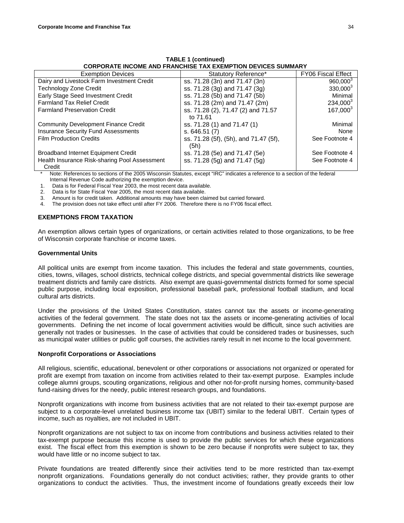| <b>CORPORATE INCOME AND FRANCHISE TAX EXEMPTION DEVICES SUMMARY</b> |                                       |                           |  |
|---------------------------------------------------------------------|---------------------------------------|---------------------------|--|
| <b>Exemption Devices</b>                                            | Statutory Reference*                  | <b>FY06 Fiscal Effect</b> |  |
| Dairy and Livestock Farm Investment Credit                          | ss. 71.28 (3n) and 71.47 (3n)         | 960,000 <sup>3</sup>      |  |
| <b>Technology Zone Credit</b>                                       | ss. 71.28 (3g) and 71.47 (3g)         | $330,000^3$               |  |
| Early Stage Seed Investment Credit                                  | ss. 71.28 (5b) and 71.47 (5b)         | Minimal                   |  |
| <b>Farmland Tax Relief Credit</b>                                   | ss. 71.28 (2m) and 71.47 (2m)         | 234,000 <sup>3</sup>      |  |
| <b>Farmland Preservation Credit</b>                                 | ss. 71.28 (2), 71.47 (2) and 71.57    | $167,000^3$               |  |
|                                                                     | to 71.61                              |                           |  |
| <b>Community Development Finance Credit</b>                         | ss. 71.28 (1) and 71.47 (1)           | Minimal                   |  |
| <b>Insurance Security Fund Assessments</b>                          | s.646.51(7)                           | None                      |  |
| <b>Film Production Credits</b>                                      | ss. 71.28 (5f), (5h), and 71.47 (5f), | See Footnote 4            |  |
|                                                                     | (5h)                                  |                           |  |
| Broadband Internet Equipment Credit                                 | ss. 71.28 (5e) and 71.47 (5e)         | See Footnote 4            |  |
| Health Insurance Risk-sharing Pool Assessment                       | ss. 71.28 (5g) and 71.47 (5g)         | See Footnote 4            |  |
| Credit                                                              |                                       |                           |  |

**TABLE 1 (continued)** 

Note: References to sections of the 2005 Wisconsin Statutes, except "IRC" indicates a reference to a section of the federal Internal Revenue Code authorizing the exemption device.

1. Data is for Federal Fiscal Year 2003, the most recent data available.

2. Data is for State Fiscal Year 2005, the most recent data available.

3. Amount is for credit taken. Additional amounts may have been claimed but carried forward.

4. The provision does not take effect until after FY 2006. Therefore there is no FY06 fiscal effect.

#### **EXEMPTIONS FROM TAXATION**

An exemption allows certain types of organizations, or certain activities related to those organizations, to be free of Wisconsin corporate franchise or income taxes.

#### **Governmental Units**

All political units are exempt from income taxation. This includes the federal and state governments, counties, cities, towns, villages, school districts, technical college districts, and special governmental districts like sewerage treatment districts and family care districts. Also exempt are quasi-governmental districts formed for some special public purpose, including local exposition, professional baseball park, professional football stadium, and local cultural arts districts.

Under the provisions of the United States Constitution, states cannot tax the assets or income-generating activities of the federal government. The state does not tax the assets or income-generating activities of local governments. Defining the net income of local government activities would be difficult, since such activities are generally not trades or businesses. In the case of activities that could be considered trades or businesses, such as municipal water utilities or public golf courses, the activities rarely result in net income to the local government.

#### **Nonprofit Corporations or Associations**

All religious, scientific, educational, benevolent or other corporations or associations not organized or operated for profit are exempt from taxation on income from activities related to their tax-exempt purpose. Examples include college alumni groups, scouting organizations, religious and other not-for-profit nursing homes, community-based fund-raising drives for the needy, public interest research groups, and foundations.

Nonprofit organizations with income from business activities that are not related to their tax-exempt purpose are subject to a corporate-level unrelated business income tax (UBIT) similar to the federal UBIT. Certain types of income, such as royalties, are not included in UBIT.

Nonprofit organizations are not subject to tax on income from contributions and business activities related to their tax-exempt purpose because this income is used to provide the public services for which these organizations exist. The fiscal effect from this exemption is shown to be zero because if nonprofits were subject to tax, they would have little or no income subject to tax.

Private foundations are treated differently since their activities tend to be more restricted than tax-exempt nonprofit organizations. Foundations generally do not conduct activities; rather, they provide grants to other organizations to conduct the activities. Thus, the investment income of foundations greatly exceeds their low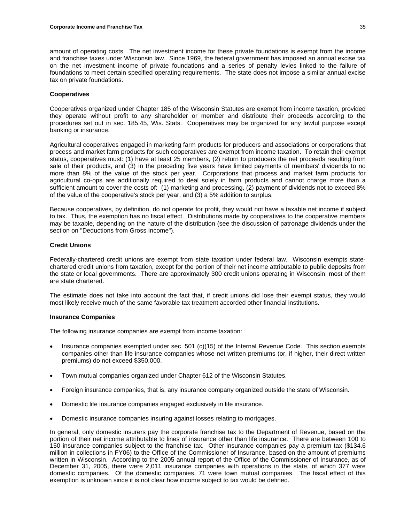amount of operating costs. The net investment income for these private foundations is exempt from the income and franchise taxes under Wisconsin law. Since 1969, the federal government has imposed an annual excise tax on the net investment income of private foundations and a series of penalty levies linked to the failure of foundations to meet certain specified operating requirements. The state does not impose a similar annual excise tax on private foundations.

### **Cooperatives**

Cooperatives organized under Chapter 185 of the Wisconsin Statutes are exempt from income taxation, provided they operate without profit to any shareholder or member and distribute their proceeds according to the procedures set out in sec. 185.45, Wis. Stats. Cooperatives may be organized for any lawful purpose except banking or insurance.

Agricultural cooperatives engaged in marketing farm products for producers and associations or corporations that process and market farm products for such cooperatives are exempt from income taxation. To retain their exempt status, cooperatives must: (1) have at least 25 members, (2) return to producers the net proceeds resulting from sale of their products, and (3) in the preceding five years have limited payments of members' dividends to no more than 8% of the value of the stock per year. Corporations that process and market farm products for agricultural co-ops are additionally required to deal solely in farm products and cannot charge more than a sufficient amount to cover the costs of: (1) marketing and processing, (2) payment of dividends not to exceed 8% of the value of the cooperative's stock per year, and (3) a 5% addition to surplus.

Because cooperatives, by definition, do not operate for profit, they would not have a taxable net income if subject to tax. Thus, the exemption has no fiscal effect. Distributions made by cooperatives to the cooperative members may be taxable, depending on the nature of the distribution (see the discussion of patronage dividends under the section on "Deductions from Gross Income").

# **Credit Unions**

Federally-chartered credit unions are exempt from state taxation under federal law. Wisconsin exempts statechartered credit unions from taxation, except for the portion of their net income attributable to public deposits from the state or local governments. There are approximately 300 credit unions operating in Wisconsin; most of them are state chartered.

The estimate does not take into account the fact that, if credit unions did lose their exempt status, they would most likely receive much of the same favorable tax treatment accorded other financial institutions.

#### **Insurance Companies**

The following insurance companies are exempt from income taxation:

- Insurance companies exempted under sec. 501 (c)(15) of the Internal Revenue Code. This section exempts companies other than life insurance companies whose net written premiums (or, if higher, their direct written premiums) do not exceed \$350,000.
- Town mutual companies organized under Chapter 612 of the Wisconsin Statutes.
- Foreign insurance companies, that is, any insurance company organized outside the state of Wisconsin.
- Domestic life insurance companies engaged exclusively in life insurance.
- Domestic insurance companies insuring against losses relating to mortgages.

In general, only domestic insurers pay the corporate franchise tax to the Department of Revenue, based on the portion of their net income attributable to lines of insurance other than life insurance. There are between 100 to 150 insurance companies subject to the franchise tax. Other insurance companies pay a premium tax (\$134.6 million in collections in FY06) to the Office of the Commissioner of Insurance, based on the amount of premiums written in Wisconsin. According to the 2005 annual report of the Office of the Commissioner of Insurance, as of December 31, 2005, there were 2,011 insurance companies with operations in the state, of which 377 were domestic companies. Of the domestic companies, 71 were town mutual companies. The fiscal effect of this exemption is unknown since it is not clear how income subject to tax would be defined.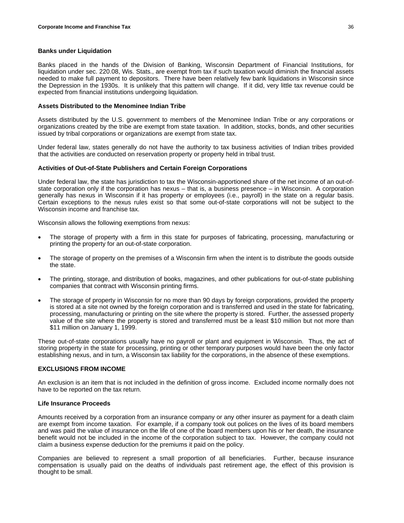# **Banks under Liquidation**

Banks placed in the hands of the Division of Banking, Wisconsin Department of Financial Institutions, for liquidation under sec. 220.08, Wis. Stats., are exempt from tax if such taxation would diminish the financial assets needed to make full payment to depositors. There have been relatively few bank liquidations in Wisconsin since the Depression in the 1930s. It is unlikely that this pattern will change. If it did, very little tax revenue could be expected from financial institutions undergoing liquidation.

### **Assets Distributed to the Menominee Indian Tribe**

Assets distributed by the U.S. government to members of the Menominee Indian Tribe or any corporations or organizations created by the tribe are exempt from state taxation. In addition, stocks, bonds, and other securities issued by tribal corporations or organizations are exempt from state tax.

Under federal law, states generally do not have the authority to tax business activities of Indian tribes provided that the activities are conducted on reservation property or property held in tribal trust.

### **Activities of Out-of-State Publishers and Certain Foreign Corporations**

Under federal law, the state has jurisdiction to tax the Wisconsin-apportioned share of the net income of an out-ofstate corporation only if the corporation has nexus – that is, a business presence – in Wisconsin. A corporation generally has nexus in Wisconsin if it has property or employees (i.e., payroll) in the state on a regular basis. Certain exceptions to the nexus rules exist so that some out-of-state corporations will not be subject to the Wisconsin income and franchise tax.

Wisconsin allows the following exemptions from nexus:

- The storage of property with a firm in this state for purposes of fabricating, processing, manufacturing or printing the property for an out-of-state corporation.
- The storage of property on the premises of a Wisconsin firm when the intent is to distribute the goods outside the state.
- The printing, storage, and distribution of books, magazines, and other publications for out-of-state publishing companies that contract with Wisconsin printing firms.
- The storage of property in Wisconsin for no more than 90 days by foreign corporations, provided the property is stored at a site not owned by the foreign corporation and is transferred and used in the state for fabricating, processing, manufacturing or printing on the site where the property is stored. Further, the assessed property value of the site where the property is stored and transferred must be a least \$10 million but not more than \$11 million on January 1, 1999.

These out-of-state corporations usually have no payroll or plant and equipment in Wisconsin. Thus, the act of storing property in the state for processing, printing or other temporary purposes would have been the only factor establishing nexus, and in turn, a Wisconsin tax liability for the corporations, in the absence of these exemptions.

# **EXCLUSIONS FROM INCOME**

An exclusion is an item that is not included in the definition of gross income. Excluded income normally does not have to be reported on the tax return.

# **Life Insurance Proceeds**

Amounts received by a corporation from an insurance company or any other insurer as payment for a death claim are exempt from income taxation. For example, if a company took out polices on the lives of its board members and was paid the value of insurance on the life of one of the board members upon his or her death, the insurance benefit would not be included in the income of the corporation subject to tax. However, the company could not claim a business expense deduction for the premiums it paid on the policy.

Companies are believed to represent a small proportion of all beneficiaries. Further, because insurance compensation is usually paid on the deaths of individuals past retirement age, the effect of this provision is thought to be small.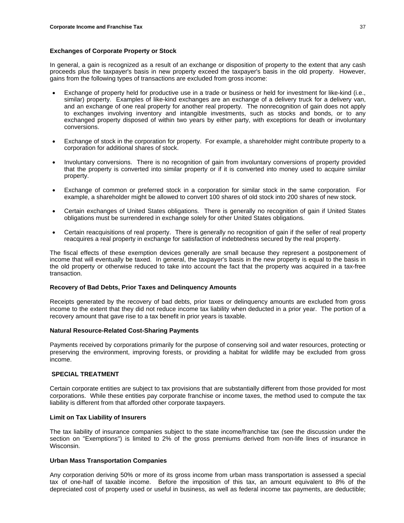# **Exchanges of Corporate Property or Stock**

In general, a gain is recognized as a result of an exchange or disposition of property to the extent that any cash proceeds plus the taxpayer's basis in new property exceed the taxpayer's basis in the old property. However, gains from the following types of transactions are excluded from gross income:

- Exchange of property held for productive use in a trade or business or held for investment for like-kind (i.e., similar) property. Examples of like-kind exchanges are an exchange of a delivery truck for a delivery van, and an exchange of one real property for another real property. The nonrecognition of gain does not apply to exchanges involving inventory and intangible investments, such as stocks and bonds, or to any exchanged property disposed of within two years by either party, with exceptions for death or involuntary conversions.
- Exchange of stock in the corporation for property. For example, a shareholder might contribute property to a corporation for additional shares of stock.
- Involuntary conversions. There is no recognition of gain from involuntary conversions of property provided that the property is converted into similar property or if it is converted into money used to acquire similar property.
- Exchange of common or preferred stock in a corporation for similar stock in the same corporation. For example, a shareholder might be allowed to convert 100 shares of old stock into 200 shares of new stock.
- Certain exchanges of United States obligations. There is generally no recognition of gain if United States obligations must be surrendered in exchange solely for other United States obligations.
- Certain reacquisitions of real property. There is generally no recognition of gain if the seller of real property reacquires a real property in exchange for satisfaction of indebtedness secured by the real property.

The fiscal effects of these exemption devices generally are small because they represent a postponement of income that will eventually be taxed. In general, the taxpayer's basis in the new property is equal to the basis in the old property or otherwise reduced to take into account the fact that the property was acquired in a tax-free transaction.

#### **Recovery of Bad Debts, Prior Taxes and Delinquency Amounts**

Receipts generated by the recovery of bad debts, prior taxes or delinquency amounts are excluded from gross income to the extent that they did not reduce income tax liability when deducted in a prior year. The portion of a recovery amount that gave rise to a tax benefit in prior years is taxable.

# **Natural Resource-Related Cost-Sharing Payments**

Payments received by corporations primarily for the purpose of conserving soil and water resources, protecting or preserving the environment, improving forests, or providing a habitat for wildlife may be excluded from gross income.

# **SPECIAL TREATMENT**

Certain corporate entities are subject to tax provisions that are substantially different from those provided for most corporations. While these entities pay corporate franchise or income taxes, the method used to compute the tax liability is different from that afforded other corporate taxpayers.

#### **Limit on Tax Liability of Insurers**

The tax liability of insurance companies subject to the state income/franchise tax (see the discussion under the section on "Exemptions") is limited to 2% of the gross premiums derived from non-life lines of insurance in Wisconsin.

#### **Urban Mass Transportation Companies**

Any corporation deriving 50% or more of its gross income from urban mass transportation is assessed a special tax of one-half of taxable income. Before the imposition of this tax, an amount equivalent to 8% of the depreciated cost of property used or useful in business, as well as federal income tax payments, are deductible;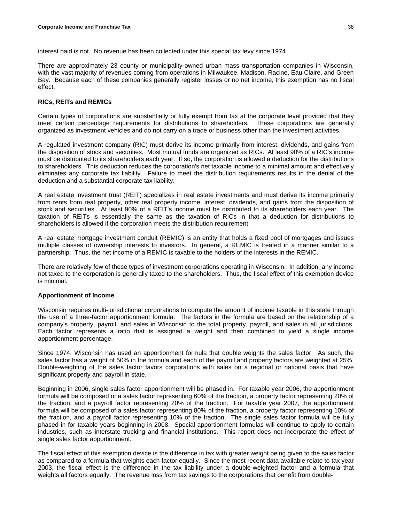interest paid is not. No revenue has been collected under this special tax levy since 1974.

There are approximately 23 county or municipality-owned urban mass transportation companies in Wisconsin, with the vast majority of revenues coming from operations in Milwaukee, Madison, Racine, Eau Claire, and Green Bay. Because each of these companies generally register losses or no net income, this exemption has no fiscal effect.

### **RICs, REITs and REMICs**

Certain types of corporations are substantially or fully exempt from tax at the corporate level provided that they meet certain percentage requirements for distributions to shareholders. These corporations are generally organized as investment vehicles and do not carry on a trade or business other than the investment activities.

A regulated investment company (RIC) must derive its income primarily from interest, dividends, and gains from the disposition of stock and securities. Most mutual funds are organized as RICs. At least 90% of a RIC's income must be distributed to its shareholders each year. If so, the corporation is allowed a deduction for the distributions to shareholders. This deduction reduces the corporation's net taxable income to a minimal amount and effectively eliminates any corporate tax liability. Failure to meet the distribution requirements results in the denial of the deduction and a substantial corporate tax liability.

A real estate investment trust (REIT) specializes in real estate investments and must derive its income primarily from rents from real property, other real property income, interest, dividends, and gains from the disposition of stock and securities. At least 90% of a REIT's income must be distributed to its shareholders each year. The taxation of REITs is essentially the same as the taxation of RICs in that a deduction for distributions to shareholders is allowed if the corporation meets the distribution requirement.

A real estate mortgage investment conduit (REMIC) is an entity that holds a fixed pool of mortgages and issues multiple classes of ownership interests to investors. In general, a REMIC is treated in a manner similar to a partnership. Thus, the net income of a REMIC is taxable to the holders of the interests in the REMIC.

There are relatively few of these types of investment corporations operating in Wisconsin. In addition, any income not taxed to the corporation is generally taxed to the shareholders. Thus, the fiscal effect of this exemption device is minimal.

#### **Apportionment of Income**

Wisconsin requires multi-jurisdictional corporations to compute the amount of income taxable in this state through the use of a three-factor apportionment formula. The factors in the formula are based on the relationship of a company's property, payroll, and sales in Wisconsin to the total property, payroll, and sales in all jurisdictions. Each factor represents a ratio that is assigned a weight and then combined to yield a single income apportionment percentage.

Since 1974, Wisconsin has used an apportionment formula that double weights the sales factor. As such, the sales factor has a weight of 50% in the formula and each of the payroll and property factors are weighted at 25%. Double-weighting of the sales factor favors corporations with sales on a regional or national basis that have significant property and payroll in state.

Beginning in 2006, single sales factor apportionment will be phased in. For taxable year 2006, the apportionment formula will be composed of a sales factor representing 60% of the fraction, a property factor representing 20% of the fraction, and a payroll factor representing 20% of the fraction. For taxable year 2007, the apportionment formula will be composed of a sales factor representing 80% of the fraction, a property factor representing 10% of the fraction, and a payroll factor representing 10% of the fraction. The single sales factor formula will be fully phased in for taxable years beginning in 2008. Special apportionment formulas will continue to apply to certain industries, such as interstate trucking and financial institutions. This report does not incorporate the effect of single sales factor apportionment.

The fiscal effect of this exemption device is the difference in tax with greater weight being given to the sales factor as compared to a formula that weights each factor equally. Since the most recent data available relate to tax year 2003, the fiscal effect is the difference in the tax liability under a double-weighted factor and a formula that weights all factors equally. The revenue loss from tax savings to the corporations that benefit from double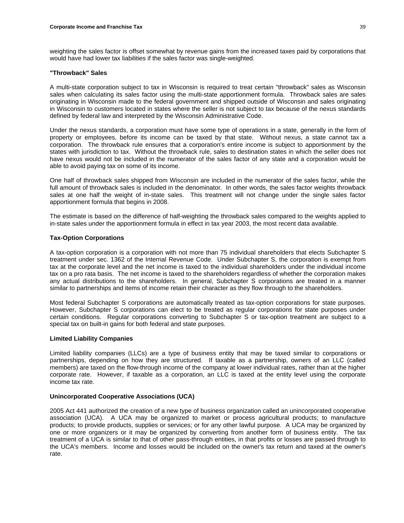weighting the sales factor is offset somewhat by revenue gains from the increased taxes paid by corporations that would have had lower tax liabilities if the sales factor was single-weighted.

### **"Throwback" Sales**

A multi-state corporation subject to tax in Wisconsin is required to treat certain "throwback" sales as Wisconsin sales when calculating its sales factor using the multi-state apportionment formula. Throwback sales are sales originating in Wisconsin made to the federal government and shipped outside of Wisconsin and sales originating in Wisconsin to customers located in states where the seller is not subject to tax because of the nexus standards defined by federal law and interpreted by the Wisconsin Administrative Code.

Under the nexus standards, a corporation must have some type of operations in a state, generally in the form of property or employees, before its income can be taxed by that state. Without nexus, a state cannot tax a corporation. The throwback rule ensures that a corporation's entire income is subject to apportionment by the states with jurisdiction to tax. Without the throwback rule, sales to destination states in which the seller does not have nexus would not be included in the numerator of the sales factor of any state and a corporation would be able to avoid paying tax on some of its income.

One half of throwback sales shipped from Wisconsin are included in the numerator of the sales factor, while the full amount of throwback sales is included in the denominator. In other words, the sales factor weights throwback sales at one half the weight of in-state sales. This treatment will not change under the single sales factor apportionment formula that begins in 2008.

The estimate is based on the difference of half-weighting the throwback sales compared to the weights applied to in-state sales under the apportionment formula in effect in tax year 2003, the most recent data available.

# **Tax-Option Corporations**

A tax-option corporation is a corporation with not more than 75 individual shareholders that elects Subchapter S treatment under sec. 1362 of the Internal Revenue Code. Under Subchapter S, the corporation is exempt from tax at the corporate level and the net income is taxed to the individual shareholders under the individual income tax on a pro rata basis. The net income is taxed to the shareholders regardless of whether the corporation makes any actual distributions to the shareholders. In general, Subchapter S corporations are treated in a manner similar to partnerships and items of income retain their character as they flow through to the shareholders.

Most federal Subchapter S corporations are automatically treated as tax-option corporations for state purposes. However, Subchapter S corporations can elect to be treated as regular corporations for state purposes under certain conditions. Regular corporations converting to Subchapter S or tax-option treatment are subject to a special tax on built-in gains for both federal and state purposes.

# **Limited Liability Companies**

Limited liability companies (LLCs) are a type of business entity that may be taxed similar to corporations or partnerships, depending on how they are structured. If taxable as a partnership, owners of an LLC (called members) are taxed on the flow-through income of the company at lower individual rates, rather than at the higher corporate rate. However, if taxable as a corporation, an LLC is taxed at the entity level using the corporate income tax rate.

### **Unincorporated Cooperative Associations (UCA)**

2005 Act 441 authorized the creation of a new type of business organization called an unincorporated cooperative association (UCA). A UCA may be organized to market or process agricultural products; to manufacture products; to provide products, supplies or services; or for any other lawful purpose. A UCA may be organized by one or more organizers or it may be organized by converting from another form of business entity. The tax treatment of a UCA is similar to that of other pass-through entities, in that profits or losses are passed through to the UCA's members. Income and losses would be included on the owner's tax return and taxed at the owner's rate.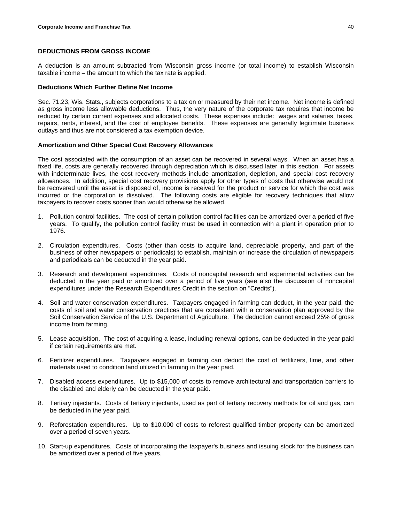# **DEDUCTIONS FROM GROSS INCOME**

A deduction is an amount subtracted from Wisconsin gross income (or total income) to establish Wisconsin taxable income – the amount to which the tax rate is applied.

### **Deductions Which Further Define Net Income**

Sec. 71.23, Wis. Stats., subjects corporations to a tax on or measured by their net income. Net income is defined as gross income less allowable deductions. Thus, the very nature of the corporate tax requires that income be reduced by certain current expenses and allocated costs. These expenses include: wages and salaries, taxes, repairs, rents, interest, and the cost of employee benefits. These expenses are generally legitimate business outlays and thus are not considered a tax exemption device.

# **Amortization and Other Special Cost Recovery Allowances**

The cost associated with the consumption of an asset can be recovered in several ways. When an asset has a fixed life, costs are generally recovered through depreciation which is discussed later in this section. For assets with indeterminate lives, the cost recovery methods include amortization, depletion, and special cost recovery allowances. In addition, special cost recovery provisions apply for other types of costs that otherwise would not be recovered until the asset is disposed of, income is received for the product or service for which the cost was incurred or the corporation is dissolved. The following costs are eligible for recovery techniques that allow taxpayers to recover costs sooner than would otherwise be allowed.

- 1. Pollution control facilities. The cost of certain pollution control facilities can be amortized over a period of five years. To qualify, the pollution control facility must be used in connection with a plant in operation prior to 1976.
- 2. Circulation expenditures. Costs (other than costs to acquire land, depreciable property, and part of the business of other newspapers or periodicals) to establish, maintain or increase the circulation of newspapers and periodicals can be deducted in the year paid.
- 3. Research and development expenditures. Costs of noncapital research and experimental activities can be deducted in the year paid or amortized over a period of five years (see also the discussion of noncapital expenditures under the Research Expenditures Credit in the section on "Credits").
- 4. Soil and water conservation expenditures. Taxpayers engaged in farming can deduct, in the year paid, the costs of soil and water conservation practices that are consistent with a conservation plan approved by the Soil Conservation Service of the U.S. Department of Agriculture. The deduction cannot exceed 25% of gross income from farming.
- 5. Lease acquisition. The cost of acquiring a lease, including renewal options, can be deducted in the year paid if certain requirements are met.
- 6. Fertilizer expenditures. Taxpayers engaged in farming can deduct the cost of fertilizers, lime, and other materials used to condition land utilized in farming in the year paid.
- 7. Disabled access expenditures. Up to \$15,000 of costs to remove architectural and transportation barriers to the disabled and elderly can be deducted in the year paid.
- 8. Tertiary injectants. Costs of tertiary injectants, used as part of tertiary recovery methods for oil and gas, can be deducted in the year paid.
- 9. Reforestation expenditures. Up to \$10,000 of costs to reforest qualified timber property can be amortized over a period of seven years.
- 10. Start-up expenditures. Costs of incorporating the taxpayer's business and issuing stock for the business can be amortized over a period of five years.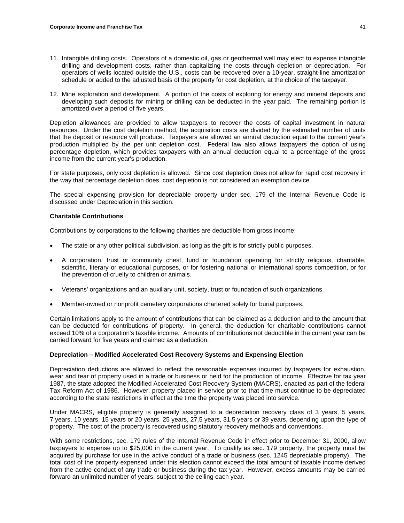- 11. Intangible drilling costs. Operators of a domestic oil, gas or geothermal well may elect to expense intangible drilling and development costs, rather than capitalizing the costs through depletion or depreciation. For operators of wells located outside the U.S., costs can be recovered over a 10-year, straight-line amortization schedule or added to the adjusted basis of the property for cost depletion, at the choice of the taxpayer.
- 12. Mine exploration and development. A portion of the costs of exploring for energy and mineral deposits and developing such deposits for mining or drilling can be deducted in the year paid. The remaining portion is amortized over a period of five years.

Depletion allowances are provided to allow taxpayers to recover the costs of capital investment in natural resources. Under the cost depletion method, the acquisition costs are divided by the estimated number of units that the deposit or resource will produce. Taxpayers are allowed an annual deduction equal to the current year's production multiplied by the per unit depletion cost. Federal law also allows taxpayers the option of using percentage depletion, which provides taxpayers with an annual deduction equal to a percentage of the gross income from the current year's production.

For state purposes, only cost depletion is allowed. Since cost depletion does not allow for rapid cost recovery in the way that percentage depletion does, cost depletion is not considered an exemption device.

The special expensing provision for depreciable property under sec. 179 of the Internal Revenue Code is discussed under Depreciation in this section.

### **Charitable Contributions**

Contributions by corporations to the following charities are deductible from gross income:

- The state or any other political subdivision, as long as the gift is for strictly public purposes.
- A corporation, trust or community chest, fund or foundation operating for strictly religious, charitable, scientific, literary or educational purposes, or for fostering national or international sports competition, or for the prevention of cruelty to children or animals.
- Veterans' organizations and an auxiliary unit, society, trust or foundation of such organizations.
- Member-owned or nonprofit cemetery corporations chartered solely for burial purposes.

Certain limitations apply to the amount of contributions that can be claimed as a deduction and to the amount that can be deducted for contributions of property. In general, the deduction for charitable contributions cannot exceed 10% of a corporation's taxable income. Amounts of contributions not deductible in the current year can be carried forward for five years and claimed as a deduction.

#### **Depreciation – Modified Accelerated Cost Recovery Systems and Expensing Election**

Depreciation deductions are allowed to reflect the reasonable expenses incurred by taxpayers for exhaustion, wear and tear of property used in a trade or business or held for the production of income. Effective for tax year 1987, the state adopted the Modified Accelerated Cost Recovery System (MACRS), enacted as part of the federal Tax Reform Act of 1986. However, property placed in service prior to that time must continue to be depreciated according to the state restrictions in effect at the time the property was placed into service.

Under MACRS, eligible property is generally assigned to a depreciation recovery class of 3 years, 5 years, 7 years, 10 years, 15 years or 20 years, 25 years, 27.5 years, 31.5 years or 39 years, depending upon the type of property. The cost of the property is recovered using statutory recovery methods and conventions.

With some restrictions, sec. 179 rules of the Internal Revenue Code in effect prior to December 31, 2000, allow taxpayers to expense up to \$25,000 in the current year. To qualify as sec. 179 property, the property must be acquired by purchase for use in the active conduct of a trade or business (sec. 1245 depreciable property). The total cost of the property expensed under this election cannot exceed the total amount of taxable income derived from the active conduct of any trade or business during the tax year. However, excess amounts may be carried forward an unlimited number of years, subject to the ceiling each year.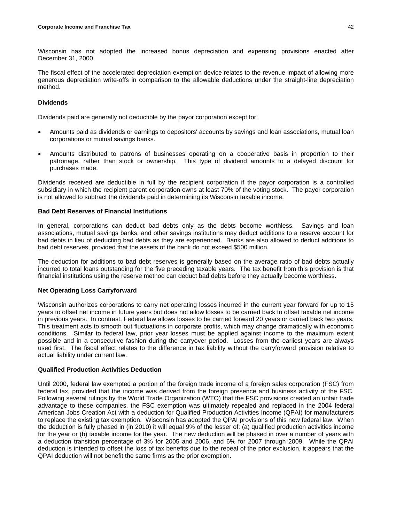Wisconsin has not adopted the increased bonus depreciation and expensing provisions enacted after December 31, 2000.

The fiscal effect of the accelerated depreciation exemption device relates to the revenue impact of allowing more generous depreciation write-offs in comparison to the allowable deductions under the straight-line depreciation method.

# **Dividends**

Dividends paid are generally not deductible by the payor corporation except for:

- Amounts paid as dividends or earnings to depositors' accounts by savings and loan associations, mutual loan corporations or mutual savings banks.
- Amounts distributed to patrons of businesses operating on a cooperative basis in proportion to their patronage, rather than stock or ownership. This type of dividend amounts to a delayed discount for purchases made.

Dividends received are deductible in full by the recipient corporation if the payor corporation is a controlled subsidiary in which the recipient parent corporation owns at least 70% of the voting stock. The payor corporation is not allowed to subtract the dividends paid in determining its Wisconsin taxable income.

### **Bad Debt Reserves of Financial Institutions**

In general, corporations can deduct bad debts only as the debts become worthless. Savings and loan associations, mutual savings banks, and other savings institutions may deduct additions to a reserve account for bad debts in lieu of deducting bad debts as they are experienced. Banks are also allowed to deduct additions to bad debt reserves, provided that the assets of the bank do not exceed \$500 million.

The deduction for additions to bad debt reserves is generally based on the average ratio of bad debts actually incurred to total loans outstanding for the five preceding taxable years. The tax benefit from this provision is that financial institutions using the reserve method can deduct bad debts before they actually become worthless.

# **Net Operating Loss Carryforward**

Wisconsin authorizes corporations to carry net operating losses incurred in the current year forward for up to 15 years to offset net income in future years but does not allow losses to be carried back to offset taxable net income in previous years. In contrast, Federal law allows losses to be carried forward 20 years or carried back two years. This treatment acts to smooth out fluctuations in corporate profits, which may change dramatically with economic conditions. Similar to federal law, prior year losses must be applied against income to the maximum extent possible and in a consecutive fashion during the carryover period. Losses from the earliest years are always used first. The fiscal effect relates to the difference in tax liability without the carryforward provision relative to actual liability under current law.

# **Qualified Production Activities Deduction**

Until 2000, federal law exempted a portion of the foreign trade income of a foreign sales corporation (FSC) from federal tax, provided that the income was derived from the foreign presence and business activity of the FSC. Following several rulings by the World Trade Organization (WTO) that the FSC provisions created an unfair trade advantage to these companies, the FSC exemption was ultimately repealed and replaced in the 2004 federal American Jobs Creation Act with a deduction for Qualified Production Activities Income (QPAI) for manufacturers to replace the existing tax exemption. Wisconsin has adopted the QPAI provisions of this new federal law. When the deduction is fully phased in (in 2010) it will equal 9% of the lesser of: (a) qualified production activities income for the year or (b) taxable income for the year. The new deduction will be phased in over a number of years with a deduction transition percentage of 3% for 2005 and 2006, and 6% for 2007 through 2009. While the QPAI deduction is intended to offset the loss of tax benefits due to the repeal of the prior exclusion, it appears that the QPAI deduction will not benefit the same firms as the prior exemption.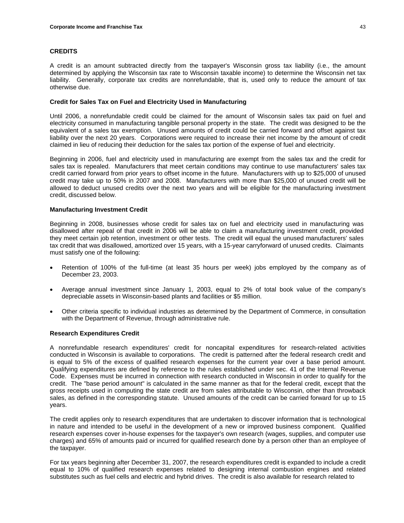# **CREDITS**

A credit is an amount subtracted directly from the taxpayer's Wisconsin gross tax liability (i.e., the amount determined by applying the Wisconsin tax rate to Wisconsin taxable income) to determine the Wisconsin net tax liability. Generally, corporate tax credits are nonrefundable, that is, used only to reduce the amount of tax otherwise due.

# **Credit for Sales Tax on Fuel and Electricity Used in Manufacturing**

Until 2006, a nonrefundable credit could be claimed for the amount of Wisconsin sales tax paid on fuel and electricity consumed in manufacturing tangible personal property in the state. The credit was designed to be the equivalent of a sales tax exemption. Unused amounts of credit could be carried forward and offset against tax liability over the next 20 years. Corporations were required to increase their net income by the amount of credit claimed in lieu of reducing their deduction for the sales tax portion of the expense of fuel and electricity.

Beginning in 2006, fuel and electricity used in manufacturing are exempt from the sales tax and the credit for sales tax is repealed. Manufacturers that meet certain conditions may continue to use manufacturers' sales tax credit carried forward from prior years to offset income in the future. Manufacturers with up to \$25,000 of unused credit may take up to 50% in 2007 and 2008. Manufacturers with more than \$25,000 of unused credit will be allowed to deduct unused credits over the next two years and will be eligible for the manufacturing investment credit, discussed below.

# **Manufacturing Investment Credit**

Beginning in 2008, businesses whose credit for sales tax on fuel and electricity used in manufacturing was disallowed after repeal of that credit in 2006 will be able to claim a manufacturing investment credit, provided they meet certain job retention, investment or other tests. The credit will equal the unused manufacturers' sales tax credit that was disallowed, amortized over 15 years, with a 15-year carryforward of unused credits. Claimants must satisfy one of the following:

- Retention of 100% of the full-time (at least 35 hours per week) jobs employed by the company as of December 23, 2003.
- Average annual investment since January 1, 2003, equal to 2% of total book value of the company's depreciable assets in Wisconsin-based plants and facilities or \$5 million.
- Other criteria specific to individual industries as determined by the Department of Commerce, in consultation with the Department of Revenue, through administrative rule.

# **Research Expenditures Credit**

A nonrefundable research expenditures' credit for noncapital expenditures for research-related activities conducted in Wisconsin is available to corporations. The credit is patterned after the federal research credit and is equal to 5% of the excess of qualified research expenses for the current year over a base period amount. Qualifying expenditures are defined by reference to the rules established under sec. 41 of the Internal Revenue Code. Expenses must be incurred in connection with research conducted in Wisconsin in order to qualify for the credit. The "base period amount" is calculated in the same manner as that for the federal credit, except that the gross receipts used in computing the state credit are from sales attributable to Wisconsin, other than throwback sales, as defined in the corresponding statute. Unused amounts of the credit can be carried forward for up to 15 years.

The credit applies only to research expenditures that are undertaken to discover information that is technological in nature and intended to be useful in the development of a new or improved business component. Qualified research expenses cover in-house expenses for the taxpayer's own research (wages, supplies, and computer use charges) and 65% of amounts paid or incurred for qualified research done by a person other than an employee of the taxpayer.

For tax years beginning after December 31, 2007, the research expenditures credit is expanded to include a credit equal to 10% of qualified research expenses related to designing internal combustion engines and related substitutes such as fuel cells and electric and hybrid drives. The credit is also available for research related to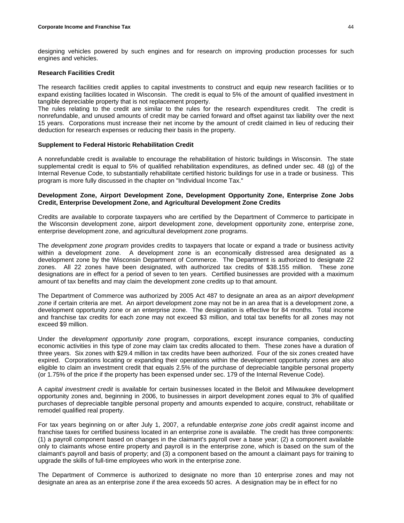designing vehicles powered by such engines and for research on improving production processes for such engines and vehicles.

### **Research Facilities Credit**

The research facilities credit applies to capital investments to construct and equip new research facilities or to expand existing facilities located in Wisconsin. The credit is equal to 5% of the amount of qualified investment in tangible depreciable property that is not replacement property.

The rules relating to the credit are similar to the rules for the research expenditures credit. The credit is nonrefundable, and unused amounts of credit may be carried forward and offset against tax liability over the next 15 years. Corporations must increase their net income by the amount of credit claimed in lieu of reducing their deduction for research expenses or reducing their basis in the property.

# **Supplement to Federal Historic Rehabilitation Credit**

A nonrefundable credit is available to encourage the rehabilitation of historic buildings in Wisconsin. The state supplemental credit is equal to 5% of qualified rehabilitation expenditures, as defined under sec. 48 (g) of the Internal Revenue Code, to substantially rehabilitate certified historic buildings for use in a trade or business. This program is more fully discussed in the chapter on "Individual Income Tax."

# **Development Zone, Airport Development Zone, Development Opportunity Zone, Enterprise Zone Jobs Credit, Enterprise Development Zone, and Agricultural Development Zone Credits**

Credits are available to corporate taxpayers who are certified by the Department of Commerce to participate in the Wisconsin development zone, airport development zone, development opportunity zone, enterprise zone, enterprise development zone, and agricultural development zone programs.

The *development zone program* provides credits to taxpayers that locate or expand a trade or business activity within a development zone. A development zone is an economically distressed area designated as a development zone by the Wisconsin Department of Commerce. The Department is authorized to designate 22 zones. All 22 zones have been designated, with authorized tax credits of \$38.155 million. These zone designations are in effect for a period of seven to ten years. Certified businesses are provided with a maximum amount of tax benefits and may claim the development zone credits up to that amount.

The Department of Commerce was authorized by 2005 Act 487 to designate an area as an *airport development zone* if certain criteria are met. An airport development zone may not be in an area that is a development zone, a development opportunity zone or an enterprise zone. The designation is effective for 84 months. Total income and franchise tax credits for each zone may not exceed \$3 million, and total tax benefits for all zones may not exceed \$9 million.

Under the *development opportunity zone* program, corporations, except insurance companies, conducting economic activities in this type of zone may claim tax credits allocated to them. These zones have a duration of three years. Six zones with \$29.4 million in tax credits have been authorized. Four of the six zones created have expired. Corporations locating or expanding their operations within the development opportunity zones are also eligible to claim an investment credit that equals 2.5% of the purchase of depreciable tangible personal property (or 1.75% of the price if the property has been expensed under sec. 179 of the Internal Revenue Code).

A *capital investment credit* is available for certain businesses located in the Beloit and Milwaukee development opportunity zones and, beginning in 2006, to businesses in airport development zones equal to 3% of qualified purchases of depreciable tangible personal property and amounts expended to acquire, construct, rehabilitate or remodel qualified real property.

For tax years beginning on or after July 1, 2007, a refundable *enterprise zone jobs credit* against income and franchise taxes for certified business located in an enterprise zone is available. The credit has three components: (1) a payroll component based on changes in the claimant's payroll over a base year; (2) a component available only to claimants whose entire property and payroll is in the enterprise zone, which is based on the sum of the claimant's payroll and basis of property; and (3) a component based on the amount a claimant pays for training to upgrade the skills of full-time employees who work in the enterprise zone.

The Department of Commerce is authorized to designate no more than 10 enterprise zones and may not designate an area as an enterprise zone if the area exceeds 50 acres. A designation may be in effect for no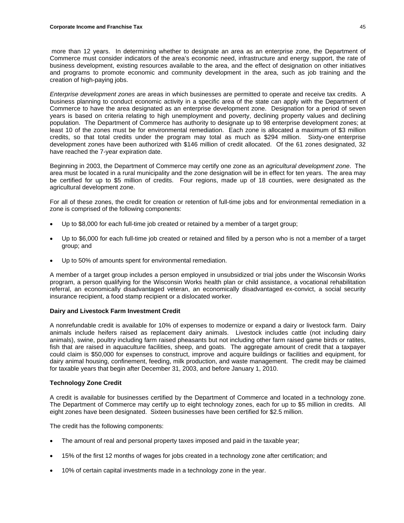more than 12 years. In determining whether to designate an area as an enterprise zone, the Department of Commerce must consider indicators of the area's economic need, infrastructure and energy support, the rate of business development, existing resources available to the area, and the effect of designation on other initiatives and programs to promote economic and community development in the area, such as job training and the creation of high-paying jobs.

*Enterprise development zones* are areas in which businesses are permitted to operate and receive tax credits. A business planning to conduct economic activity in a specific area of the state can apply with the Department of Commerce to have the area designated as an enterprise development zone. Designation for a period of seven years is based on criteria relating to high unemployment and poverty, declining property values and declining population. The Department of Commerce has authority to designate up to 98 enterprise development zones; at least 10 of the zones must be for environmental remediation. Each zone is allocated a maximum of \$3 million credits, so that total credits under the program may total as much as \$294 million. Sixty-one enterprise development zones have been authorized with \$146 million of credit allocated. Of the 61 zones designated, 32 have reached the 7-year expiration date.

Beginning in 2003, the Department of Commerce may certify one zone as an *agricultural development zone*. The area must be located in a rural municipality and the zone designation will be in effect for ten years. The area may be certified for up to \$5 million of credits. Four regions, made up of 18 counties, were designated as the agricultural development zone.

For all of these zones, the credit for creation or retention of full-time jobs and for environmental remediation in a zone is comprised of the following components:

- Up to \$8,000 for each full-time job created or retained by a member of a target group;
- Up to \$6,000 for each full-time job created or retained and filled by a person who is not a member of a target group; and
- Up to 50% of amounts spent for environmental remediation.

A member of a target group includes a person employed in unsubsidized or trial jobs under the Wisconsin Works program, a person qualifying for the Wisconsin Works health plan or child assistance, a vocational rehabilitation referral, an economically disadvantaged veteran, an economically disadvantaged ex-convict, a social security insurance recipient, a food stamp recipient or a dislocated worker.

# **Dairy and Livestock Farm Investment Credit**

A nonrefundable credit is available for 10% of expenses to modernize or expand a dairy or livestock farm. Dairy animals include heifers raised as replacement dairy animals. Livestock includes cattle (not including dairy animals), swine, poultry including farm raised pheasants but not including other farm raised game birds or ratites, fish that are raised in aquaculture facilities, sheep, and goats. The aggregate amount of credit that a taxpayer could claim is \$50,000 for expenses to construct, improve and acquire buildings or facilities and equipment, for dairy animal housing, confinement, feeding, milk production, and waste management. The credit may be claimed for taxable years that begin after December 31, 2003, and before January 1, 2010.

# **Technology Zone Credit**

A credit is available for businesses certified by the Department of Commerce and located in a technology zone. The Department of Commerce may certify up to eight technology zones, each for up to \$5 million in credits. All eight zones have been designated. Sixteen businesses have been certified for \$2.5 million.

The credit has the following components:

- The amount of real and personal property taxes imposed and paid in the taxable year;
- 15% of the first 12 months of wages for jobs created in a technology zone after certification; and
- 10% of certain capital investments made in a technology zone in the year.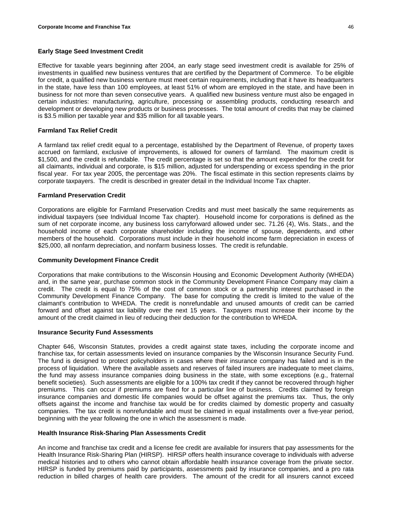### **Early Stage Seed Investment Credit**

Effective for taxable years beginning after 2004, an early stage seed investment credit is available for 25% of investments in qualified new business ventures that are certified by the Department of Commerce. To be eligible for credit, a qualified new business venture must meet certain requirements, including that it have its headquarters in the state, have less than 100 employees, at least 51% of whom are employed in the state, and have been in business for not more than seven consecutive years. A qualified new business venture must also be engaged in certain industries: manufacturing, agriculture, processing or assembling products, conducting research and development or developing new products or business processes. The total amount of credits that may be claimed is \$3.5 million per taxable year and \$35 million for all taxable years.

### **Farmland Tax Relief Credit**

A farmland tax relief credit equal to a percentage, established by the Department of Revenue, of property taxes accrued on farmland, exclusive of improvements, is allowed for owners of farmland. The maximum credit is \$1,500, and the credit is refundable. The credit percentage is set so that the amount expended for the credit for all claimants, individual and corporate, is \$15 million, adjusted for underspending or excess spending in the prior fiscal year. For tax year 2005, the percentage was 20%. The fiscal estimate in this section represents claims by corporate taxpayers. The credit is described in greater detail in the Individual Income Tax chapter.

### **Farmland Preservation Credit**

Corporations are eligible for Farmland Preservation Credits and must meet basically the same requirements as individual taxpayers (see Individual Income Tax chapter). Household income for corporations is defined as the sum of net corporate income, any business loss carryforward allowed under sec. 71.26 (4), Wis. Stats., and the household income of each corporate shareholder including the income of spouse, dependents, and other members of the household. Corporations must include in their household income farm depreciation in excess of \$25,000, all nonfarm depreciation, and nonfarm business losses. The credit is refundable.

#### **Community Development Finance Credit**

Corporations that make contributions to the Wisconsin Housing and Economic Development Authority (WHEDA) and, in the same year, purchase common stock in the Community Development Finance Company may claim a credit. The credit is equal to 75% of the cost of common stock or a partnership interest purchased in the Community Development Finance Company. The base for computing the credit is limited to the value of the claimant's contribution to WHEDA. The credit is nonrefundable and unused amounts of credit can be carried forward and offset against tax liability over the next 15 years. Taxpayers must increase their income by the amount of the credit claimed in lieu of reducing their deduction for the contribution to WHEDA.

#### **Insurance Security Fund Assessments**

Chapter 646, Wisconsin Statutes, provides a credit against state taxes, including the corporate income and franchise tax, for certain assessments levied on insurance companies by the Wisconsin Insurance Security Fund. The fund is designed to protect policyholders in cases where their insurance company has failed and is in the process of liquidation. Where the available assets and reserves of failed insurers are inadequate to meet claims, the fund may assess insurance companies doing business in the state, with some exceptions (e.g., fraternal benefit societies). Such assessments are eligible for a 100% tax credit if they cannot be recovered through higher premiums. This can occur if premiums are fixed for a particular line of business. Credits claimed by foreign insurance companies and domestic life companies would be offset against the premiums tax. Thus, the only offsets against the income and franchise tax would be for credits claimed by domestic property and casualty companies. The tax credit is nonrefundable and must be claimed in equal installments over a five-year period, beginning with the year following the one in which the assessment is made.

#### **Health Insurance Risk-Sharing Plan Assessments Credit**

An income and franchise tax credit and a license fee credit are available for insurers that pay assessments for the Health Insurance Risk-Sharing Plan (HIRSP). HIRSP offers health insurance coverage to individuals with adverse medical histories and to others who cannot obtain affordable health insurance coverage from the private sector. HIRSP is funded by premiums paid by participants, assessments paid by insurance companies, and a pro rata reduction in billed charges of health care providers. The amount of the credit for all insurers cannot exceed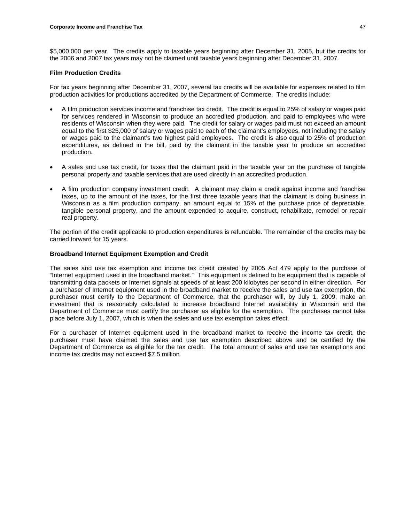\$5,000,000 per year.The credits apply to taxable years beginning after December 31, 2005, but the credits for the 2006 and 2007 tax years may not be claimed until taxable years beginning after December 31, 2007.

### **Film Production Credits**

For tax years beginning after December 31, 2007, several tax credits will be available for expenses related to film production activities for productions accredited by the Department of Commerce. The credits include:

- A film production services income and franchise tax credit. The credit is equal to 25% of salary or wages paid for services rendered in Wisconsin to produce an accredited production, and paid to employees who were residents of Wisconsin when they were paid. The credit for salary or wages paid must not exceed an amount equal to the first \$25,000 of salary or wages paid to each of the claimant's employees, not including the salary or wages paid to the claimant's two highest paid employees. The credit is also equal to 25% of production expenditures, as defined in the bill, paid by the claimant in the taxable year to produce an accredited production.
- A sales and use tax credit, for taxes that the claimant paid in the taxable year on the purchase of tangible personal property and taxable services that are used directly in an accredited production.
- A film production company investment credit. A claimant may claim a credit against income and franchise taxes, up to the amount of the taxes, for the first three taxable years that the claimant is doing business in Wisconsin as a film production company, an amount equal to 15% of the purchase price of depreciable, tangible personal property, and the amount expended to acquire, construct, rehabilitate, remodel or repair real property.

The portion of the credit applicable to production expenditures is refundable. The remainder of the credits may be carried forward for 15 years.

# **Broadband Internet Equipment Exemption and Credit**

The sales and use tax exemption and income tax credit created by 2005 Act 479 apply to the purchase of "Internet equipment used in the broadband market." This equipment is defined to be equipment that is capable of transmitting data packets or Internet signals at speeds of at least 200 kilobytes per second in either direction. For a purchaser of Internet equipment used in the broadband market to receive the sales and use tax exemption, the purchaser must certify to the Department of Commerce, that the purchaser will, by July 1, 2009, make an investment that is reasonably calculated to increase broadband Internet availability in Wisconsin and the Department of Commerce must certify the purchaser as eligible for the exemption. The purchases cannot take place before July 1, 2007, which is when the sales and use tax exemption takes effect.

For a purchaser of Internet equipment used in the broadband market to receive the income tax credit, the purchaser must have claimed the sales and use tax exemption described above and be certified by the Department of Commerce as eligible for the tax credit. The total amount of sales and use tax exemptions and income tax credits may not exceed \$7.5 million.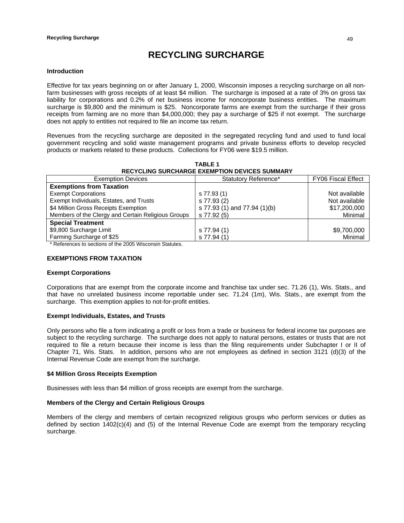# **RECYCLING SURCHARGE**

### **Introduction**

Effective for tax years beginning on or after January 1, 2000, Wisconsin imposes a recycling surcharge on all nonfarm businesses with gross receipts of at least \$4 million. The surcharge is imposed at a rate of 3% on gross tax liability for corporations and 0.2% of net business income for noncorporate business entities. The maximum surcharge is \$9,800 and the minimum is \$25. Noncorporate farms are exempt from the surcharge if their gross receipts from farming are no more than \$4,000,000; they pay a surcharge of \$25 if not exempt. The surcharge does not apply to entities not required to file an income tax return.

Revenues from the recycling surcharge are deposited in the segregated recycling fund and used to fund local government recycling and solid waste management programs and private business efforts to develop recycled products or markets related to these products. Collections for FY06 were \$19.5 million.

**TABLE 1 RECYCLING SURCHARGE EXEMPTION DEVICES SUMMARY**

| <b>Exemption Devices</b>                           | Statutory Reference*         | <b>FY06 Fiscal Effect</b> |
|----------------------------------------------------|------------------------------|---------------------------|
| <b>Exemptions from Taxation</b>                    |                              |                           |
| <b>Exempt Corporations</b>                         | s 77.93 (1)                  | Not available             |
| Exempt Individuals, Estates, and Trusts            | s 77.93 (2)                  | Not available             |
| \$4 Million Gross Receipts Exemption               | s 77.93 (1) and 77.94 (1)(b) | \$17,200,000              |
| Members of the Clergy and Certain Religious Groups | s 77.92 (5)                  | Minimal                   |
| <b>Special Treatment</b>                           |                              |                           |
| \$9,800 Surcharge Limit                            | s 77.94 (1)                  | \$9,700,000               |
| Farming Surcharge of \$25                          | s 77.94 (1)                  | Minimal                   |

\* References to sections of the 2005 Wisconsin Statutes.

# **EXEMPTIONS FROM TAXATION**

#### **Exempt Corporations**

Corporations that are exempt from the corporate income and franchise tax under sec. 71.26 (1), Wis. Stats., and that have no unrelated business income reportable under sec. 71.24 (1m), Wis. Stats., are exempt from the surcharge. This exemption applies to not-for-profit entities.

# **Exempt Individuals, Estates, and Trusts**

Only persons who file a form indicating a profit or loss from a trade or business for federal income tax purposes are subject to the recycling surcharge. The surcharge does not apply to natural persons, estates or trusts that are not required to file a return because their income is less than the filing requirements under Subchapter I or II of Chapter 71, Wis. Stats. In addition, persons who are not employees as defined in section 3121 (d)(3) of the Internal Revenue Code are exempt from the surcharge.

### **\$4 Million Gross Receipts Exemption**

Businesses with less than \$4 million of gross receipts are exempt from the surcharge.

# **Members of the Clergy and Certain Religious Groups**

Members of the clergy and members of certain recognized religious groups who perform services or duties as defined by section 1402(c)(4) and (5) of the Internal Revenue Code are exempt from the temporary recycling surcharge.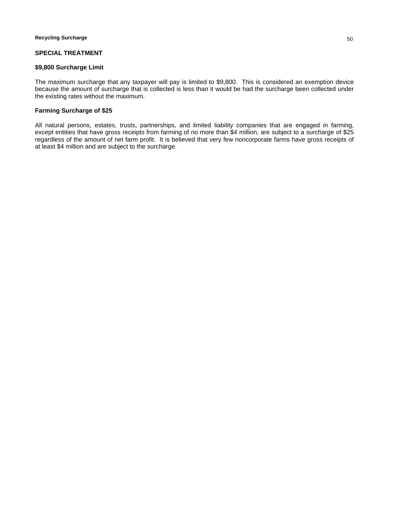# **SPECIAL TREATMENT**

#### **\$9,800 Surcharge Limit**

The maximum surcharge that any taxpayer will pay is limited to \$9,800. This is considered an exemption device because the amount of surcharge that is collected is less than it would be had the surcharge been collected under the existing rates without the maximum.

# **Farming Surcharge of \$25**

All natural persons, estates, trusts, partnerships, and limited liability companies that are engaged in farming, except entities that have gross receipts from farming of no more than \$4 million, are subject to a surcharge of \$25 regardless of the amount of net farm profit. It is believed that very few noncorporate farms have gross receipts of at least \$4 million and are subject to the surcharge.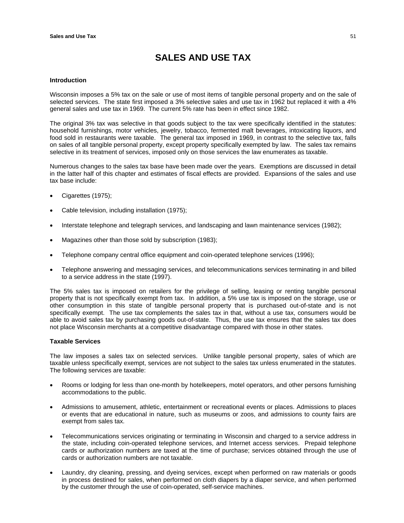# **SALES AND USE TAX**

### **Introduction**

Wisconsin imposes a 5% tax on the sale or use of most items of tangible personal property and on the sale of selected services. The state first imposed a 3% selective sales and use tax in 1962 but replaced it with a 4% general sales and use tax in 1969. The current 5% rate has been in effect since 1982.

The original 3% tax was selective in that goods subject to the tax were specifically identified in the statutes: household furnishings, motor vehicles, jewelry, tobacco, fermented malt beverages, intoxicating liquors, and food sold in restaurants were taxable. The general tax imposed in 1969, in contrast to the selective tax, falls on sales of all tangible personal property, except property specifically exempted by law. The sales tax remains selective in its treatment of services, imposed only on those services the law enumerates as taxable.

Numerous changes to the sales tax base have been made over the years. Exemptions are discussed in detail in the latter half of this chapter and estimates of fiscal effects are provided. Expansions of the sales and use tax base include:

- Cigarettes (1975);
- Cable television, including installation (1975);
- Interstate telephone and telegraph services, and landscaping and lawn maintenance services (1982);
- Magazines other than those sold by subscription (1983);
- Telephone company central office equipment and coin-operated telephone services (1996);
- Telephone answering and messaging services, and telecommunications services terminating in and billed to a service address in the state (1997).

The 5% sales tax is imposed on retailers for the privilege of selling, leasing or renting tangible personal property that is not specifically exempt from tax. In addition, a 5% use tax is imposed on the storage, use or other consumption in this state of tangible personal property that is purchased out-of-state and is not specifically exempt. The use tax complements the sales tax in that, without a use tax, consumers would be able to avoid sales tax by purchasing goods out-of-state. Thus, the use tax ensures that the sales tax does not place Wisconsin merchants at a competitive disadvantage compared with those in other states.

# **Taxable Services**

The law imposes a sales tax on selected services. Unlike tangible personal property, sales of which are taxable unless specifically exempt, services are not subject to the sales tax unless enumerated in the statutes. The following services are taxable:

- Rooms or lodging for less than one-month by hotelkeepers, motel operators, and other persons furnishing accommodations to the public.
- Admissions to amusement, athletic, entertainment or recreational events or places. Admissions to places or events that are educational in nature, such as museums or zoos, and admissions to county fairs are exempt from sales tax.
- Telecommunications services originating or terminating in Wisconsin and charged to a service address in the state, including coin-operated telephone services, and Internet access services. Prepaid telephone cards or authorization numbers are taxed at the time of purchase; services obtained through the use of cards or authorization numbers are not taxable.
- Laundry, dry cleaning, pressing, and dyeing services, except when performed on raw materials or goods in process destined for sales, when performed on cloth diapers by a diaper service, and when performed by the customer through the use of coin-operated, self-service machines.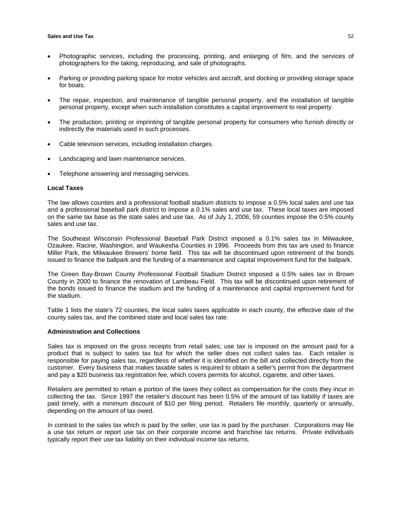- Photographic services, including the processing, printing, and enlarging of film, and the services of photographers for the taking, reproducing, and sale of photographs.
- Parking or providing parking space for motor vehicles and aircraft, and docking or providing storage space for boats.
- The repair, inspection, and maintenance of tangible personal property, and the installation of tangible personal property, except when such installation constitutes a capital improvement to real property.
- The production, printing or imprinting of tangible personal property for consumers who furnish directly or indirectly the materials used in such processes.
- Cable television services, including installation charges.
- Landscaping and lawn maintenance services.
- Telephone answering and messaging services.

#### **Local Taxes**

The law allows counties and a professional football stadium districts to impose a 0.5% local sales and use tax and a professional baseball park district to impose a 0.1% sales and use tax. These local taxes are imposed on the same tax base as the state sales and use tax. As of July 1, 2006, 59 counties impose the 0.5% county sales and use tax.

The Southeast Wisconsin Professional Baseball Park District imposed a 0.1% sales tax in Milwaukee, Ozaukee, Racine, Washington, and Waukesha Counties in 1996. Proceeds from this tax are used to finance Miller Park, the Milwaukee Brewers' home field. This tax will be discontinued upon retirement of the bonds issued to finance the ballpark and the funding of a maintenance and capital improvement fund for the ballpark.

The Green Bay-Brown County Professional Football Stadium District imposed a 0.5% sales tax in Brown County in 2000 to finance the renovation of Lambeau Field. This tax will be discontinued upon retirement of the bonds issued to finance the stadium and the funding of a maintenance and capital improvement fund for the stadium.

Table 1 lists the state's 72 counties, the local sales taxes applicable in each county, the effective date of the county sales tax, and the combined state and local sales tax rate.

# **Administration and Collections**

Sales tax is imposed on the gross receipts from retail sales; use tax is imposed on the amount paid for a product that is subject to sales tax but for which the seller does not collect sales tax. Each retailer is responsible for paying sales tax, regardless of whether it is identified on the bill and collected directly from the customer. Every business that makes taxable sales is required to obtain a seller's permit from the department and pay a \$20 business tax registration fee, which covers permits for alcohol, cigarette, and other taxes.

Retailers are permitted to retain a portion of the taxes they collect as compensation for the costs they incur in collecting the tax. Since 1997 the retailer's discount has been 0.5% of the amount of tax liability if taxes are paid timely, with a minimum discount of \$10 per filing period. Retailers file monthly, quarterly or annually, depending on the amount of tax owed.

In contrast to the sales tax which is paid by the seller, use tax is paid by the purchaser. Corporations may file a use tax return or report use tax on their corporate income and franchise tax returns. Private individuals typically report their use tax liability on their individual income tax returns.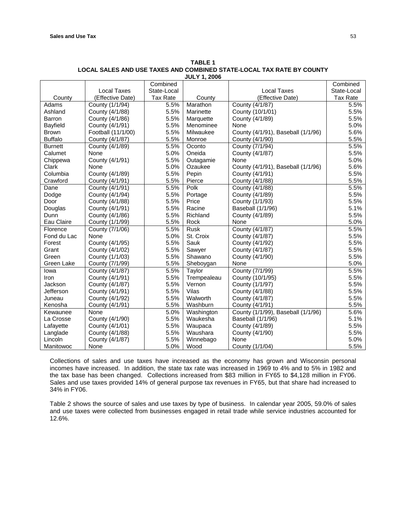|                 |                    | Combined        |             |                                    | Combined        |
|-----------------|--------------------|-----------------|-------------|------------------------------------|-----------------|
|                 | <b>Local Taxes</b> | State-Local     |             | <b>Local Taxes</b>                 | State-Local     |
| County          | (Effective Date)   | <b>Tax Rate</b> | County      | (Effective Date)                   | <b>Tax Rate</b> |
| Adams           | County (1/1/94)    | 5.5%            | Marathon    | County (4/1/87)                    | 5.5%            |
| Ashland         | County (4/1/88)    | 5.5%            | Marinette   | County (10/1/01)                   | 5.5%            |
| Barron          | County (4/1/86)    | 5.5%            | Marquette   | County (4/1/89)                    | 5.5%            |
| <b>Bayfield</b> | County (4/1/91)    | 5.5%            | Menominee   | None                               | 5.0%            |
| <b>Brown</b>    | Football (11/1/00) | 5.5%            | Milwaukee   | County (4/1/91), Baseball (1/1/96) | 5.6%            |
| <b>Buffalo</b>  | County (4/1/87)    | 5.5%            | Monroe      | County (4/1/90)                    | 5.5%            |
| <b>Burnett</b>  | County (4/1/89)    | 5.5%            | Oconto      | County (7/1/94)                    | 5.5%            |
| Calumet         | None               | 5.0%            | Oneida      | County (4/1/87)                    | 5.5%            |
| Chippewa        | County (4/1/91)    | 5.5%            | Outagamie   | None                               | 5.0%            |
| Clark           | None               | 5.0%            | Ozaukee     | County (4/1/91), Baseball (1/1/96) | 5.6%            |
| Columbia        | County (4/1/89)    | 5.5%            | Pepin       | County (4/1/91)                    | 5.5%            |
| Crawford        | County (4/1/91)    | 5.5%            | Pierce      | County (4/1/88)                    | 5.5%            |
| Dane            | County (4/1/91)    | 5.5%            | Polk        | County (4/1/88)                    | 5.5%            |
| Dodge           | County (4/1/94)    | 5.5%            | Portage     | County (4/1/89)                    | 5.5%            |
| Door            | County (4/1/88)    | 5.5%            | Price       | County (1/1/93)                    | 5.5%            |
| Douglas         | County (4/1/91)    | 5.5%            | Racine      | Baseball (1/1/96)                  | 5.1%            |
| Dunn            | County (4/1/86)    | 5.5%            | Richland    | County (4/1/89)                    | 5.5%            |
| Eau Claire      | County (1/1/99)    | 5.5%            | Rock        | None                               | 5.0%            |
| Florence        | County (7/1/06)    | 5.5%            | <b>Rusk</b> | County (4/1/87)                    | 5.5%            |
| Fond du Lac     | None               | 5.0%            | St. Croix   | County (4/1/87)                    | 5.5%            |
| Forest          | County (4/1/95)    | 5.5%            | Sauk        | County (4/1/92)                    | 5.5%            |
| Grant           | County (4/1/02)    | 5.5%            | Sawyer      | County (4/1/87)                    | 5.5%            |
| Green           | County (1/1/03)    | 5.5%            | Shawano     | County (4/1/90)                    | 5.5%            |
| Green Lake      | County (7/1/99)    | 5.5%            | Sheboygan   | None                               | 5.0%            |
| Iowa            | County (4/1/87)    | 5.5%            | Taylor      | County (7/1/99)                    | 5.5%            |
| Iron            | County (4/1/91)    | 5.5%            | Trempealeau | County (10/1/95)                   | 5.5%            |
| <b>Jackson</b>  | County (4/1/87)    | 5.5%            | Vernon      | County (1/1/97)                    | 5.5%            |
| Jefferson       | County (4/1/91)    | 5.5%            | Vilas       | County (4/1/88)                    | 5.5%            |
| Juneau          | County (4/1/92)    | 5.5%            | Walworth    | County (4/1/87)                    | 5.5%            |
| Kenosha         | County (4/1/91)    | 5.5%            | Washburn    | County (4/1/91)                    | 5.5%            |
| Kewaunee        | None               | 5.0%            | Washington  | County (1/1/99), Baseball (1/1/96) | 5.6%            |
| La Crosse       | County (4/1/90)    | 5.5%            | Waukesha    | Baseball (1/1/96)                  | 5.1%            |
| Lafayette       | County (4/1/01)    | 5.5%            | Waupaca     | County (4/1/89)                    | 5.5%            |
| Langlade        | County (4/1/88)    | 5.5%            | Waushara    | County (4/1/90)                    | 5.5%            |
| Lincoln         | County (4/1/87)    | 5.5%            | Winnebago   | None                               | 5.0%            |
| Manitowoc       | None               | 5.0%            | Wood        | County (1/1/04)                    | 5.5%            |

**TABLE 1 LOCAL SALES AND USE TAXES AND COMBINED STATE-LOCAL TAX RATE BY COUNTY JULY 1, 2006**

Collections of sales and use taxes have increased as the economy has grown and Wisconsin personal incomes have increased. In addition, the state tax rate was increased in 1969 to 4% and to 5% in 1982 and the tax base has been changed. Collections increased from \$83 million in FY65 to \$4,128 million in FY06. Sales and use taxes provided 14% of general purpose tax revenues in FY65, but that share had increased to 34% in FY06.

Table 2 shows the source of sales and use taxes by type of business. In calendar year 2005, 59.0% of sales and use taxes were collected from businesses engaged in retail trade while service industries accounted for 12.6%.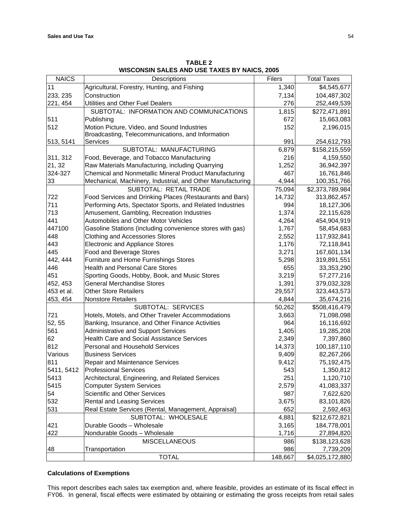| <b>NAICS</b> | Descriptions                                               | <b>Filers</b> | <b>Total Taxes</b> |
|--------------|------------------------------------------------------------|---------------|--------------------|
| 11           | Agricultural, Forestry, Hunting, and Fishing               | 1,340         | \$4,545,677        |
| 233, 235     | Construction                                               | 7,134         | 104,487,302        |
| 221, 454     | Utilities and Other Fuel Dealers                           | 276           | 252,449,539        |
|              | SUBTOTAL: INFORMATION AND COMMUNICATIONS                   | 1,815         | \$272,471,891      |
| 511          | Publishing                                                 | 672           | 15,663,083         |
| 512          | Motion Picture, Video, and Sound Industries                | 152           | 2,196,015          |
|              | Broadcasting, Telecommunications, and Information          |               |                    |
| 513, 5141    | Services                                                   | 991           | 254,612,793        |
|              | SUBTOTAL: MANUFACTURING                                    | 6,879         | \$158,215,559      |
| 311, 312     | Food, Beverage, and Tobacco Manufacturing                  | 216           | 4,159,550          |
| 21, 32       | Raw Materials Manufacturing, including Quarrying           | 1,252         | 36,942,397         |
| 324-327      | Chemical and Nonmetallic Mineral Product Manufacturing     | 467           | 16,761,846         |
| 33           | Mechanical, Machinery, Industrial, and Other Manufacturing | 4,944         | 100,351,766        |
|              | SUBTOTAL: RETAIL TRADE                                     | 75,094        | \$2,373,789,984    |
| 722          | Food Services and Drinking Places (Restaurants and Bars)   | 14,732        | 313,862,457        |
| 711          | Performing Arts, Spectator Sports, and Related Industries  | 994           | 18,127,306         |
| 713          | Amusement, Gambling, Recreation Industries                 | 1,374         | 22,115,628         |
| 441          | Automobiles and Other Motor Vehicles                       | 4,264         | 454,904,919        |
| 447100       | Gasoline Stations (including convenience stores with gas)  | 1,767         | 58,454,683         |
| 448          | <b>Clothing and Accessories Stores</b>                     | 2,552         | 117,932,841        |
| 443          | <b>Electronic and Appliance Stores</b>                     | 1,176         | 72,118,841         |
| 445          | Food and Beverage Stores                                   | 3,271         | 167,601,134        |
| 442, 444     | Furniture and Home Furnishings Stores                      | 5,298         | 319,891,551        |
| 446          | <b>Health and Personal Care Stores</b>                     | 655           | 33,353,290         |
| 451          | Sporting Goods, Hobby, Book, and Music Stores              | 3,219         | 57,277,216         |
| 452, 453     | <b>General Merchandise Stores</b>                          | 1,391         | 379,032,328        |
| 453 et al.   | <b>Other Store Retailers</b>                               | 29,557        | 323,443,573        |
| 453, 454     | <b>Nonstore Retailers</b>                                  | 4,844         | 35,674,216         |
|              | SUBTOTAL: SERVICES                                         | 50,262        | \$508,416,479      |
| 721          | Hotels, Motels, and Other Traveler Accommodations          | 3,663         | 71,098,098         |
| 52, 55       | Banking, Insurance, and Other Finance Activities           | 964           | 16,116,692         |
| 561          | <b>Administrative and Support Services</b>                 | 1,405         | 19,285,208         |
| 62           | <b>Health Care and Social Assistance Services</b>          | 2,349         | 7,397,860          |
| 812          | Personal and Household Services                            | 14,373        | 100,187,110        |
| Various      | <b>Business Services</b>                                   | 9,409         | 82,267,266         |
| 811          | Repair and Maintenance Services                            | 9,412         | 75,192,475         |
| 5411, 5412   | <b>Professional Services</b>                               | 543           | 1,350,812          |
| 5413         | Architectural, Engineering, and Related Services           | 251           | 1,120,710          |
| 5415         | <b>Computer System Services</b>                            | 2,579         | 41,083,337         |
| 54           | <b>Scientific and Other Services</b>                       | 987           | 7,622,620          |
| 532          | <b>Rental and Leasing Services</b>                         | 3,675         | 83,101,826         |
| 531          | Real Estate Services (Rental, Management, Appraisal)       | 652           | 2,592,463          |
|              | SUBTOTAL: WHOLESALE                                        | 4,881         | \$212,672,821      |
| 421          | Durable Goods - Wholesale                                  | 3,165         | 184,778,001        |
| 422          | Nondurable Goods - Wholesale                               | 1,716         | 27,894,820         |
|              | <b>MISCELLANEOUS</b>                                       | 986           | \$138,123,628      |
| 48           | Transportation                                             | 986           | 7,739,209          |
|              | <b>TOTAL</b>                                               | 148,667       | \$4,025,172,880    |

**TABLE 2 WISCONSIN SALES AND USE TAXES BY NAICS, 2005** 

# **Calculations of Exemptions**

This report describes each sales tax exemption and, where feasible, provides an estimate of its fiscal effect in FY06. In general, fiscal effects were estimated by obtaining or estimating the gross receipts from retail sales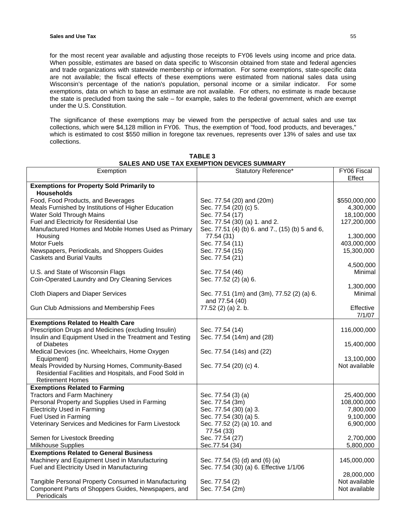for the most recent year available and adjusting those receipts to FY06 levels using income and price data. When possible, estimates are based on data specific to Wisconsin obtained from state and federal agencies and trade organizations with statewide membership or information. For some exemptions, state-specific data are not available; the fiscal effects of these exemptions were estimated from national sales data using Wisconsin's percentage of the nation's population, personal income or a similar indicator. For some exemptions, data on which to base an estimate are not available. For others, no estimate is made because the state is precluded from taxing the sale – for example, sales to the federal government, which are exempt under the U.S. Constitution.

The significance of these exemptions may be viewed from the perspective of actual sales and use tax collections, which were \$4,128 million in FY06. Thus, the exemption of "food, food products, and beverages," which is estimated to cost \$550 million in foregone tax revenues, represents over 13% of sales and use tax collections.

| Exemption                                               | Statutory Reference*                            | FY06 Fiscal   |
|---------------------------------------------------------|-------------------------------------------------|---------------|
|                                                         |                                                 | Effect        |
| <b>Exemptions for Property Sold Primarily to</b>        |                                                 |               |
| <b>Households</b>                                       |                                                 |               |
| Food, Food Products, and Beverages                      | Sec. 77.54 (20) and (20m)                       | \$550,000,000 |
| Meals Furnished by Institutions of Higher Education     | Sec. 77.54 (20) (c) 5.                          | 4,300,000     |
| Water Sold Through Mains                                | Sec. 77.54 (17)                                 | 18,100,000    |
| Fuel and Electricity for Residential Use                | Sec. 77.54 (30) (a) 1. and 2.                   | 127,200,000   |
| Manufactured Homes and Mobile Homes Used as Primary     | Sec. 77.51 (4) (b) 6. and 7., (15) (b) 5 and 6, |               |
| Housing                                                 | 77.54 (31)                                      | 1,300,000     |
| Motor Fuels                                             | Sec. 77.54 (11)                                 | 403,000,000   |
| Newspapers, Periodicals, and Shoppers Guides            | Sec. 77.54 (15)                                 | 15,300,000    |
| <b>Caskets and Burial Vaults</b>                        | Sec. 77.54 (21)                                 |               |
|                                                         |                                                 | 4,500,000     |
| U.S. and State of Wisconsin Flags                       | Sec. 77.54 (46)                                 | Minimal       |
| Coin-Operated Laundry and Dry Cleaning Services         | Sec. 77.52 (2) (a) 6.                           |               |
|                                                         |                                                 | 1,300,000     |
| <b>Cloth Diapers and Diaper Services</b>                | Sec. 77.51 (1m) and (3m), 77.52 (2) (a) 6.      | Minimal       |
|                                                         | and 77.54 (40)                                  |               |
| Gun Club Admissions and Membership Fees                 | 77.52 (2) (a) 2. b.                             | Effective     |
|                                                         |                                                 | 7/1/07        |
| <b>Exemptions Related to Health Care</b>                |                                                 |               |
| Prescription Drugs and Medicines (excluding Insulin)    | Sec. 77.54 (14)                                 | 116,000,000   |
| Insulin and Equipment Used in the Treatment and Testing | Sec. 77.54 (14m) and (28)                       |               |
| of Diabetes                                             |                                                 | 15,400,000    |
| Medical Devices (inc. Wheelchairs, Home Oxygen          | Sec. 77.54 (14s) and (22)                       |               |
| Equipment)                                              |                                                 | 13,100,000    |
| Meals Provided by Nursing Homes, Community-Based        | Sec. 77.54 (20) (c) 4.                          | Not available |
| Residential Facilities and Hospitals, and Food Sold in  |                                                 |               |
| <b>Retirement Homes</b>                                 |                                                 |               |
| <b>Exemptions Related to Farming</b>                    |                                                 |               |
| <b>Tractors and Farm Machinery</b>                      | Sec. 77.54 (3) (a)                              | 25,400,000    |
| Personal Property and Supplies Used in Farming          | Sec. 77.54 (3m)                                 | 108,000,000   |
| <b>Electricity Used in Farming</b>                      | Sec. 77.54 (30) (a) 3.                          | 7,800,000     |
| Fuel Used in Farming                                    | Sec. 77.54 (30) (a) 5.                          | 9,100,000     |
| Veterinary Services and Medicines for Farm Livestock    | Sec. 77.52 (2) (a) 10. and                      | 6,900,000     |
|                                                         | 77.54 (33)                                      |               |
| Semen for Livestock Breeding                            | Sec. 77.54 (27)                                 | 2,700,000     |
| Milkhouse Supplies                                      | Sec.77.54 (34)                                  | 5,800,000     |
| <b>Exemptions Related to General Business</b>           |                                                 |               |
| Machinery and Equipment Used in Manufacturing           | Sec. 77.54 (5) (d) and (6) (a)                  | 145,000,000   |
| Fuel and Electricity Used in Manufacturing              | Sec. 77.54 (30) (a) 6. Effective 1/1/06         |               |
|                                                         |                                                 | 28,000,000    |
| Tangible Personal Property Consumed in Manufacturing    | Sec. 77.54 (2)                                  | Not available |
| Component Parts of Shoppers Guides, Newspapers, and     | Sec. 77.54 (2m)                                 | Not available |
| Periodicals                                             |                                                 |               |

**TABLE 3 SALES AND USE TAX EXEMPTION DEVICES SUMMARY**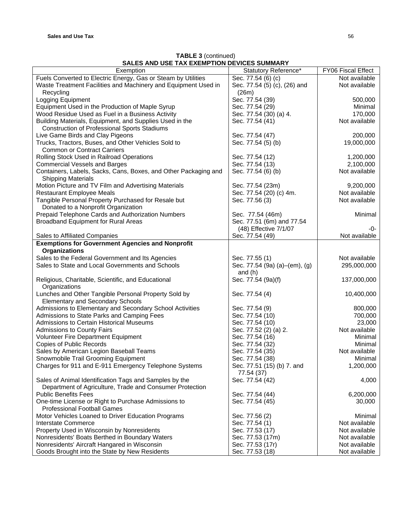| <b>TABLE 3 (continued)</b>                  |
|---------------------------------------------|
| SALES AND USE TAX EXEMPTION DEVICES SUMMARY |

| ONLLO MIND OOL TAA LALIIII TION DEVIOLO OOMINAIVI<br>Exemption  | Statutory Reference*          | FY06 Fiscal Effect |
|-----------------------------------------------------------------|-------------------------------|--------------------|
| Fuels Converted to Electric Energy, Gas or Steam by Utilities   | Sec. 77.54 (6) (c)            | Not available      |
| Waste Treatment Facilities and Machinery and Equipment Used in  | Sec. 77.54 (5) (c), (26) and  | Not available      |
| Recycling                                                       | (26m)                         |                    |
| Logging Equipment                                               | Sec. 77.54 (39)               | 500,000            |
| Equipment Used in the Production of Maple Syrup                 | Sec. 77.54 (29)               | Minimal            |
| Wood Residue Used as Fuel in a Business Activity                | Sec. 77.54 (30) (a) 4.        | 170,000            |
| Building Materials, Equipment, and Supplies Used in the         | Sec. 77.54 (41)               | Not available      |
| <b>Construction of Professional Sports Stadiums</b>             |                               |                    |
| Live Game Birds and Clay Pigeons                                | Sec. 77.54 (47)               | 200,000            |
| Trucks, Tractors, Buses, and Other Vehicles Sold to             | Sec. 77.54 (5) (b)            | 19,000,000         |
| <b>Common or Contract Carriers</b>                              |                               |                    |
| Rolling Stock Used in Railroad Operations                       | Sec. 77.54 (12)               | 1,200,000          |
| <b>Commercial Vessels and Barges</b>                            | Sec. 77.54 (13)               | 2,100,000          |
| Containers, Labels, Sacks, Cans, Boxes, and Other Packaging and | Sec. 77.54 (6) (b)            | Not available      |
| <b>Shipping Materials</b>                                       |                               |                    |
| Motion Picture and TV Film and Advertising Materials            | Sec. 77.54 (23m)              | 9,200,000          |
| <b>Restaurant Employee Meals</b>                                | Sec. 77.54 (20) (c) 4m.       | Not available      |
| Tangible Personal Property Purchased for Resale but             | Sec. 77.56 (3)                | Not available      |
| Donated to a Nonprofit Organization                             |                               |                    |
| Prepaid Telephone Cards and Authorization Numbers               | Sec. 77.54 (46m)              | Minimal            |
| Broadband Equipment for Rural Areas                             | Sec. 77.51 (6m) and 77.54     |                    |
|                                                                 | (48) Effective 7/1/07         | -0-                |
| Sales to Affiliated Companies                                   | Sec. 77.54 (49)               | Not available      |
| <b>Exemptions for Government Agencies and Nonprofit</b>         |                               |                    |
| <b>Organizations</b>                                            |                               |                    |
| Sales to the Federal Government and Its Agencies                | Sec. 77.55 (1)                | Not available      |
| Sales to State and Local Governments and Schools                | Sec. 77.54 (9a) (a)–(em), (g) | 295,000,000        |
|                                                                 | and $(h)$                     |                    |
| Religious, Charitable, Scientific, and Educational              | Sec. 77.54 (9a)(f)            | 137,000,000        |
| Organizations                                                   |                               |                    |
| Lunches and Other Tangible Personal Property Sold by            | Sec. 77.54 (4)                | 10,400,000         |
| <b>Elementary and Secondary Schools</b>                         |                               |                    |
| Admissions to Elementary and Secondary School Activities        | Sec. 77.54 (9)                | 800,000            |
| Admissions to State Parks and Camping Fees                      | Sec. 77.54 (10)               | 700,000            |
| <b>Admissions to Certain Historical Museums</b>                 | Sec. 77.54 (10)               | 23,000             |
| Admissions to County Fairs                                      | Sec. 77.52 (2) (a) 2.         | Not available      |
| Volunteer Fire Department Equipment                             | Sec. 77.54 (16)               | Minimal            |
| <b>Copies of Public Records</b>                                 | Sec. 77.54 (32)               | Minimal            |
| Sales by American Legion Baseball Teams                         | Sec. 77.54 (35)               | Not available      |
| Snowmobile Trail Grooming Equipment                             | Sec. 77.54 (38)               | Minimal            |
| Charges for 911 and E-911 Emergency Telephone Systems           | Sec. 77.51 (15) (b) 7. and    | 1,200,000          |
|                                                                 | 77.54 (37)                    |                    |
| Sales of Animal Identification Tags and Samples by the          | Sec. 77.54 (42)               | 4,000              |
| Department of Agriculture, Trade and Consumer Protection        |                               |                    |
| <b>Public Benefits Fees</b>                                     | Sec. 77.54 (44)               | 6,200,000          |
| One-time License or Right to Purchase Admissions to             | Sec. 77.54 (45)               | 30,000             |
| <b>Professional Football Games</b>                              |                               |                    |
| Motor Vehicles Loaned to Driver Education Programs              | Sec. 77.56 (2)                | Minimal            |
| Interstate Commerce                                             | Sec. 77.54 (1)                | Not available      |
| Property Used in Wisconsin by Nonresidents                      | Sec. 77.53 (17)               | Not available      |
| Nonresidents' Boats Berthed in Boundary Waters                  | Sec. 77.53 (17m)              | Not available      |
| Nonresidents' Aircraft Hangared in Wisconsin                    | Sec. 77.53 (17r)              | Not available      |
| Goods Brought into the State by New Residents                   | Sec. 77.53 (18)               | Not available      |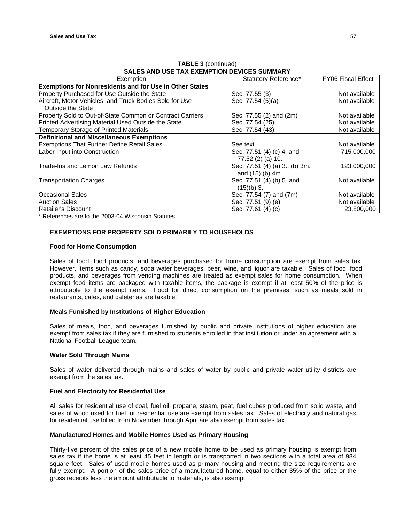| SALES AND USE TAX EXEMPTION DEVICES SUMMARY                    |                                |                           |  |
|----------------------------------------------------------------|--------------------------------|---------------------------|--|
| Exemption                                                      | Statutory Reference*           | <b>FY06 Fiscal Effect</b> |  |
| <b>Exemptions for Nonresidents and for Use in Other States</b> |                                |                           |  |
| Property Purchased for Use Outside the State                   | Sec. 77.55 (3)                 | Not available             |  |
| Aircraft, Motor Vehicles, and Truck Bodies Sold for Use        | Sec. 77.54 (5)(a)              | Not available             |  |
| Outside the State                                              |                                |                           |  |
| Property Sold to Out-of-State Common or Contract Carriers      | Sec. 77.55 (2) and (2m)        | Not available             |  |
| Printed Advertising Material Used Outside the State            | Sec. 77.54 (25)                | Not available             |  |
| Temporary Storage of Printed Materials                         | Sec. 77.54 (43)                | Not available             |  |
| <b>Definitional and Miscellaneous Exemptions</b>               |                                |                           |  |
| <b>Exemptions That Further Define Retail Sales</b>             | See text                       | Not available             |  |
| Labor Input into Construction                                  | Sec. 77.51 (4) (c) 4. and      | 715,000,000               |  |
|                                                                | 77.52 (2) (a) 10.              |                           |  |
| Trade-Ins and Lemon Law Refunds                                | Sec. 77.51 (4) (a) 3., (b) 3m. | 123,000,000               |  |
|                                                                | and (15) (b) 4m.               |                           |  |
| <b>Transportation Charges</b>                                  | Sec. 77.51 (4) (b) 5. and      | Not available             |  |
|                                                                | $(15)(b)$ 3.                   |                           |  |
| <b>Occasional Sales</b>                                        | Sec. 77.54 (7) and (7m)        | Not available             |  |
| <b>Auction Sales</b>                                           | Sec. 77.51 (9) (e)             | Not available             |  |
| Retailer's Discount                                            | Sec. 77.61 (4) (c)             | 23,800,000                |  |

**TABLE 3** (continued)

\* References are to the 2003-04 Wisconsin Statutes.

# **EXEMPTIONS FOR PROPERTY SOLD PRIMARILY TO HOUSEHOLDS**

#### **Food for Home Consumption**

Sales of food, food products, and beverages purchased for home consumption are exempt from sales tax. However, items such as candy, soda water beverages, beer, wine, and liquor are taxable. Sales of food, food products, and beverages from vending machines are treated as exempt sales for home consumption. When exempt food items are packaged with taxable items, the package is exempt if at least 50% of the price is attributable to the exempt items. Food for direct consumption on the premises, such as meals sold in restaurants, cafes, and cafeterias are taxable.

### **Meals Furnished by Institutions of Higher Education**

Sales of meals, food, and beverages furnished by public and private institutions of higher education are exempt from sales tax if they are furnished to students enrolled in that institution or under an agreement with a National Football League team.

#### **Water Sold Through Mains**

Sales of water delivered through mains and sales of water by public and private water utility districts are exempt from the sales tax.

# **Fuel and Electricity for Residential Use**

All sales for residential use of coal, fuel oil, propane, steam, peat, fuel cubes produced from solid waste, and sales of wood used for fuel for residential use are exempt from sales tax. Sales of electricity and natural gas for residential use billed from November through April are also exempt from sales tax.

#### **Manufactured Homes and Mobile Homes Used as Primary Housing**

Thirty-five percent of the sales price of a new mobile home to be used as primary housing is exempt from sales tax if the home is at least 45 feet in length or is transported in two sections with a total area of 984 square feet. Sales of used mobile homes used as primary housing and meeting the size requirements are fully exempt. A portion of the sales price of a manufactured home, equal to either 35% of the price or the gross receipts less the amount attributable to materials, is also exempt.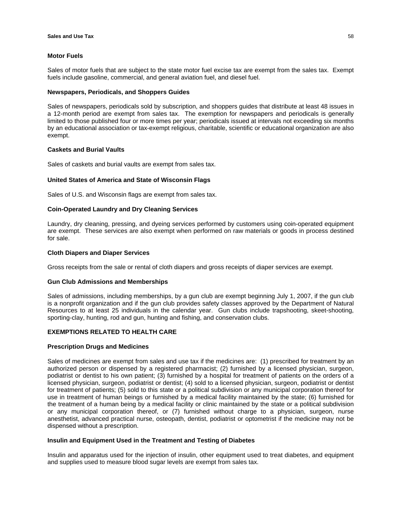# **Motor Fuels**

Sales of motor fuels that are subject to the state motor fuel excise tax are exempt from the sales tax. Exempt fuels include gasoline, commercial, and general aviation fuel, and diesel fuel.

### **Newspapers, Periodicals, and Shoppers Guides**

Sales of newspapers, periodicals sold by subscription, and shoppers guides that distribute at least 48 issues in a 12-month period are exempt from sales tax. The exemption for newspapers and periodicals is generally limited to those published four or more times per year; periodicals issued at intervals not exceeding six months by an educational association or tax-exempt religious, charitable, scientific or educational organization are also exempt.

### **Caskets and Burial Vaults**

Sales of caskets and burial vaults are exempt from sales tax.

# **United States of America and State of Wisconsin Flags**

Sales of U.S. and Wisconsin flags are exempt from sales tax.

# **Coin-Operated Laundry and Dry Cleaning Services**

Laundry, dry cleaning, pressing, and dyeing services performed by customers using coin-operated equipment are exempt. These services are also exempt when performed on raw materials or goods in process destined for sale.

### **Cloth Diapers and Diaper Services**

Gross receipts from the sale or rental of cloth diapers and gross receipts of diaper services are exempt.

# **Gun Club Admissions and Memberships**

Sales of admissions, including memberships, by a gun club are exempt beginning July 1, 2007, if the gun club is a nonprofit organization and if the gun club provides safety classes approved by the Department of Natural Resources to at least 25 individuals in the calendar year. Gun clubs include trapshooting, skeet-shooting, sporting-clay, hunting, rod and gun, hunting and fishing, and conservation clubs.

# **EXEMPTIONS RELATED TO HEALTH CARE**

#### **Prescription Drugs and Medicines**

Sales of medicines are exempt from sales and use tax if the medicines are: (1) prescribed for treatment by an authorized person or dispensed by a registered pharmacist; (2) furnished by a licensed physician, surgeon, podiatrist or dentist to his own patient; (3) furnished by a hospital for treatment of patients on the orders of a licensed physician, surgeon, podiatrist or dentist; (4) sold to a licensed physician, surgeon, podiatrist or dentist for treatment of patients; (5) sold to this state or a political subdivision or any municipal corporation thereof for use in treatment of human beings or furnished by a medical facility maintained by the state; (6) furnished for the treatment of a human being by a medical facility or clinic maintained by the state or a political subdivision or any municipal corporation thereof, or (7) furnished without charge to a physician, surgeon, nurse anesthetist, advanced practical nurse, osteopath, dentist, podiatrist or optometrist if the medicine may not be dispensed without a prescription.

#### **Insulin and Equipment Used in the Treatment and Testing of Diabetes**

Insulin and apparatus used for the injection of insulin, other equipment used to treat diabetes, and equipment and supplies used to measure blood sugar levels are exempt from sales tax.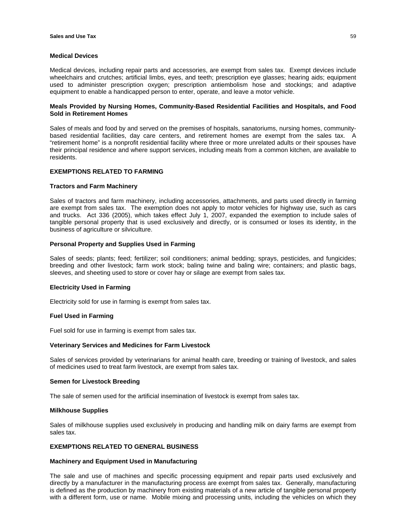#### **Medical Devices**

Medical devices, including repair parts and accessories, are exempt from sales tax. Exempt devices include wheelchairs and crutches; artificial limbs, eyes, and teeth; prescription eye glasses; hearing aids; equipment used to administer prescription oxygen; prescription antiembolism hose and stockings; and adaptive equipment to enable a handicapped person to enter, operate, and leave a motor vehicle.

### **Meals Provided by Nursing Homes, Community-Based Residential Facilities and Hospitals, and Food Sold in Retirement Homes**

Sales of meals and food by and served on the premises of hospitals, sanatoriums, nursing homes, communitybased residential facilities, day care centers, and retirement homes are exempt from the sales tax. A "retirement home" is a nonprofit residential facility where three or more unrelated adults or their spouses have their principal residence and where support services, including meals from a common kitchen, are available to residents.

### **EXEMPTIONS RELATED TO FARMING**

#### **Tractors and Farm Machinery**

Sales of tractors and farm machinery, including accessories, attachments, and parts used directly in farming are exempt from sales tax. The exemption does not apply to motor vehicles for highway use, such as cars and trucks. Act 336 (2005), which takes effect July 1, 2007, expanded the exemption to include sales of tangible personal property that is used exclusively and directly, or is consumed or loses its identity, in the business of agriculture or silviculture.

#### **Personal Property and Supplies Used in Farming**

Sales of seeds; plants; feed; fertilizer; soil conditioners; animal bedding; sprays, pesticides, and fungicides; breeding and other livestock; farm work stock; baling twine and baling wire; containers; and plastic bags, sleeves, and sheeting used to store or cover hay or silage are exempt from sales tax.

#### **Electricity Used in Farming**

Electricity sold for use in farming is exempt from sales tax.

#### **Fuel Used in Farming**

Fuel sold for use in farming is exempt from sales tax.

#### **Veterinary Services and Medicines for Farm Livestock**

Sales of services provided by veterinarians for animal health care, breeding or training of livestock, and sales of medicines used to treat farm livestock, are exempt from sales tax.

#### **Semen for Livestock Breeding**

The sale of semen used for the artificial insemination of livestock is exempt from sales tax.

#### **Milkhouse Supplies**

Sales of milkhouse supplies used exclusively in producing and handling milk on dairy farms are exempt from sales tax.

# **EXEMPTIONS RELATED TO GENERAL BUSINESS**

#### **Machinery and Equipment Used in Manufacturing**

The sale and use of machines and specific processing equipment and repair parts used exclusively and directly by a manufacturer in the manufacturing process are exempt from sales tax. Generally, manufacturing is defined as the production by machinery from existing materials of a new article of tangible personal property with a different form, use or name. Mobile mixing and processing units, including the vehicles on which they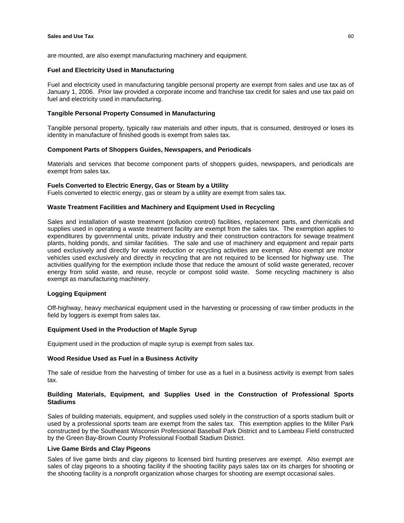are mounted, are also exempt manufacturing machinery and equipment.

#### **Fuel and Electricity Used in Manufacturing**

Fuel and electricity used in manufacturing tangible personal property are exempt from sales and use tax as of January 1, 2006. Prior law provided a corporate income and franchise tax credit for sales and use tax paid on fuel and electricity used in manufacturing.

### **Tangible Personal Property Consumed in Manufacturing**

Tangible personal property, typically raw materials and other inputs, that is consumed, destroyed or loses its identity in manufacture of finished goods is exempt from sales tax.

#### **Component Parts of Shoppers Guides, Newspapers, and Periodicals**

Materials and services that become component parts of shoppers guides, newspapers, and periodicals are exempt from sales tax.

# **Fuels Converted to Electric Energy, Gas or Steam by a Utility**

Fuels converted to electric energy, gas or steam by a utility are exempt from sales tax.

# **Waste Treatment Facilities and Machinery and Equipment Used in Recycling**

Sales and installation of waste treatment (pollution control) facilities, replacement parts, and chemicals and supplies used in operating a waste treatment facility are exempt from the sales tax. The exemption applies to expenditures by governmental units, private industry and their construction contractors for sewage treatment plants, holding ponds, and similar facilities. The sale and use of machinery and equipment and repair parts used exclusively and directly for waste reduction or recycling activities are exempt. Also exempt are motor vehicles used exclusively and directly in recycling that are not required to be licensed for highway use. The activities qualifying for the exemption include those that reduce the amount of solid waste generated, recover energy from solid waste, and reuse, recycle or compost solid waste. Some recycling machinery is also exempt as manufacturing machinery.

# **Logging Equipment**

Off-highway, heavy mechanical equipment used in the harvesting or processing of raw timber products in the field by loggers is exempt from sales tax.

# **Equipment Used in the Production of Maple Syrup**

Equipment used in the production of maple syrup is exempt from sales tax.

### **Wood Residue Used as Fuel in a Business Activity**

The sale of residue from the harvesting of timber for use as a fuel in a business activity is exempt from sales tax.

### **Building Materials, Equipment, and Supplies Used in the Construction of Professional Sports Stadiums**

Sales of building materials, equipment, and supplies used solely in the construction of a sports stadium built or used by a professional sports team are exempt from the sales tax. This exemption applies to the Miller Park constructed by the Southeast Wisconsin Professional Baseball Park District and to Lambeau Field constructed by the Green Bay-Brown County Professional Football Stadium District.

### **Live Game Birds and Clay Pigeons**

Sales of live game birds and clay pigeons to licensed bird hunting preserves are exempt. Also exempt are sales of clay pigeons to a shooting facility if the shooting facility pays sales tax on its charges for shooting or the shooting facility is a nonprofit organization whose charges for shooting are exempt occasional sales.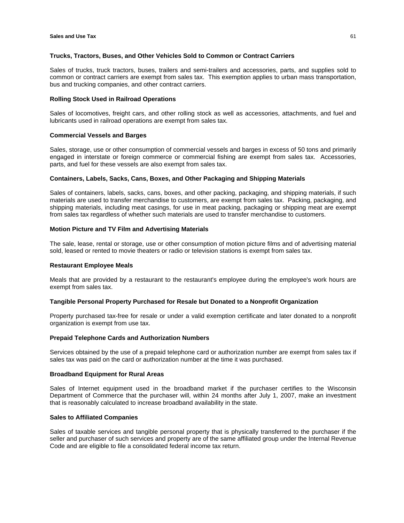### **Trucks, Tractors, Buses, and Other Vehicles Sold to Common or Contract Carriers**

Sales of trucks, truck tractors, buses, trailers and semi-trailers and accessories, parts, and supplies sold to common or contract carriers are exempt from sales tax. This exemption applies to urban mass transportation, bus and trucking companies, and other contract carriers.

### **Rolling Stock Used in Railroad Operations**

Sales of locomotives, freight cars, and other rolling stock as well as accessories, attachments, and fuel and lubricants used in railroad operations are exempt from sales tax.

### **Commercial Vessels and Barges**

Sales, storage, use or other consumption of commercial vessels and barges in excess of 50 tons and primarily engaged in interstate or foreign commerce or commercial fishing are exempt from sales tax. Accessories, parts, and fuel for these vessels are also exempt from sales tax.

# **Containers, Labels, Sacks, Cans, Boxes, and Other Packaging and Shipping Materials**

Sales of containers, labels, sacks, cans, boxes, and other packing, packaging, and shipping materials, if such materials are used to transfer merchandise to customers, are exempt from sales tax. Packing, packaging, and shipping materials, including meat casings, for use in meat packing, packaging or shipping meat are exempt from sales tax regardless of whether such materials are used to transfer merchandise to customers.

# **Motion Picture and TV Film and Advertising Materials**

The sale, lease, rental or storage, use or other consumption of motion picture films and of advertising material sold, leased or rented to movie theaters or radio or television stations is exempt from sales tax.

#### **Restaurant Employee Meals**

Meals that are provided by a restaurant to the restaurant's employee during the employee's work hours are exempt from sales tax.

# **Tangible Personal Property Purchased for Resale but Donated to a Nonprofit Organization**

Property purchased tax-free for resale or under a valid exemption certificate and later donated to a nonprofit organization is exempt from use tax.

#### **Prepaid Telephone Cards and Authorization Numbers**

Services obtained by the use of a prepaid telephone card or authorization number are exempt from sales tax if sales tax was paid on the card or authorization number at the time it was purchased.

#### **Broadband Equipment for Rural Areas**

Sales of Internet equipment used in the broadband market if the purchaser certifies to the Wisconsin Department of Commerce that the purchaser will, within 24 months after July 1, 2007, make an investment that is reasonably calculated to increase broadband availability in the state.

# **Sales to Affiliated Companies**

Sales of taxable services and tangible personal property that is physically transferred to the purchaser if the seller and purchaser of such services and property are of the same affiliated group under the Internal Revenue Code and are eligible to file a consolidated federal income tax return.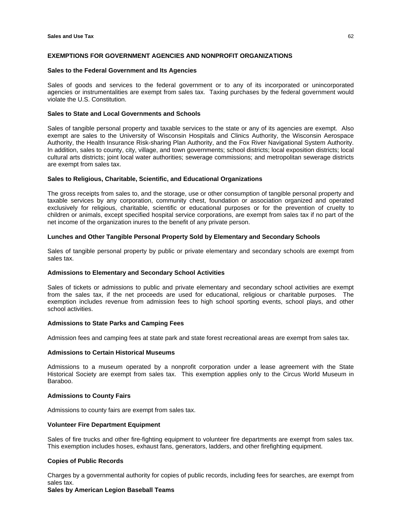### **EXEMPTIONS FOR GOVERNMENT AGENCIES AND NONPROFIT ORGANIZATIONS**

#### **Sales to the Federal Government and Its Agencies**

Sales of goods and services to the federal government or to any of its incorporated or unincorporated agencies or instrumentalities are exempt from sales tax. Taxing purchases by the federal government would violate the U.S. Constitution.

# **Sales to State and Local Governments and Schools**

Sales of tangible personal property and taxable services to the state or any of its agencies are exempt. Also exempt are sales to the University of Wisconsin Hospitals and Clinics Authority, the Wisconsin Aerospace Authority, the Health Insurance Risk-sharing Plan Authority, and the Fox River Navigational System Authority. In addition, sales to county, city, village, and town governments; school districts; local exposition districts; local cultural arts districts; joint local water authorities; sewerage commissions; and metropolitan sewerage districts are exempt from sales tax.

#### **Sales to Religious, Charitable, Scientific, and Educational Organizations**

The gross receipts from sales to, and the storage, use or other consumption of tangible personal property and taxable services by any corporation, community chest, foundation or association organized and operated exclusively for religious, charitable, scientific or educational purposes or for the prevention of cruelty to children or animals, except specified hospital service corporations, are exempt from sales tax if no part of the net income of the organization inures to the benefit of any private person.

#### **Lunches and Other Tangible Personal Property Sold by Elementary and Secondary Schools**

Sales of tangible personal property by public or private elementary and secondary schools are exempt from sales tax.

### **Admissions to Elementary and Secondary School Activities**

Sales of tickets or admissions to public and private elementary and secondary school activities are exempt from the sales tax, if the net proceeds are used for educational, religious or charitable purposes. The exemption includes revenue from admission fees to high school sporting events, school plays, and other school activities.

#### **Admissions to State Parks and Camping Fees**

Admission fees and camping fees at state park and state forest recreational areas are exempt from sales tax.

### **Admissions to Certain Historical Museums**

Admissions to a museum operated by a nonprofit corporation under a lease agreement with the State Historical Society are exempt from sales tax. This exemption applies only to the Circus World Museum in Baraboo.

#### **Admissions to County Fairs**

Admissions to county fairs are exempt from sales tax.

### **Volunteer Fire Department Equipment**

Sales of fire trucks and other fire-fighting equipment to volunteer fire departments are exempt from sales tax. This exemption includes hoses, exhaust fans, generators, ladders, and other firefighting equipment.

# **Copies of Public Records**

Charges by a governmental authority for copies of public records, including fees for searches, are exempt from sales tax.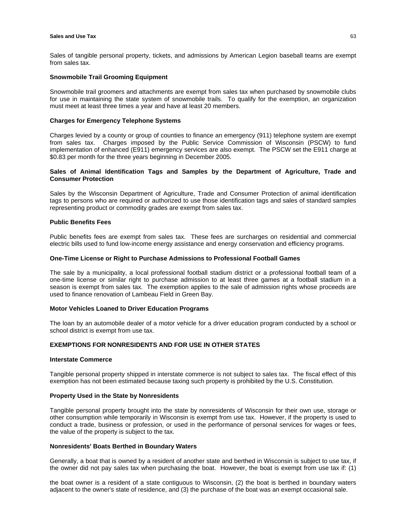### **Sales and Use Tax** 63

Sales of tangible personal property, tickets, and admissions by American Legion baseball teams are exempt from sales tax.

### **Snowmobile Trail Grooming Equipment**

Snowmobile trail groomers and attachments are exempt from sales tax when purchased by snowmobile clubs for use in maintaining the state system of snowmobile trails. To qualify for the exemption, an organization must meet at least three times a year and have at least 20 members.

#### **Charges for Emergency Telephone Systems**

Charges levied by a county or group of counties to finance an emergency (911) telephone system are exempt from sales tax. Charges imposed by the Public Service Commission of Wisconsin (PSCW) to fund implementation of enhanced (E911) emergency services are also exempt. The PSCW set the E911 charge at \$0.83 per month for the three years beginning in December 2005.

# **Sales of Animal Identification Tags and Samples by the Department of Agriculture, Trade and Consumer Protection**

Sales by the Wisconsin Department of Agriculture, Trade and Consumer Protection of animal identification tags to persons who are required or authorized to use those identification tags and sales of standard samples representing product or commodity grades are exempt from sales tax.

# **Public Benefits Fees**

Public benefits fees are exempt from sales tax. These fees are surcharges on residential and commercial electric bills used to fund low-income energy assistance and energy conservation and efficiency programs.

# **One-Time License or Right to Purchase Admissions to Professional Football Games**

The sale by a municipality, a local professional football stadium district or a professional football team of a one-time license or similar right to purchase admission to at least three games at a football stadium in a season is exempt from sales tax. The exemption applies to the sale of admission rights whose proceeds are used to finance renovation of Lambeau Field in Green Bay.

#### **Motor Vehicles Loaned to Driver Education Programs**

The loan by an automobile dealer of a motor vehicle for a driver education program conducted by a school or school district is exempt from use tax.

# **EXEMPTIONS FOR NONRESIDENTS AND FOR USE IN OTHER STATES**

### **Interstate Commerce**

Tangible personal property shipped in interstate commerce is not subject to sales tax. The fiscal effect of this exemption has not been estimated because taxing such property is prohibited by the U.S. Constitution.

# **Property Used in the State by Nonresidents**

Tangible personal property brought into the state by nonresidents of Wisconsin for their own use, storage or other consumption while temporarily in Wisconsin is exempt from use tax. However, if the property is used to conduct a trade, business or profession, or used in the performance of personal services for wages or fees, the value of the property is subject to the tax.

### **Nonresidents' Boats Berthed in Boundary Waters**

Generally, a boat that is owned by a resident of another state and berthed in Wisconsin is subject to use tax, if the owner did not pay sales tax when purchasing the boat. However, the boat is exempt from use tax if: (1)

the boat owner is a resident of a state contiguous to Wisconsin, (2) the boat is berthed in boundary waters adjacent to the owner's state of residence, and (3) the purchase of the boat was an exempt occasional sale.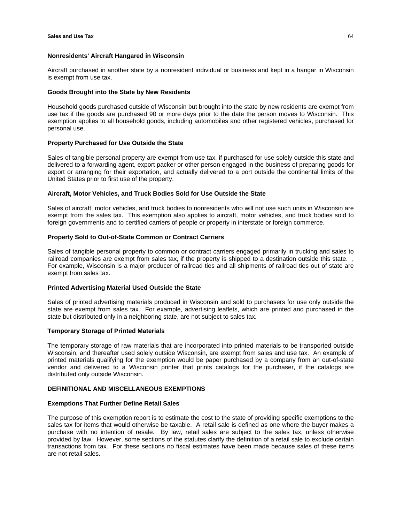#### **Nonresidents' Aircraft Hangared in Wisconsin**

Aircraft purchased in another state by a nonresident individual or business and kept in a hangar in Wisconsin is exempt from use tax.

#### **Goods Brought into the State by New Residents**

Household goods purchased outside of Wisconsin but brought into the state by new residents are exempt from use tax if the goods are purchased 90 or more days prior to the date the person moves to Wisconsin. This exemption applies to all household goods, including automobiles and other registered vehicles, purchased for personal use.

#### **Property Purchased for Use Outside the State**

Sales of tangible personal property are exempt from use tax, if purchased for use solely outside this state and delivered to a forwarding agent, export packer or other person engaged in the business of preparing goods for export or arranging for their exportation, and actually delivered to a port outside the continental limits of the United States prior to first use of the property.

#### **Aircraft, Motor Vehicles, and Truck Bodies Sold for Use Outside the State**

Sales of aircraft, motor vehicles, and truck bodies to nonresidents who will not use such units in Wisconsin are exempt from the sales tax. This exemption also applies to aircraft, motor vehicles, and truck bodies sold to foreign governments and to certified carriers of people or property in interstate or foreign commerce.

#### **Property Sold to Out-of-State Common or Contract Carriers**

Sales of tangible personal property to common or contract carriers engaged primarily in trucking and sales to railroad companies are exempt from sales tax, if the property is shipped to a destination outside this state. For example, Wisconsin is a major producer of railroad ties and all shipments of railroad ties out of state are exempt from sales tax.

#### **Printed Advertising Material Used Outside the State**

Sales of printed advertising materials produced in Wisconsin and sold to purchasers for use only outside the state are exempt from sales tax. For example, advertising leaflets, which are printed and purchased in the state but distributed only in a neighboring state, are not subject to sales tax.

#### **Temporary Storage of Printed Materials**

The temporary storage of raw materials that are incorporated into printed materials to be transported outside Wisconsin, and thereafter used solely outside Wisconsin, are exempt from sales and use tax. An example of printed materials qualifying for the exemption would be paper purchased by a company from an out-of-state vendor and delivered to a Wisconsin printer that prints catalogs for the purchaser, if the catalogs are distributed only outside Wisconsin.

# **DEFINITIONAL AND MISCELLANEOUS EXEMPTIONS**

# **Exemptions That Further Define Retail Sales**

The purpose of this exemption report is to estimate the cost to the state of providing specific exemptions to the sales tax for items that would otherwise be taxable. A retail sale is defined as one where the buyer makes a purchase with no intention of resale. By law, retail sales are subject to the sales tax, unless otherwise provided by law. However, some sections of the statutes clarify the definition of a retail sale to exclude certain transactions from tax. For these sections no fiscal estimates have been made because sales of these items are not retail sales.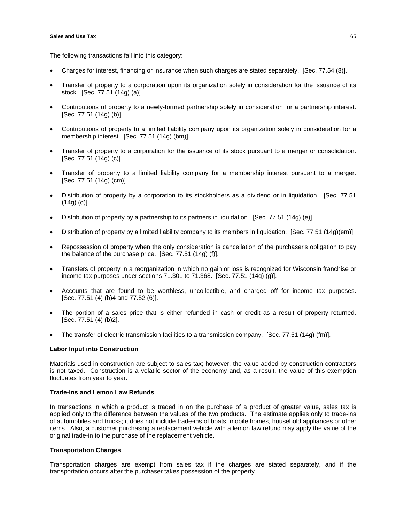The following transactions fall into this category:

- Charges for interest, financing or insurance when such charges are stated separately. [Sec. 77.54 (8)].
- Transfer of property to a corporation upon its organization solely in consideration for the issuance of its stock. [Sec. 77.51 (14g) (a)].
- Contributions of property to a newly-formed partnership solely in consideration for a partnership interest. [Sec. 77.51 (14g) (b)].
- Contributions of property to a limited liability company upon its organization solely in consideration for a membership interest. [Sec. 77.51 (14g) (bm)].
- Transfer of property to a corporation for the issuance of its stock pursuant to a merger or consolidation. [Sec. 77.51 (14g) (c)].
- Transfer of property to a limited liability company for a membership interest pursuant to a merger. [Sec. 77.51 (14g) (cm)].
- Distribution of property by a corporation to its stockholders as a dividend or in liquidation. [Sec. 77.51 (14g) (d)].
- Distribution of property by a partnership to its partners in liquidation. [Sec. 77.51 (14g) (e)].
- Distribution of property by a limited liability company to its members in liquidation. [Sec. 77.51 (14g)(em)].
- Repossession of property when the only consideration is cancellation of the purchaser's obligation to pay the balance of the purchase price. [Sec. 77.51 (14g) (f)].
- Transfers of property in a reorganization in which no gain or loss is recognized for Wisconsin franchise or income tax purposes under sections 71.301 to 71.368. [Sec. 77.51 (14g) (g)].
- Accounts that are found to be worthless, uncollectible, and charged off for income tax purposes. [Sec. 77.51 (4) (b)4 and 77.52 (6)].
- The portion of a sales price that is either refunded in cash or credit as a result of property returned. [Sec. 77.51 (4) (b)2].
- The transfer of electric transmission facilities to a transmission company. [Sec. 77.51 (14g) (fm)].

# **Labor Input into Construction**

Materials used in construction are subject to sales tax; however, the value added by construction contractors is not taxed. Construction is a volatile sector of the economy and, as a result, the value of this exemption fluctuates from year to year.

# **Trade-Ins and Lemon Law Refunds**

In transactions in which a product is traded in on the purchase of a product of greater value, sales tax is applied only to the difference between the values of the two products. The estimate applies only to trade-ins of automobiles and trucks; it does not include trade-ins of boats, mobile homes, household appliances or other items. Also, a customer purchasing a replacement vehicle with a lemon law refund may apply the value of the original trade-in to the purchase of the replacement vehicle.

# **Transportation Charges**

Transportation charges are exempt from sales tax if the charges are stated separately, and if the transportation occurs after the purchaser takes possession of the property.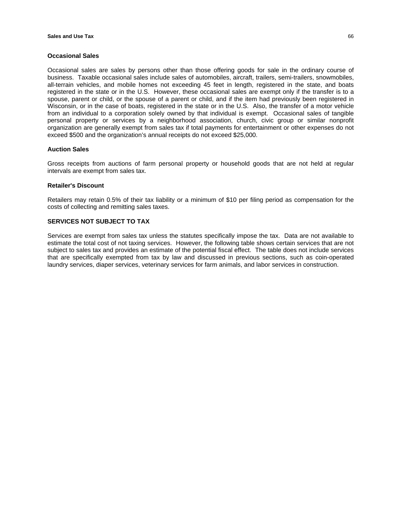#### **Occasional Sales**

Occasional sales are sales by persons other than those offering goods for sale in the ordinary course of business. Taxable occasional sales include sales of automobiles, aircraft, trailers, semi-trailers, snowmobiles, all-terrain vehicles, and mobile homes not exceeding 45 feet in length, registered in the state, and boats registered in the state or in the U.S. However, these occasional sales are exempt only if the transfer is to a spouse, parent or child, or the spouse of a parent or child, and if the item had previously been registered in Wisconsin, or in the case of boats, registered in the state or in the U.S. Also, the transfer of a motor vehicle from an individual to a corporation solely owned by that individual is exempt. Occasional sales of tangible personal property or services by a neighborhood association, church, civic group or similar nonprofit organization are generally exempt from sales tax if total payments for entertainment or other expenses do not exceed \$500 and the organization's annual receipts do not exceed \$25,000.

### **Auction Sales**

Gross receipts from auctions of farm personal property or household goods that are not held at regular intervals are exempt from sales tax.

#### **Retailer's Discount**

Retailers may retain 0.5% of their tax liability or a minimum of \$10 per filing period as compensation for the costs of collecting and remitting sales taxes.

### **SERVICES NOT SUBJECT TO TAX**

Services are exempt from sales tax unless the statutes specifically impose the tax. Data are not available to estimate the total cost of not taxing services. However, the following table shows certain services that are not subject to sales tax and provides an estimate of the potential fiscal effect. The table does not include services that are specifically exempted from tax by law and discussed in previous sections, such as coin-operated laundry services, diaper services, veterinary services for farm animals, and labor services in construction.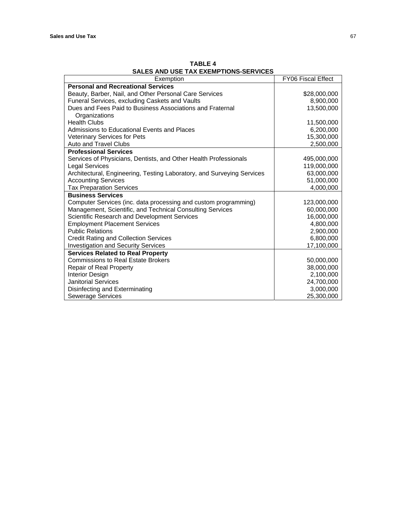| SALES AND USE TAX EXEMPTIONS-SERVICES                                  |                    |  |  |
|------------------------------------------------------------------------|--------------------|--|--|
| Exemption                                                              | FY06 Fiscal Effect |  |  |
| <b>Personal and Recreational Services</b>                              |                    |  |  |
| Beauty, Barber, Nail, and Other Personal Care Services                 | \$28,000,000       |  |  |
| Funeral Services, excluding Caskets and Vaults                         | 8,900,000          |  |  |
| Dues and Fees Paid to Business Associations and Fraternal              | 13,500,000         |  |  |
| Organizations                                                          |                    |  |  |
| <b>Health Clubs</b>                                                    | 11,500,000         |  |  |
| Admissions to Educational Events and Places                            | 6,200,000          |  |  |
| <b>Veterinary Services for Pets</b>                                    | 15,300,000         |  |  |
| <b>Auto and Travel Clubs</b>                                           | 2,500,000          |  |  |
| <b>Professional Services</b>                                           |                    |  |  |
| Services of Physicians, Dentists, and Other Health Professionals       | 495,000,000        |  |  |
| <b>Legal Services</b>                                                  | 119,000,000        |  |  |
| Architectural, Engineering, Testing Laboratory, and Surveying Services | 63,000,000         |  |  |
| <b>Accounting Services</b>                                             | 51,000,000         |  |  |
| <b>Tax Preparation Services</b>                                        | 4,000,000          |  |  |
| <b>Business Services</b>                                               |                    |  |  |
| Computer Services (inc. data processing and custom programming)        | 123,000,000        |  |  |
| Management, Scientific, and Technical Consulting Services              | 60,000,000         |  |  |
| Scientific Research and Development Services                           | 16,000,000         |  |  |
| <b>Employment Placement Services</b>                                   | 4,800,000          |  |  |
| <b>Public Relations</b>                                                | 2,900,000          |  |  |
| <b>Credit Rating and Collection Services</b>                           | 6,800,000          |  |  |
| <b>Investigation and Security Services</b>                             | 17,100,000         |  |  |
| <b>Services Related to Real Property</b>                               |                    |  |  |
| <b>Commissions to Real Estate Brokers</b>                              | 50,000,000         |  |  |
| Repair of Real Property                                                | 38,000,000         |  |  |
| Interior Design                                                        | 2,100,000          |  |  |
| <b>Janitorial Services</b>                                             | 24,700,000         |  |  |
| Disinfecting and Exterminating                                         | 3,000,000          |  |  |
| Sewerage Services                                                      | 25,300,000         |  |  |

**TABLE 4 SALES AND USE TAX EXEMPTIONS-SERVICES**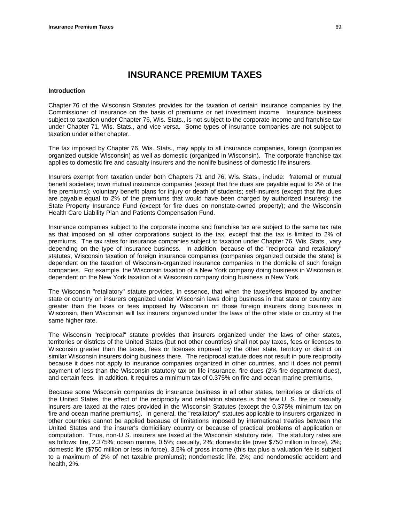### **Introduction**

Chapter 76 of the Wisconsin Statutes provides for the taxation of certain insurance companies by the Commissioner of Insurance on the basis of premiums or net investment income. Insurance business subject to taxation under Chapter 76, Wis. Stats., is not subject to the corporate income and franchise tax under Chapter 71, Wis. Stats., and vice versa. Some types of insurance companies are not subject to taxation under either chapter.

The tax imposed by Chapter 76, Wis. Stats., may apply to all insurance companies, foreign (companies organized outside Wisconsin) as well as domestic (organized in Wisconsin). The corporate franchise tax applies to domestic fire and casualty insurers and the nonlife business of domestic life insurers.

Insurers exempt from taxation under both Chapters 71 and 76, Wis. Stats., include: fraternal or mutual benefit societies; town mutual insurance companies (except that fire dues are payable equal to 2% of the fire premiums); voluntary benefit plans for injury or death of students; self-insurers (except that fire dues are payable equal to 2% of the premiums that would have been charged by authorized insurers); the State Property Insurance Fund (except for fire dues on nonstate-owned property); and the Wisconsin Health Care Liability Plan and Patients Compensation Fund.

Insurance companies subject to the corporate income and franchise tax are subject to the same tax rate as that imposed on all other corporations subject to the tax, except that the tax is limited to 2% of premiums. The tax rates for insurance companies subject to taxation under Chapter 76, Wis. Stats., vary depending on the type of insurance business. In addition, because of the "reciprocal and retaliatory" statutes, Wisconsin taxation of foreign insurance companies (companies organized outside the state) is dependent on the taxation of Wisconsin-organized insurance companies in the domicile of such foreign companies. For example, the Wisconsin taxation of a New York company doing business in Wisconsin is dependent on the New York taxation of a Wisconsin company doing business in New York.

The Wisconsin "retaliatory" statute provides, in essence, that when the taxes/fees imposed by another state or country on insurers organized under Wisconsin laws doing business in that state or country are greater than the taxes or fees imposed by Wisconsin on those foreign insurers doing business in Wisconsin, then Wisconsin will tax insurers organized under the laws of the other state or country at the same higher rate.

The Wisconsin "reciprocal" statute provides that insurers organized under the laws of other states, territories or districts of the United States (but not other countries) shall not pay taxes, fees or licenses to Wisconsin greater than the taxes, fees or licenses imposed by the other state, territory or district on similar Wisconsin insurers doing business there. The reciprocal statute does not result in pure reciprocity because it does not apply to insurance companies organized in other countries, and it does not permit payment of less than the Wisconsin statutory tax on life insurance, fire dues (2% fire department dues), and certain fees. In addition, it requires a minimum tax of 0.375% on fire and ocean marine premiums.

Because some Wisconsin companies do insurance business in all other states, territories or districts of the United States, the effect of the reciprocity and retaliation statutes is that few U. S. fire or casualty insurers are taxed at the rates provided in the Wisconsin Statutes (except the 0.375% minimum tax on fire and ocean marine premiums). In general, the "retaliatory" statutes applicable to insurers organized in other countries cannot be applied because of limitations imposed by international treaties between the United States and the insurer's domiciliary country or because of practical problems of application or computation. Thus, non-U S. insurers are taxed at the Wisconsin statutory rate. The statutory rates are as follows: fire, 2.375%; ocean marine, 0.5%; casualty, 2%; domestic life (over \$750 million in force), 2%; domestic life (\$750 million or less in force), 3.5% of gross income (this tax plus a valuation fee is subject to a maximum of 2% of net taxable premiums); nondomestic life, 2%; and nondomestic accident and health, 2%.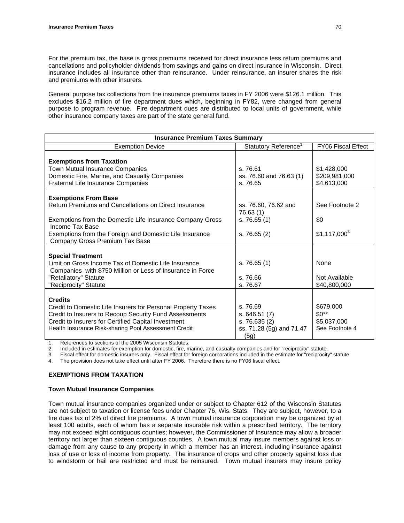For the premium tax, the base is gross premiums received for direct insurance less return premiums and cancellations and policyholder dividends from savings and gains on direct insurance in Wisconsin. Direct insurance includes all insurance other than reinsurance. Under reinsurance, an insurer shares the risk and premiums with other insurers.

General purpose tax collections from the insurance premiums taxes in FY 2006 were \$126.1 million. This excludes \$16.2 million of fire department dues which, beginning in FY82, were changed from general purpose to program revenue. Fire department dues are distributed to local units of government, while other insurance company taxes are part of the state general fund.

| <b>Insurance Premium Taxes Summary</b>                                                                                                                                                                                                                            |                                                                              |                                                      |  |
|-------------------------------------------------------------------------------------------------------------------------------------------------------------------------------------------------------------------------------------------------------------------|------------------------------------------------------------------------------|------------------------------------------------------|--|
| <b>Exemption Device</b>                                                                                                                                                                                                                                           | Statutory Reference <sup>1</sup>                                             | FY06 Fiscal Effect                                   |  |
| <b>Exemptions from Taxation</b><br>Town Mutual Insurance Companies<br>Domestic Fire, Marine, and Casualty Companies<br>Fraternal Life Insurance Companies                                                                                                         | s. 76.61<br>ss. 76.60 and 76.63 (1)<br>s. 76.65                              | \$1,428,000<br>\$209,981,000<br>\$4,613,000          |  |
| <b>Exemptions From Base</b><br>Return Premiums and Cancellations on Direct Insurance<br>Exemptions from the Domestic Life Insurance Company Gross<br>Income Tax Base<br>Exemptions from the Foreign and Domestic Life Insurance<br>Company Gross Premium Tax Base | ss. 76.60, 76.62 and<br>76.63 (1)<br>s. 76.65(1)<br>s. 76.65(2)              | See Footnote 2<br>\$0<br>$$1,117,000^3$              |  |
| <b>Special Treatment</b><br>Limit on Gross Income Tax of Domestic Life Insurance<br>Companies with \$750 Million or Less of Insurance in Force<br>"Retaliatory" Statute<br>"Reciprocity" Statute                                                                  | s. 76.65(1)<br>s. 76.66<br>s. 76.67                                          | None<br>Not Available<br>\$40,800,000                |  |
| <b>Credits</b><br>Credit to Domestic Life Insurers for Personal Property Taxes<br>Credit to Insurers to Recoup Security Fund Assessments<br>Credit to Insurers for Certified Capital Investment<br>Health Insurance Risk-sharing Pool Assessment Credit           | s. 76.69<br>s.646.51(7)<br>s. 76.635 (2)<br>ss. 71.28 (5g) and 71.47<br>(5g) | \$679,000<br>$$0**$<br>\$5,037,000<br>See Footnote 4 |  |

1. References to sections of the 2005 Wisconsin Statutes.

2. Included in estimates for exemption for domestic, fire, marine, and casualty companies and for "reciprocity" statute.

3. Fiscal effect for domestic insurers only. Fiscal effect for foreign corporations included in the estimate for "reciprocity" statute.

The provision does not take effect until after FY 2006. Therefore there is no FY06 fiscal effect.

# **EXEMPTIONS FROM TAXATION**

#### **Town Mutual Insurance Companies**

Town mutual insurance companies organized under or subject to Chapter 612 of the Wisconsin Statutes are not subject to taxation or license fees under Chapter 76, Wis. Stats. They are subject, however, to a fire dues tax of 2% of direct fire premiums. A town mutual insurance corporation may be organized by at least 100 adults, each of whom has a separate insurable risk within a prescribed territory. The territory may not exceed eight contiguous counties; however, the Commissioner of Insurance may allow a broader territory not larger than sixteen contiguous counties. A town mutual may insure members against loss or damage from any cause to any property in which a member has an interest, including insurance against loss of use or loss of income from property. The insurance of crops and other property against loss due to windstorm or hail are restricted and must be reinsured. Town mutual insurers may insure policy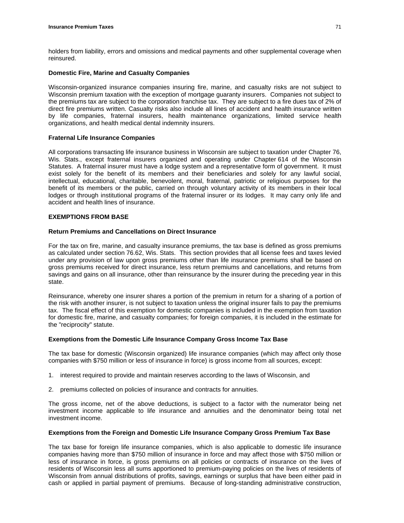holders from liability, errors and omissions and medical payments and other supplemental coverage when reinsured.

### **Domestic Fire, Marine and Casualty Companies**

Wisconsin-organized insurance companies insuring fire, marine, and casualty risks are not subject to Wisconsin premium taxation with the exception of mortgage guaranty insurers. Companies not subject to the premiums tax are subject to the corporation franchise tax. They are subject to a fire dues tax of 2% of direct fire premiums written. Casualty risks also include all lines of accident and health insurance written by life companies, fraternal insurers, health maintenance organizations, limited service health organizations, and health medical dental indemnity insurers.

# **Fraternal Life Insurance Companies**

All corporations transacting life insurance business in Wisconsin are subject to taxation under Chapter 76, Wis. Stats., except fraternal insurers organized and operating under Chapter 614 of the Wisconsin Statutes. A fraternal insurer must have a lodge system and a representative form of government. It must exist solely for the benefit of its members and their beneficiaries and solely for any lawful social, intellectual, educational, charitable, benevolent, moral, fraternal, patriotic or religious purposes for the benefit of its members or the public, carried on through voluntary activity of its members in their local lodges or through institutional programs of the fraternal insurer or its lodges. It may carry only life and accident and health lines of insurance.

### **EXEMPTIONS FROM BASE**

### **Return Premiums and Cancellations on Direct Insurance**

For the tax on fire, marine, and casualty insurance premiums, the tax base is defined as gross premiums as calculated under section 76.62, Wis. Stats. This section provides that all license fees and taxes levied under any provision of law upon gross premiums other than life insurance premiums shall be based on gross premiums received for direct insurance, less return premiums and cancellations, and returns from savings and gains on all insurance, other than reinsurance by the insurer during the preceding year in this state.

Reinsurance, whereby one insurer shares a portion of the premium in return for a sharing of a portion of the risk with another insurer, is not subject to taxation unless the original insurer fails to pay the premiums tax. The fiscal effect of this exemption for domestic companies is included in the exemption from taxation for domestic fire, marine, and casualty companies; for foreign companies, it is included in the estimate for the "reciprocity" statute.

#### **Exemptions from the Domestic Life Insurance Company Gross Income Tax Base**

The tax base for domestic (Wisconsin organized) life insurance companies (which may affect only those companies with \$750 million or less of insurance in force) is gross income from all sources, except:

- 1. interest required to provide and maintain reserves according to the laws of Wisconsin, and
- 2. premiums collected on policies of insurance and contracts for annuities.

The gross income, net of the above deductions, is subject to a factor with the numerator being net investment income applicable to life insurance and annuities and the denominator being total net investment income.

# **Exemptions from the Foreign and Domestic Life Insurance Company Gross Premium Tax Base**

The tax base for foreign life insurance companies, which is also applicable to domestic life insurance companies having more than \$750 million of insurance in force and may affect those with \$750 million or less of insurance in force, is gross premiums on all policies or contracts of insurance on the lives of residents of Wisconsin less all sums apportioned to premium-paying policies on the lives of residents of Wisconsin from annual distributions of profits, savings, earnings or surplus that have been either paid in cash or applied in partial payment of premiums. Because of long-standing administrative construction,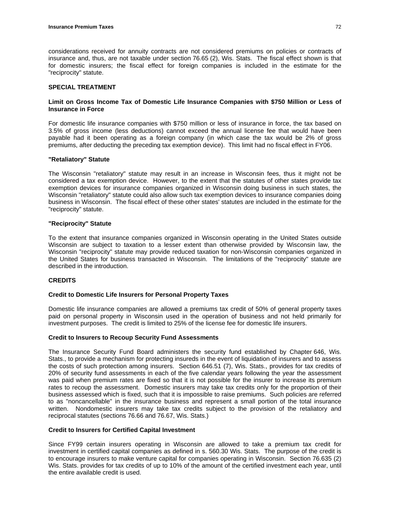considerations received for annuity contracts are not considered premiums on policies or contracts of insurance and, thus, are not taxable under section 76.65 (2), Wis. Stats. The fiscal effect shown is that for domestic insurers; the fiscal effect for foreign companies is included in the estimate for the "reciprocity" statute.

# **SPECIAL TREATMENT**

# **Limit on Gross Income Tax of Domestic Life Insurance Companies with \$750 Million or Less of Insurance in Force**

For domestic life insurance companies with \$750 million or less of insurance in force, the tax based on 3.5% of gross income (less deductions) cannot exceed the annual license fee that would have been payable had it been operating as a foreign company (in which case the tax would be 2% of gross premiums, after deducting the preceding tax exemption device). This limit had no fiscal effect in FY06.

# **"Retaliatory" Statute**

The Wisconsin "retaliatory" statute may result in an increase in Wisconsin fees, thus it might not be considered a tax exemption device. However, to the extent that the statutes of other states provide tax exemption devices for insurance companies organized in Wisconsin doing business in such states, the Wisconsin "retaliatory" statute could also allow such tax exemption devices to insurance companies doing business in Wisconsin. The fiscal effect of these other states' statutes are included in the estimate for the "reciprocity" statute.

# **"Reciprocity" Statute**

To the extent that insurance companies organized in Wisconsin operating in the United States outside Wisconsin are subject to taxation to a lesser extent than otherwise provided by Wisconsin law, the Wisconsin "reciprocity" statute may provide reduced taxation for non-Wisconsin companies organized in the United States for business transacted in Wisconsin. The limitations of the "reciprocity" statute are described in the introduction.

# **CREDITS**

# **Credit to Domestic Life Insurers for Personal Property Taxes**

Domestic life insurance companies are allowed a premiums tax credit of 50% of general property taxes paid on personal property in Wisconsin used in the operation of business and not held primarily for investment purposes. The credit is limited to 25% of the license fee for domestic life insurers.

# **Credit to Insurers to Recoup Security Fund Assessments**

The Insurance Security Fund Board administers the security fund established by Chapter 646, Wis. Stats., to provide a mechanism for protecting insureds in the event of liquidation of insurers and to assess the costs of such protection among insurers. Section 646.51 (7), Wis. Stats., provides for tax credits of 20% of security fund assessments in each of the five calendar years following the year the assessment was paid when premium rates are fixed so that it is not possible for the insurer to increase its premium rates to recoup the assessment. Domestic insurers may take tax credits only for the proportion of their business assessed which is fixed, such that it is impossible to raise premiums. Such policies are referred to as "noncancellable" in the insurance business and represent a small portion of the total insurance written. Nondomestic insurers may take tax credits subject to the provision of the retaliatory and reciprocal statutes (sections 76.66 and 76.67, Wis. Stats.)

# **Credit to Insurers for Certified Capital Investment**

Since FY99 certain insurers operating in Wisconsin are allowed to take a premium tax credit for investment in certified capital companies as defined in s. 560.30 Wis. Stats. The purpose of the credit is to encourage insurers to make venture capital for companies operating in Wisconsin. Section 76.635 (2) Wis. Stats. provides for tax credits of up to 10% of the amount of the certified investment each year, until the entire available credit is used.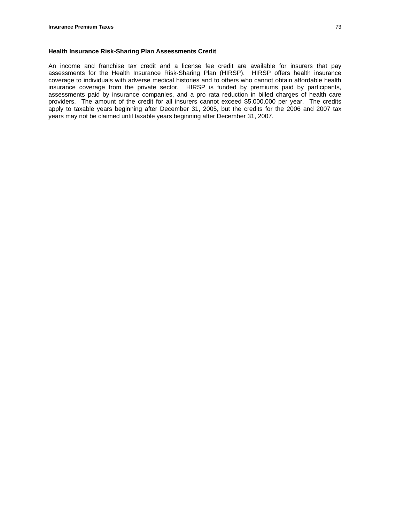An income and franchise tax credit and a license fee credit are available for insurers that pay assessments for the Health Insurance Risk-Sharing Plan (HIRSP). HIRSP offers health insurance coverage to individuals with adverse medical histories and to others who cannot obtain affordable health insurance coverage from the private sector. HIRSP is funded by premiums paid by participants, assessments paid by insurance companies, and a pro rata reduction in billed charges of health care providers. The amount of the credit for all insurers cannot exceed \$5,000,000 per year.The credits apply to taxable years beginning after December 31, 2005, but the credits for the 2006 and 2007 tax years may not be claimed until taxable years beginning after December 31, 2007.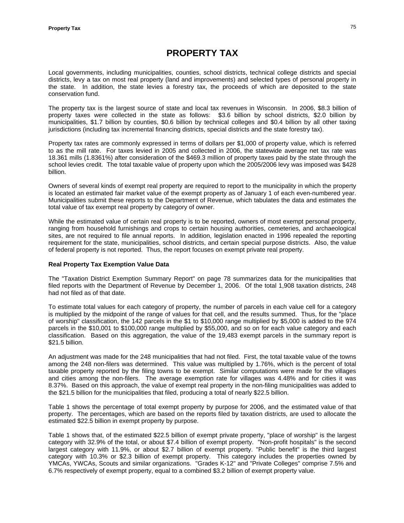# **PROPERTY TAX**

Local governments, including municipalities, counties, school districts, technical college districts and special districts, levy a tax on most real property (land and improvements) and selected types of personal property in the state. In addition, the state levies a forestry tax, the proceeds of which are deposited to the state conservation fund.

The property tax is the largest source of state and local tax revenues in Wisconsin. In 2006, \$8.3 billion of property taxes were collected in the state as follows: \$3.6 billion by school districts, \$2.0 billion by municipalities, \$1.7 billion by counties, \$0.6 billion by technical colleges and \$0.4 billion by all other taxing jurisdictions (including tax incremental financing districts, special districts and the state forestry tax).

Property tax rates are commonly expressed in terms of dollars per \$1,000 of property value, which is referred to as the mill rate. For taxes levied in 2005 and collected in 2006, the statewide average net tax rate was 18.361 mills (1.8361%) after consideration of the \$469.3 million of property taxes paid by the state through the school levies credit. The total taxable value of property upon which the 2005/2006 levy was imposed was \$428 billion.

Owners of several kinds of exempt real property are required to report to the municipality in which the property is located an estimated fair market value of the exempt property as of January 1 of each even-numbered year. Municipalities submit these reports to the Department of Revenue, which tabulates the data and estimates the total value of tax exempt real property by category of owner.

While the estimated value of certain real property is to be reported, owners of most exempt personal property, ranging from household furnishings and crops to certain housing authorities, cemeteries, and archaeological sites, are not required to file annual reports. In addition, legislation enacted in 1996 repealed the reporting requirement for the state, municipalities, school districts, and certain special purpose districts. Also, the value of federal property is not reported. Thus, the report focuses on exempt private real property.

# **Real Property Tax Exemption Value Data**

The "Taxation District Exemption Summary Report" on page 78 summarizes data for the municipalities that filed reports with the Department of Revenue by December 1, 2006. Of the total 1,908 taxation districts, 248 had not filed as of that date.

To estimate total values for each category of property, the number of parcels in each value cell for a category is multiplied by the midpoint of the range of values for that cell, and the results summed. Thus, for the "place of worship" classification, the 142 parcels in the \$1 to \$10,000 range multiplied by \$5,000 is added to the 974 parcels in the \$10,001 to \$100,000 range multiplied by \$55,000, and so on for each value category and each classification. Based on this aggregation, the value of the 19,483 exempt parcels in the summary report is \$21.5 billion.

An adjustment was made for the 248 municipalities that had not filed. First, the total taxable value of the towns among the 248 non-filers was determined. This value was multiplied by 1.76%, which is the percent of total taxable property reported by the filing towns to be exempt. Similar computations were made for the villages and cities among the non-filers. The average exemption rate for villages was 4.48% and for cities it was 8.37%. Based on this approach, the value of exempt real property in the non-filing municipalities was added to the \$21.5 billion for the municipalities that filed, producing a total of nearly \$22.5 billion.

Table 1 shows the percentage of total exempt property by purpose for 2006, and the estimated value of that property. The percentages, which are based on the reports filed by taxation districts, are used to allocate the estimated \$22.5 billion in exempt property by purpose.

Table 1 shows that, of the estimated \$22.5 billion of exempt private property, "place of worship" is the largest category with 32.9% of the total, or about \$7.4 billion of exempt property. "Non-profit hospitals" is the second largest category with 11.9%, or about \$2.7 billion of exempt property. "Public benefit" is the third largest category with 10.3% or \$2.3 billion of exempt property. This category includes the properties owned by YMCAs, YWCAs, Scouts and similar organizations. "Grades K-12" and "Private Colleges" comprise 7.5% and 6.7% respectively of exempt property, equal to a combined \$3.2 billion of exempt property value.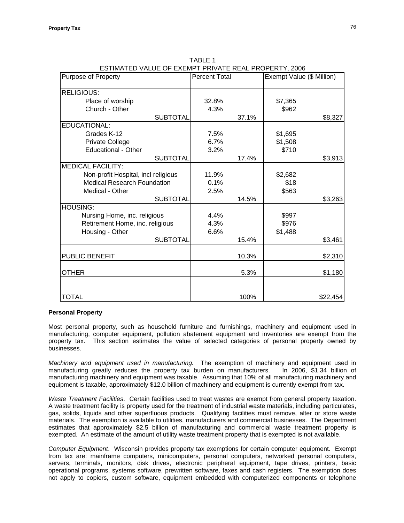| ESTIMATED VALUE OF EXEMPT PRIVATE REAL PROPERTY, 2006 | <b>Percent Total</b> |       |                           |          |
|-------------------------------------------------------|----------------------|-------|---------------------------|----------|
| <b>Purpose of Property</b>                            |                      |       | Exempt Value (\$ Million) |          |
| <b>RELIGIOUS:</b>                                     |                      |       |                           |          |
| Place of worship                                      | 32.8%                |       | \$7,365                   |          |
| Church - Other                                        |                      |       | \$962                     |          |
|                                                       | 4.3%                 |       |                           |          |
| <b>SUBTOTAL</b><br>EDUCATIONAL:                       |                      | 37.1% |                           | \$8,327  |
|                                                       |                      |       |                           |          |
| Grades K-12                                           | 7.5%                 |       | \$1,695                   |          |
| Private College                                       | 6.7%                 |       | \$1,508                   |          |
| <b>Educational - Other</b>                            | 3.2%                 |       | \$710                     |          |
| <b>SUBTOTAL</b>                                       |                      | 17.4% |                           | \$3,913  |
| <b>MEDICAL FACILITY:</b>                              |                      |       |                           |          |
| Non-profit Hospital, incl religious                   | 11.9%                |       | \$2,682                   |          |
| <b>Medical Research Foundation</b>                    | 0.1%                 |       | \$18                      |          |
| Medical - Other                                       | 2.5%                 |       | \$563                     |          |
| <b>SUBTOTAL</b>                                       |                      | 14.5% |                           | \$3,263  |
| <b>HOUSING:</b>                                       |                      |       |                           |          |
| Nursing Home, inc. religious                          | 4.4%                 |       | \$997                     |          |
| Retirement Home, inc. religious                       | 4.3%                 |       | \$976                     |          |
| Housing - Other                                       | 6.6%                 |       | \$1,488                   |          |
| <b>SUBTOTAL</b>                                       |                      | 15.4% |                           | \$3,461  |
|                                                       |                      |       |                           |          |
| PUBLIC BENEFIT                                        |                      | 10.3% |                           | \$2,310  |
| <b>OTHER</b>                                          |                      | 5.3%  |                           | \$1,180  |
|                                                       |                      |       |                           |          |
| <b>TOTAL</b>                                          |                      | 100%  |                           | \$22,454 |

TABLE 1 ESTIMATED VALUE OF EXEMPT PRIVATE REAL PROPERTY, 2006

# **Personal Property**

Most personal property, such as household furniture and furnishings, machinery and equipment used in manufacturing, computer equipment, pollution abatement equipment and inventories are exempt from the property tax. This section estimates the value of selected categories of personal property owned by businesses.

*Machinery and equipment used in manufacturing.* The exemption of machinery and equipment used in manufacturing greatly reduces the property tax burden on manufacturers. In 2006, \$1.34 billion of manufacturing machinery and equipment was taxable. Assuming that 10% of all manufacturing machinery and equipment is taxable, approximately \$12.0 billion of machinery and equipment is currently exempt from tax.

*Waste Treatment Facilities*. Certain facilities used to treat wastes are exempt from general property taxation. A waste treatment facility is property used for the treatment of industrial waste materials, including particulates, gas, solids, liquids and other superfluous products. Qualifying facilities must remove, alter or store waste materials. The exemption is available to utilities, manufacturers and commercial businesses. The Department estimates that approximately \$2.5 billion of manufacturing and commercial waste treatment property is exempted. An estimate of the amount of utility waste treatment property that is exempted is not available.

*Computer Equipment*. Wisconsin provides property tax exemptions for certain computer equipment. Exempt from tax are: mainframe computers, minicomputers, personal computers, networked personal computers, servers, terminals, monitors, disk drives, electronic peripheral equipment, tape drives, printers, basic operational programs, systems software, prewritten software, faxes and cash registers. The exemption does not apply to copiers, custom software, equipment embedded with computerized components or telephone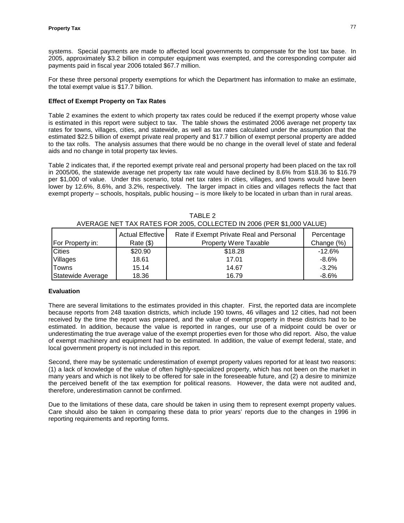systems. Special payments are made to affected local governments to compensate for the lost tax base. In 2005, approximately \$3.2 billion in computer equipment was exempted, and the corresponding computer aid payments paid in fiscal year 2006 totaled \$67.7 million.

For these three personal property exemptions for which the Department has information to make an estimate, the total exempt value is \$17.7 billion.

# **Effect of Exempt Property on Tax Rates**

Table 2 examines the extent to which property tax rates could be reduced if the exempt property whose value is estimated in this report were subject to tax. The table shows the estimated 2006 average net property tax rates for towns, villages, cities, and statewide, as well as tax rates calculated under the assumption that the estimated \$22.5 billion of exempt private real property and \$17.7 billion of exempt personal property are added to the tax rolls. The analysis assumes that there would be no change in the overall level of state and federal aids and no change in total property tax levies.

Table 2 indicates that, if the reported exempt private real and personal property had been placed on the tax roll in 2005/06, the statewide average net property tax rate would have declined by 8.6% from \$18.36 to \$16.79 per \$1,000 of value. Under this scenario, total net tax rates in cities, villages, and towns would have been lower by 12.6%, 8.6%, and 3.2%, respectively. The larger impact in cities and villages reflects the fact that exempt property – schools, hospitals, public housing – is more likely to be located in urban than in rural areas.

| <b>For Property in:</b> | <b>Actual Effective</b><br>Rate (\$) | Rate if Exempt Private Real and Personal<br><b>Property Were Taxable</b> | Percentage<br>Change (%) |
|-------------------------|--------------------------------------|--------------------------------------------------------------------------|--------------------------|
| <b>Cities</b>           | \$20.90                              | \$18.28                                                                  | $-12.6\%$                |
| Villages                | 18.61                                | 17.01                                                                    | $-8.6%$                  |
| Towns                   | 15.14                                | 14.67                                                                    | $-3.2%$                  |
| Statewide Average       | 18.36                                | 16.79                                                                    | $-8.6%$                  |

TABLE 2 AVERAGE NET TAX RATES FOR 2005, COLLECTED IN 2006 (PER \$1,000 VALUE)

## **Evaluation**

There are several limitations to the estimates provided in this chapter. First, the reported data are incomplete because reports from 248 taxation districts, which include 190 towns, 46 villages and 12 cities, had not been received by the time the report was prepared, and the value of exempt property in these districts had to be estimated. In addition, because the value is reported in ranges, our use of a midpoint could be over or underestimating the true average value of the exempt properties even for those who did report. Also, the value of exempt machinery and equipment had to be estimated. In addition, the value of exempt federal, state, and local government property is not included in this report.

Second, there may be systematic underestimation of exempt property values reported for at least two reasons: (1) a lack of knowledge of the value of often highly-specialized property, which has not been on the market in many years and which is not likely to be offered for sale in the foreseeable future, and (2) a desire to minimize the perceived benefit of the tax exemption for political reasons. However, the data were not audited and, therefore, underestimation cannot be confirmed.

Due to the limitations of these data, care should be taken in using them to represent exempt property values. Care should also be taken in comparing these data to prior years' reports due to the changes in 1996 in reporting requirements and reporting forms.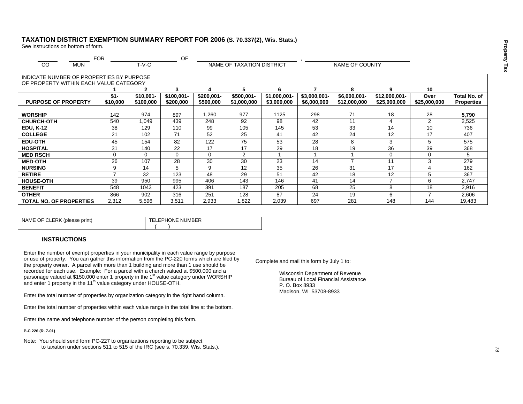# **TAXATION DISTRICT EXEMPTION SUMMARY REPORT FOR 2006 (S. 70.337(2), Wis. Stats.)**

See instructions on bottom of form.

|                                          | <b>FOR</b>               |             | OF           |              |                           |               |               |                |               |                |                   |
|------------------------------------------|--------------------------|-------------|--------------|--------------|---------------------------|---------------|---------------|----------------|---------------|----------------|-------------------|
| <sub>CO</sub><br><b>MUN</b>              |                          | $T-V-C$     |              |              | NAME OF TAXATION DISTRICT |               |               | NAME OF COUNTY |               |                |                   |
|                                          |                          |             |              |              |                           |               |               |                |               |                |                   |
| INDICATE NUMBER OF PROPERTIES BY PURPOSE |                          |             |              |              |                           |               |               |                |               |                |                   |
| OF PROPERTY WITHIN EACH VALUE CATEGORY   |                          |             |              |              |                           |               |               |                |               |                |                   |
|                                          |                          | 2           | 3            | 4            | 5                         | 6             |               | 8              | 9             | 10             |                   |
|                                          | $$1-$                    | $$10.001 -$ | $$100.001 -$ | $$200.001 -$ | \$500,001-                | $$1,000,001-$ | $$3,000,001-$ | $$6,000,001-$  | \$12,000,001- | Over           | Total No. of      |
| <b>PURPOSE OF PROPERTY</b>               | \$10,000                 | \$100,000   | \$200,000    | \$500,000    | \$1,000,000               | \$3,000,000   | \$6,000,000   | \$12,000,000   | \$25,000,000  | \$25,000,000   | <b>Properties</b> |
|                                          |                          |             |              |              |                           |               |               |                |               |                |                   |
| <b>WORSHIP</b>                           | 142                      | 974         | 897          | ,260         | 977                       | 1125          | 298           | 71             | 18            | 28             | 5,790             |
| <b>CHURCH-OTH</b>                        | 540                      | 1.049       | 439          | 248          | 92                        | 98            | 42            | 11             | 4             | 2              | 2,525             |
| <b>EDU, K-12</b>                         | 38                       | 129         | 110          | 99           | 105                       | 145           | 53            | 33             | 14            | 10             | 736               |
| <b>COLLEGE</b>                           | 21                       | 102         | 71           | 52           | 25                        | 41            | 42            | 24             | 12            | 17             | 407               |
| <b>EDU-OTH</b>                           | 45                       | 154         | 82           | 122          | 75                        | 53            | 28            | 8              | 3             | 5              | 575               |
| <b>HOSPITAL</b>                          | 31                       | 140         | 22           | 17           | 17                        | 29            | 18            | 19             | 36            | 39             | 368               |
| <b>MED RSCH</b>                          | 0                        | 0           | $\mathbf 0$  | 0            | 2                         |               |               |                | 0             | 0              | 5                 |
| <b>MED-OTH</b>                           | 26                       | 107         | 28           | 30           | 30                        | 23            | 14            | $\overline{ }$ | 11            | 3              | 279               |
| <b>NURSING</b>                           | 9                        | 14          | 5            | 9            | 12                        | 35            | 26            | 31             | 17            | $\overline{4}$ | 162               |
| <b>RETIRE</b>                            | $\overline{\phantom{a}}$ | 32          | 123          | 48           | 29                        | 51            | 42            | 18             | 12            | 5              | 367               |
| <b>HOUSE-OTH</b>                         | 39                       | 950         | 995          | 406          | 143                       | 146           | 41            | 14             | ⇁             | 6              | 2,747             |
| <b>BENEFIT</b>                           | 548                      | 1043        | 423          | 391          | 187                       | 205           | 68            | 25             | 8             | 18             | 2,916             |
| <b>OTHER</b>                             | 866                      | 902         | 316          | 251          | 128                       | 87            | 24            | 19             | 6             |                | 2,606             |
| <b>TOTAL NO. OF PROPERTIES</b>           | 2,312                    | 5,596       | 3,511        | 2,933        | 822. ا                    | 2,039         | 697           | 281            | 148           | 144            | 19,483            |

| NAME OF CLERK (please print) | TELEPHONE NUMBER |
|------------------------------|------------------|
|                              |                  |

## **INSTRUCTIONS**

Enter the number of exempt properties in your municipality in each value range by purpose or use of property. You can gather this information from the PC-220 forms which are filed by the property owner. A parcel with more than 1 building and more than 1 use should be recorded for each use. Example: For a parcel with a church valued at \$500,000 and a parsonage valued at \$150,000 enter 1 property in the 1<sup>st</sup> value category under WORSHIP and enter 1 property in the 11<sup>th</sup> value category under HOUSE-OTH.

Enter the total number of properties by organization category in the right hand column.

Enter the total number of properties within each value range in the total line at the bottom.

Enter the name and telephone number of the person completing this form.

**P-C 226 (R. 7-01)** 

Note: You should send form PC-227 to organizations reporting to be subject to taxation under sections 511 to 515 of the IRC (see s. 70.339, Wis. Stats.). Complete and mail this form by July 1 to:

Wisconsin Department of Revenue Bureau of Local Financial Assistance P. O. Box 8933 Madison, WI 53708-8933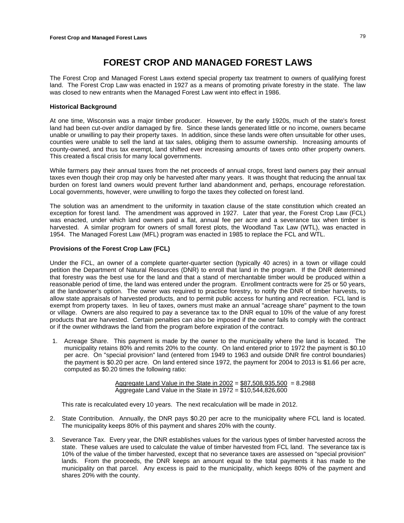# **FOREST CROP AND MANAGED FOREST LAWS**

The Forest Crop and Managed Forest Laws extend special property tax treatment to owners of qualifying forest land. The Forest Crop Law was enacted in 1927 as a means of promoting private forestry in the state. The law was closed to new entrants when the Managed Forest Law went into effect in 1986.

# **Historical Background**

At one time, Wisconsin was a major timber producer. However, by the early 1920s, much of the state's forest land had been cut-over and/or damaged by fire. Since these lands generated little or no income, owners became unable or unwilling to pay their property taxes. In addition, since these lands were often unsuitable for other uses, counties were unable to sell the land at tax sales, obliging them to assume ownership. Increasing amounts of county-owned, and thus tax exempt, land shifted ever increasing amounts of taxes onto other property owners. This created a fiscal crisis for many local governments.

While farmers pay their annual taxes from the net proceeds of annual crops, forest land owners pay their annual taxes even though their crop may only be harvested after many years. It was thought that reducing the annual tax burden on forest land owners would prevent further land abandonment and, perhaps, encourage reforestation. Local governments, however, were unwilling to forgo the taxes they collected on forest land.

The solution was an amendment to the uniformity in taxation clause of the state constitution which created an exception for forest land. The amendment was approved in 1927. Later that year, the Forest Crop Law (FCL) was enacted, under which land owners paid a flat, annual fee per acre and a severance tax when timber is harvested. A similar program for owners of small forest plots, the Woodland Tax Law (WTL), was enacted in 1954. The Managed Forest Law (MFL) program was enacted in 1985 to replace the FCL and WTL.

# **Provisions of the Forest Crop Law (FCL)**

Under the FCL, an owner of a complete quarter-quarter section (typically 40 acres) in a town or village could petition the Department of Natural Resources (DNR) to enroll that land in the program. If the DNR determined that forestry was the best use for the land and that a stand of merchantable timber would be produced within a reasonable period of time, the land was entered under the program. Enrollment contracts were for 25 or 50 years, at the landowner's option. The owner was required to practice forestry, to notify the DNR of timber harvests, to allow state appraisals of harvested products, and to permit public access for hunting and recreation. FCL land is exempt from property taxes. In lieu of taxes, owners must make an annual "acreage share" payment to the town or village. Owners are also required to pay a severance tax to the DNR equal to 10% of the value of any forest products that are harvested. Certain penalties can also be imposed if the owner fails to comply with the contract or if the owner withdraws the land from the program before expiration of the contract.

1. Acreage Share. This payment is made by the owner to the municipality where the land is located. The municipality retains 80% and remits 20% to the county. On land entered prior to 1972 the payment is \$0.10 per acre. On "special provision" land (entered from 1949 to 1963 and outside DNR fire control boundaries) the payment is \$0.20 per acre. On land entered since 1972, the payment for 2004 to 2013 is \$1.66 per acre, computed as \$0.20 times the following ratio:

> Aggregate Land Value in the State in  $2002 = $87,508,935,500 = 8.2988$ Aggregate Land Value in the State in 1972 = \$10,544,826,600

This rate is recalculated every 10 years. The next recalculation will be made in 2012.

- 2. State Contribution. Annually, the DNR pays \$0.20 per acre to the municipality where FCL land is located. The municipality keeps 80% of this payment and shares 20% with the county.
- 3. Severance Tax. Every year, the DNR establishes values for the various types of timber harvested across the state. These values are used to calculate the value of timber harvested from FCL land. The severance tax is 10% of the value of the timber harvested, except that no severance taxes are assessed on "special provision" lands. From the proceeds, the DNR keeps an amount equal to the total payments it has made to the municipality on that parcel. Any excess is paid to the municipality, which keeps 80% of the payment and shares 20% with the county.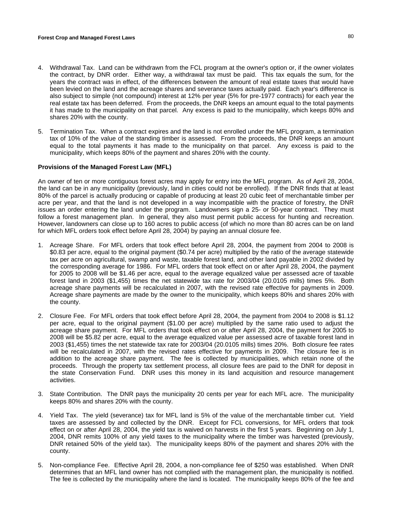- 4. Withdrawal Tax. Land can be withdrawn from the FCL program at the owner's option or, if the owner violates the contract, by DNR order. Either way, a withdrawal tax must be paid. This tax equals the sum, for the years the contract was in effect, of the differences between the amount of real estate taxes that would have been levied on the land and the acreage shares and severance taxes actually paid. Each year's difference is also subject to simple (not compound) interest at 12% per year (5% for pre-1977 contracts) for each year the real estate tax has been deferred. From the proceeds, the DNR keeps an amount equal to the total payments it has made to the municipality on that parcel. Any excess is paid to the municipality, which keeps 80% and shares 20% with the county.
- 5. Termination Tax. When a contract expires and the land is not enrolled under the MFL program, a termination tax of 10% of the value of the standing timber is assessed. From the proceeds, the DNR keeps an amount equal to the total payments it has made to the municipality on that parcel. Any excess is paid to the municipality, which keeps 80% of the payment and shares 20% with the county.

## **Provisions of the Managed Forest Law (MFL)**

An owner of ten or more contiguous forest acres may apply for entry into the MFL program. As of April 28, 2004, the land can be in any municipality (previously, land in cities could not be enrolled). If the DNR finds that at least 80% of the parcel is actually producing or capable of producing at least 20 cubic feet of merchantable timber per acre per year, and that the land is not developed in a way incompatible with the practice of forestry, the DNR issues an order entering the land under the program. Landowners sign a 25- or 50-year contract. They must follow a forest management plan. In general, they also must permit public access for hunting and recreation. However, landowners can close up to 160 acres to public access (of which no more than 80 acres can be on land for which MFL orders took effect before April 28, 2004) by paying an annual closure fee.

- 1. Acreage Share. For MFL orders that took effect before April 28, 2004, the payment from 2004 to 2008 is \$0.83 per acre, equal to the original payment (\$0.74 per acre) multiplied by the ratio of the average statewide tax per acre on agricultural, swamp and waste, taxable forest land, and other land payable in 2002 divided by the corresponding average for 1986. For MFL orders that took effect on or after April 28, 2004, the payment for 2005 to 2008 will be \$1.46 per acre, equal to the average equalized value per assessed acre of taxable forest land in 2003 (\$1,455) times the net statewide tax rate for 2003/04 (20.0105 mills) times 5%. Both acreage share payments will be recalculated in 2007, with the revised rate effective for payments in 2009. Acreage share payments are made by the owner to the municipality, which keeps 80% and shares 20% with the county.
- 2. Closure Fee. For MFL orders that took effect before April 28, 2004, the payment from 2004 to 2008 is \$1.12 per acre, equal to the original payment (\$1.00 per acre) multiplied by the same ratio used to adjust the acreage share payment. For MFL orders that took effect on or after April 28, 2004, the payment for 2005 to 2008 will be \$5.82 per acre, equal to the average equalized value per assessed acre of taxable forest land in 2003 (\$1,455) times the net statewide tax rate for 2003/04 (20.0105 mills) times 20%. Both closure fee rates will be recalculated in 2007, with the revised rates effective for payments in 2009. The closure fee is in addition to the acreage share payment. The fee is collected by municipalities, which retain none of the proceeds. Through the property tax settlement process, all closure fees are paid to the DNR for deposit in the state Conservation Fund. DNR uses this money in its land acquisition and resource management activities.
- 3. State Contribution. The DNR pays the municipality 20 cents per year for each MFL acre. The municipality keeps 80% and shares 20% with the county.
- 4. Yield Tax. The yield (severance) tax for MFL land is 5% of the value of the merchantable timber cut. Yield taxes are assessed by and collected by the DNR. Except for FCL conversions, for MFL orders that took effect on or after April 28, 2004, the yield tax is waived on harvests in the first 5 years. Beginning on July 1, 2004, DNR remits 100% of any yield taxes to the municipality where the timber was harvested (previously, DNR retained 50% of the yield tax). The municipality keeps 80% of the payment and shares 20% with the county.
- 5. Non-compliance Fee. Effective April 28, 2004, a non-compliance fee of \$250 was established. When DNR determines that an MFL land owner has not complied with the management plan, the municipality is notified. The fee is collected by the municipality where the land is located. The municipality keeps 80% of the fee and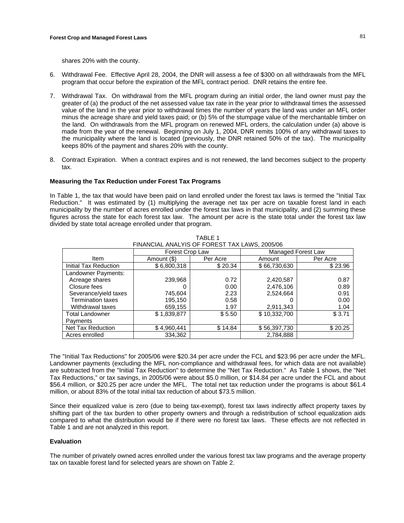shares 20% with the county.

- 6. Withdrawal Fee. Effective April 28, 2004, the DNR will assess a fee of \$300 on all withdrawals from the MFL program that occur before the expiration of the MFL contract period. DNR retains the entire fee.
- 7. Withdrawal Tax. On withdrawal from the MFL program during an initial order, the land owner must pay the greater of (a) the product of the net assessed value tax rate in the year prior to withdrawal times the assessed value of the land in the year prior to withdrawal times the number of years the land was under an MFL order minus the acreage share and yield taxes paid; or (b) 5% of the stumpage value of the merchantable timber on the land. On withdrawals from the MFL program on renewed MFL orders, the calculation under (a) above is made from the year of the renewal. Beginning on July 1, 2004, DNR remits 100% of any withdrawal taxes to the municipality where the land is located (previously, the DNR retained 50% of the tax). The municipality keeps 80% of the payment and shares 20% with the county.
- 8. Contract Expiration. When a contract expires and is not renewed, the land becomes subject to the property tax.

# **Measuring the Tax Reduction under Forest Tax Programs**

In Table 1, the tax that would have been paid on land enrolled under the forest tax laws is termed the "Initial Tax Reduction." It was estimated by (1) multiplying the average net tax per acre on taxable forest land in each municipality by the number of acres enrolled under the forest tax laws in that municipality, and (2) summing these figures across the state for each forest tax law. The amount per acre is the state total under the forest tax law divided by state total acreage enrolled under that program.

TABLE 1

| FINANCIAL ANALYIS OF FOREST TAX LAWS, 2005/06 |                 |          |                           |          |  |  |
|-----------------------------------------------|-----------------|----------|---------------------------|----------|--|--|
|                                               | Forest Crop Law |          | <b>Managed Forest Law</b> |          |  |  |
| Item                                          | Amount (\$)     | Per Acre | Amount                    | Per Acre |  |  |
| Initial Tax Reduction                         | \$6,800,318     | \$20.34  | \$66,730,630              | \$23.96  |  |  |
| Landowner Payments:                           |                 |          |                           |          |  |  |
| Acreage shares                                | 239,968         | 0.72     | 2,420,587                 | 0.87     |  |  |
| Closure fees                                  |                 | 0.00     | 2,476,106                 | 0.89     |  |  |
| Severance/yield taxes                         | 745,604         | 2.23     | 2,524,664                 | 0.91     |  |  |
| <b>Termination taxes</b>                      | 195,150         | 0.58     |                           | 0.00     |  |  |
| Withdrawal taxes                              | 659,155         | 1.97     | 2,911,343                 | 1.04     |  |  |
| <b>Total Landowner</b>                        | \$1,839,877     | \$5.50   | \$10,332,700              | \$3.71   |  |  |
| Payments                                      |                 |          |                           |          |  |  |
| Net Tax Reduction                             | \$4,960,441     | \$14.84  | \$56,397,730              | \$20.25  |  |  |
| Acres enrolled                                | 334,362         |          | 2,784,888                 |          |  |  |

The "Initial Tax Reductions" for 2005/06 were \$20.34 per acre under the FCL and \$23.96 per acre under the MFL. Landowner payments (excluding the MFL non-compliance and withdrawal fees, for which data are not available) are subtracted from the "Initial Tax Reduction" to determine the "Net Tax Reduction." As Table 1 shows, the "Net Tax Reductions," or tax savings, in 2005/06 were about \$5.0 million, or \$14.84 per acre under the FCL and about \$56.4 million, or \$20.25 per acre under the MFL. The total net tax reduction under the programs is about \$61.4 million, or about 83% of the total initial tax reduction of about \$73.5 million.

Since their equalized value is zero (due to being tax-exempt), forest tax laws indirectly affect property taxes by shifting part of the tax burden to other property owners and through a redistribution of school equalization aids compared to what the distribution would be if there were no forest tax laws. These effects are not reflected in Table 1 and are not analyzed in this report.

# **Evaluation**

The number of privately owned acres enrolled under the various forest tax law programs and the average property tax on taxable forest land for selected years are shown on Table 2.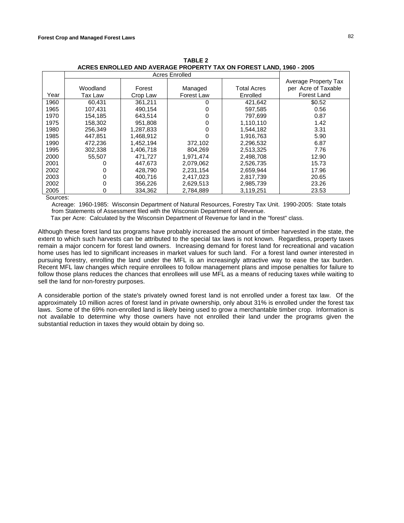|      |          |           |            |                    | Average Property Tax |
|------|----------|-----------|------------|--------------------|----------------------|
|      | Woodland | Forest    | Managed    | <b>Total Acres</b> | per Acre of Taxable  |
| Year | Tax Law  | Crop Law  | Forest Law | Enrolled           | <b>Forest Land</b>   |
| 1960 | 60.431   | 361.211   | 0          | 421,642            | \$0.52               |
| 1965 | 107.431  | 490.154   | 0          | 597,585            | 0.56                 |
| 1970 | 154.185  | 643.514   | 0          | 797.699            | 0.87                 |
| 1975 | 158,302  | 951,808   | 0          | 1,110,110          | 1.42                 |
| 1980 | 256.349  | 1,287,833 | 0          | 1.544.182          | 3.31                 |
| 1985 | 447.851  | 1,468,912 | 0          | 1,916,763          | 5.90                 |
| 1990 | 472,236  | 1,452,194 | 372,102    | 2,296,532          | 6.87                 |
| 1995 | 302,338  | 1,406,718 | 804,269    | 2,513,325          | 7.76                 |
| 2000 | 55.507   | 471.727   | 1.971.474  | 2,498,708          | 12.90                |
| 2001 |          | 447.673   | 2.079.062  | 2,526,735          | 15.73                |
| 2002 |          | 428.790   | 2.231.154  | 2,659,944          | 17.96                |
| 2003 | 0        | 400.716   | 2,417,023  | 2,817,739          | 20.65                |
| 2002 | 0        | 356,226   | 2,629,513  | 2,985,739          | 23.26                |
| 2005 | 0        | 334.362   | 2.784.889  | 3.119.251          | 23.53                |

**TABLE 2 ACRES ENROLLED AND AVERAGE PROPERTY TAX ON FOREST LAND, 1960 - 2005**

Sources:

Acreage: 1960-1985: Wisconsin Department of Natural Resources, Forestry Tax Unit. 1990-2005: State totals from Statements of Assessment filed with the Wisconsin Department of Revenue.

Tax per Acre: Calculated by the Wisconsin Department of Revenue for land in the "forest" class.

Although these forest land tax programs have probably increased the amount of timber harvested in the state, the extent to which such harvests can be attributed to the special tax laws is not known. Regardless, property taxes remain a major concern for forest land owners. Increasing demand for forest land for recreational and vacation home uses has led to significant increases in market values for such land. For a forest land owner interested in pursuing forestry, enrolling the land under the MFL is an increasingly attractive way to ease the tax burden. Recent MFL law changes which require enrollees to follow management plans and impose penalties for failure to follow those plans reduces the chances that enrollees will use MFL as a means of reducing taxes while waiting to sell the land for non-forestry purposes.

A considerable portion of the state's privately owned forest land is not enrolled under a forest tax law. Of the approximately 10 million acres of forest land in private ownership, only about 31% is enrolled under the forest tax laws. Some of the 69% non-enrolled land is likely being used to grow a merchantable timber crop. Information is not available to determine why those owners have not enrolled their land under the programs given the substantial reduction in taxes they would obtain by doing so.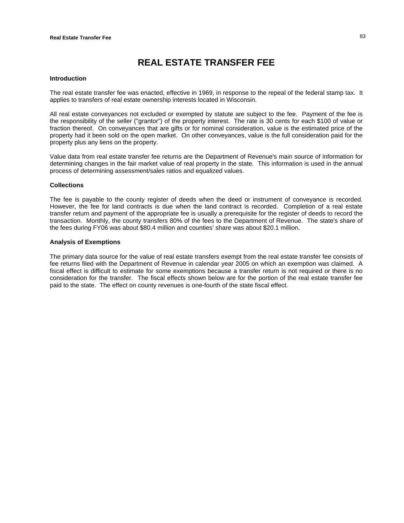# **REAL ESTATE TRANSFER FEE**

#### **Introduction**

The real estate transfer fee was enacted, effective in 1969, in response to the repeal of the federal stamp tax. It applies to transfers of real estate ownership interests located in Wisconsin.

All real estate conveyances not excluded or exempted by statute are subject to the fee. Payment of the fee is the responsibility of the seller ("grantor") of the property interest. The rate is 30 cents for each \$100 of value or fraction thereof. On conveyances that are gifts or for nominal consideration, value is the estimated price of the property had it been sold on the open market. On other conveyances, value is the full consideration paid for the property plus any liens on the property.

Value data from real estate transfer fee returns are the Department of Revenue's main source of information for determining changes in the fair market value of real property in the state. This information is used in the annual process of determining assessment/sales ratios and equalized values.

## **Collections**

The fee is payable to the county register of deeds when the deed or instrument of conveyance is recorded. However, the fee for land contracts is due when the land contract is recorded. Completion of a real estate transfer return and payment of the appropriate fee is usually a prerequisite for the register of deeds to record the transaction. Monthly, the county transfers 80% of the fees to the Department of Revenue. The state's share of the fees during FY06 was about \$80.4 million and counties' share was about \$20.1 million.

## **Analysis of Exemptions**

The primary data source for the value of real estate transfers exempt from the real estate transfer fee consists of fee returns filed with the Department of Revenue in calendar year 2005 on which an exemption was claimed. A fiscal effect is difficult to estimate for some exemptions because a transfer return is not required or there is no consideration for the transfer. The fiscal effects shown below are for the portion of the real estate transfer fee paid to the state. The effect on county revenues is one-fourth of the state fiscal effect.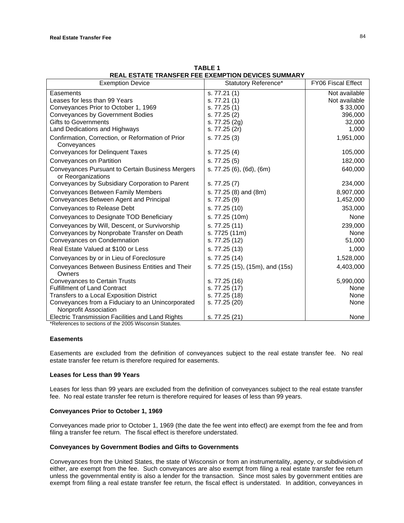| <b>Exemption Device</b>                                                | Statutory Reference*            | <b>FY06 Fiscal Effect</b> |
|------------------------------------------------------------------------|---------------------------------|---------------------------|
| Easements                                                              | s. 77.21(1)                     | Not available             |
| Leases for less than 99 Years                                          | s. 77.21(1)                     | Not available             |
| Conveyances Prior to October 1, 1969                                   | s. 77.25(1)                     | \$33,000                  |
| Conveyances by Government Bodies                                       | s. 77.25 (2)                    | 396,000                   |
| <b>Gifts to Governments</b>                                            | s. 77.25 (2g)                   | 32,000                    |
| Land Dedications and Highways                                          | s. 77.25 (2r)                   | 1,000                     |
| Confirmation, Correction, or Reformation of Prior<br>Conveyances       | s. 77.25 (3)                    | 1,951,000                 |
| Conveyances for Delinquent Taxes                                       | s. 77.25 (4)                    | 105,000                   |
| Conveyances on Partition                                               | s. 77.25 (5)                    | 182,000                   |
| Conveyances Pursuant to Certain Business Mergers<br>or Reorganizations | s. 77.25 (6), (6d), (6m)        | 640,000                   |
| Conveyances by Subsidiary Corporation to Parent                        | s. 77.25 (7)                    | 234,000                   |
| Conveyances Between Family Members                                     | s. 77.25 (8) and (8m)           | 8,907,000                 |
| Conveyances Between Agent and Principal                                | s. 77.25 (9)                    | 1,452,000                 |
| Conveyances to Release Debt                                            | s. 77.25 (10)                   | 353,000                   |
| Conveyances to Designate TOD Beneficiary                               | s. 77.25 (10m)                  | None                      |
| Conveyances by Will, Descent, or Survivorship                          | s. 77.25 (11)                   | 239,000                   |
| Conveyances by Nonprobate Transfer on Death                            | s. 7725 (11m)                   | None                      |
| Conveyances on Condemnation                                            | s. 77.25 (12)                   | 51,000                    |
| Real Estate Valued at \$100 or Less                                    | s. 77.25 (13)                   | 1,000                     |
| Conveyances by or in Lieu of Foreclosure                               | s. 77.25 (14)                   | 1,528,000                 |
| Conveyances Between Business Entities and Their<br>Owners              | s. 77.25 (15), (15m), and (15s) | 4,403,000                 |
| <b>Conveyances to Certain Trusts</b>                                   | s. 77.25 (16)                   | 5,990,000                 |
| <b>Fulfillment of Land Contract</b>                                    | s. 77.25 (17)                   | None                      |
| Transfers to a Local Exposition District                               | s. 77.25 (18)                   | None                      |
| Conveyances from a Fiduciary to an Unincorporated                      | s. 77.25 (20)                   | None                      |
| Nonprofit Association                                                  |                                 |                           |
| <b>Electric Transmission Facilities and Land Rights</b>                | s. 77.25 (21)                   | None                      |

**TABLE 1 REAL ESTATE TRANSFER FEE EXEMPTION DEVICES SUMMARY**

\*References to sections of the 2005 Wisconsin Statutes.

## **Easements**

Easements are excluded from the definition of conveyances subject to the real estate transfer fee. No real estate transfer fee return is therefore required for easements.

## **Leases for Less than 99 Years**

Leases for less than 99 years are excluded from the definition of conveyances subject to the real estate transfer fee. No real estate transfer fee return is therefore required for leases of less than 99 years.

## **Conveyances Prior to October 1, 1969**

Conveyances made prior to October 1, 1969 (the date the fee went into effect) are exempt from the fee and from filing a transfer fee return. The fiscal effect is therefore understated.

# **Conveyances by Government Bodies and Gifts to Governments**

Conveyances from the United States, the state of Wisconsin or from an instrumentality, agency, or subdivision of either, are exempt from the fee. Such conveyances are also exempt from filing a real estate transfer fee return unless the governmental entity is also a lender for the transaction. Since most sales by government entities are exempt from filing a real estate transfer fee return, the fiscal effect is understated. In addition, conveyances in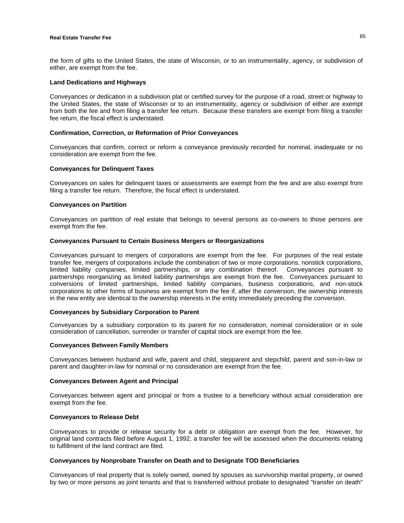# **Real Estate Transfer Fee** 85

the form of gifts to the United States, the state of Wisconsin, or to an instrumentality, agency, or subdivision of either, are exempt from the fee.

#### **Land Dedications and Highways**

Conveyances or dedication in a subdivision plat or certified survey for the purpose of a road, street or highway to the United States, the state of Wisconsin or to an instrumentality, agency or subdivision of either are exempt from both the fee and from filing a transfer fee return. Because these transfers are exempt from filing a transfer fee return, the fiscal effect is understated.

### **Confirmation, Correction, or Reformation of Prior Conveyances**

Conveyances that confirm, correct or reform a conveyance previously recorded for nominal, inadequate or no consideration are exempt from the fee.

#### **Conveyances for Delinquent Taxes**

Conveyances on sales for delinquent taxes or assessments are exempt from the fee and are also exempt from filing a transfer fee return. Therefore, the fiscal effect is understated.

#### **Conveyances on Partition**

Conveyances on partition of real estate that belongs to several persons as co-owners to those persons are exempt from the fee.

#### **Conveyances Pursuant to Certain Business Mergers or Reorganizations**

Conveyances pursuant to mergers of corporations are exempt from the fee. For purposes of the real estate transfer fee, mergers of corporations include the combination of two or more corporations, nonstick corporations, limited liability companies, limited partnerships, or any combination thereof. Conveyances pursuant to partnerships reorganizing as limited liability partnerships are exempt from the fee. Conveyances pursuant to conversions of limited partnerships, limited liability companies, business corporations, and non-stock corporations to other forms of business are exempt from the fee if, after the conversion, the ownership interests in the new entity are identical to the ownership interests in the entity immediately preceding the conversion.

# **Conveyances by Subsidiary Corporation to Parent**

Conveyances by a subsidiary corporation to its parent for no consideration, nominal consideration or in sole consideration of cancellation, surrender or transfer of capital stock are exempt from the fee.

#### **Conveyances Between Family Members**

Conveyances between husband and wife, parent and child, stepparent and stepchild, parent and son-in-law or parent and daughter-in-law for nominal or no consideration are exempt from the fee.

## **Conveyances Between Agent and Principal**

Conveyances between agent and principal or from a trustee to a beneficiary without actual consideration are exempt from the fee.

#### **Conveyances to Release Debt**

Conveyances to provide or release security for a debt or obligation are exempt from the fee. However, for original land contracts filed before August 1, 1992, a transfer fee will be assessed when the documents relating to fulfillment of the land contract are filed.

# **Conveyances by Nonprobate Transfer on Death and to Designate TOD Beneficiaries**

Conveyances of real property that is solely owned, owned by spouses as survivorship marital property, or owned by two or more persons as joint tenants and that is transferred without probate to designated "transfer on death"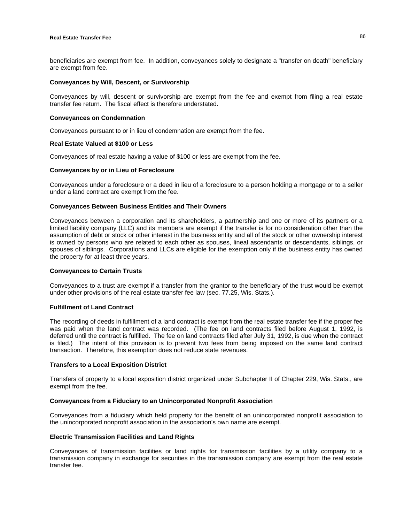beneficiaries are exempt from fee. In addition, conveyances solely to designate a "transfer on death" beneficiary are exempt from fee.

## **Conveyances by Will, Descent, or Survivorship**

Conveyances by will, descent or survivorship are exempt from the fee and exempt from filing a real estate transfer fee return. The fiscal effect is therefore understated.

## **Conveyances on Condemnation**

Conveyances pursuant to or in lieu of condemnation are exempt from the fee.

## **Real Estate Valued at \$100 or Less**

Conveyances of real estate having a value of \$100 or less are exempt from the fee.

## **Conveyances by or in Lieu of Foreclosure**

Conveyances under a foreclosure or a deed in lieu of a foreclosure to a person holding a mortgage or to a seller under a land contract are exempt from the fee.

# **Conveyances Between Business Entities and Their Owners**

Conveyances between a corporation and its shareholders, a partnership and one or more of its partners or a limited liability company (LLC) and its members are exempt if the transfer is for no consideration other than the assumption of debt or stock or other interest in the business entity and all of the stock or other ownership interest is owned by persons who are related to each other as spouses, lineal ascendants or descendants, siblings, or spouses of siblings. Corporations and LLCs are eligible for the exemption only if the business entity has owned the property for at least three years.

### **Conveyances to Certain Trusts**

Conveyances to a trust are exempt if a transfer from the grantor to the beneficiary of the trust would be exempt under other provisions of the real estate transfer fee law (sec. 77.25, Wis. Stats.).

# **Fulfillment of Land Contract**

The recording of deeds in fulfillment of a land contract is exempt from the real estate transfer fee if the proper fee was paid when the land contract was recorded. (The fee on land contracts filed before August 1, 1992, is deferred until the contract is fulfilled. The fee on land contracts filed after July 31, 1992, is due when the contract is filed.) The intent of this provision is to prevent two fees from being imposed on the same land contract transaction. Therefore, this exemption does not reduce state revenues.

### **Transfers to a Local Exposition District**

Transfers of property to a local exposition district organized under Subchapter II of Chapter 229, Wis. Stats., are exempt from the fee.

### **Conveyances from a Fiduciary to an Unincorporated Nonprofit Association**

Conveyances from a fiduciary which held property for the benefit of an unincorporated nonprofit association to the unincorporated nonprofit association in the association's own name are exempt.

## **Electric Transmission Facilities and Land Rights**

Conveyances of transmission facilities or land rights for transmission facilities by a utility company to a transmission company in exchange for securities in the transmission company are exempt from the real estate transfer fee.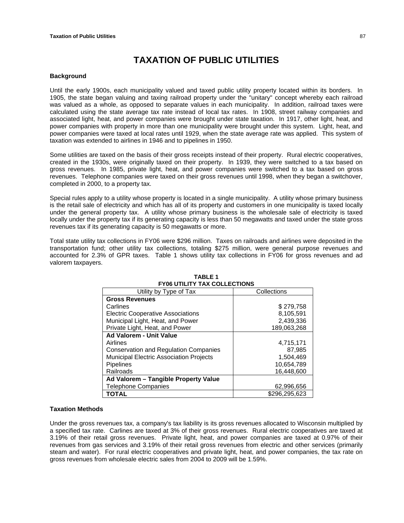# **TAXATION OF PUBLIC UTILITIES**

## **Background**

Until the early 1900s, each municipality valued and taxed public utility property located within its borders. In 1905, the state began valuing and taxing railroad property under the "unitary" concept whereby each railroad was valued as a whole, as opposed to separate values in each municipality. In addition, railroad taxes were calculated using the state average tax rate instead of local tax rates. In 1908, street railway companies and associated light, heat, and power companies were brought under state taxation. In 1917, other light, heat, and power companies with property in more than one municipality were brought under this system. Light, heat, and power companies were taxed at local rates until 1929, when the state average rate was applied. This system of taxation was extended to airlines in 1946 and to pipelines in 1950.

Some utilities are taxed on the basis of their gross receipts instead of their property. Rural electric cooperatives, created in the 1930s, were originally taxed on their property. In 1939, they were switched to a tax based on gross revenues. In 1985, private light, heat, and power companies were switched to a tax based on gross revenues. Telephone companies were taxed on their gross revenues until 1998, when they began a switchover, completed in 2000, to a property tax.

Special rules apply to a utility whose property is located in a single municipality. A utility whose primary business is the retail sale of electricity and which has all of its property and customers in one municipality is taxed locally under the general property tax. A utility whose primary business is the wholesale sale of electricity is taxed locally under the property tax if its generating capacity is less than 50 megawatts and taxed under the state gross revenues tax if its generating capacity is 50 megawatts or more.

Total state utility tax collections in FY06 were \$296 million. Taxes on railroads and airlines were deposited in the transportation fund; other utility tax collections, totaling \$275 million, were general purpose revenues and accounted for 2.3% of GPR taxes. Table 1 shows utility tax collections in FY06 for gross revenues and ad valorem taxpayers.

| FIVO UTILITT TAA GULLEGITUNS                   |               |  |  |  |  |
|------------------------------------------------|---------------|--|--|--|--|
| Utility by Type of Tax                         | Collections   |  |  |  |  |
| <b>Gross Revenues</b>                          |               |  |  |  |  |
| Carlines                                       | \$279,758     |  |  |  |  |
| <b>Electric Cooperative Associations</b>       | 8,105,591     |  |  |  |  |
| Municipal Light, Heat, and Power               | 2,439,336     |  |  |  |  |
| Private Light, Heat, and Power                 | 189.063.268   |  |  |  |  |
| <b>Ad Valorem - Unit Value</b>                 |               |  |  |  |  |
| Airlines                                       | 4,715,171     |  |  |  |  |
| <b>Conservation and Regulation Companies</b>   | 87,985        |  |  |  |  |
| <b>Municipal Electric Association Projects</b> | 1,504,469     |  |  |  |  |
| <b>Pipelines</b>                               | 10,654,789    |  |  |  |  |
| Railroads                                      | 16,448,600    |  |  |  |  |
| Ad Valorem - Tangible Property Value           |               |  |  |  |  |
| <b>Telephone Companies</b>                     | 62,996,656    |  |  |  |  |
| <b>TOTAL</b>                                   | \$296,295,623 |  |  |  |  |

#### **TABLE 1 FY06 UTILITY TAX COLLECTIONS**

# **Taxation Methods**

Under the gross revenues tax, a company's tax liability is its gross revenues allocated to Wisconsin multiplied by a specified tax rate. Carlines are taxed at 3% of their gross revenues. Rural electric cooperatives are taxed at 3.19% of their retail gross revenues. Private light, heat, and power companies are taxed at 0.97% of their revenues from gas services and 3.19% of their retail gross revenues from electric and other services (primarily steam and water). For rural electric cooperatives and private light, heat, and power companies, the tax rate on gross revenues from wholesale electric sales from 2004 to 2009 will be 1.59%.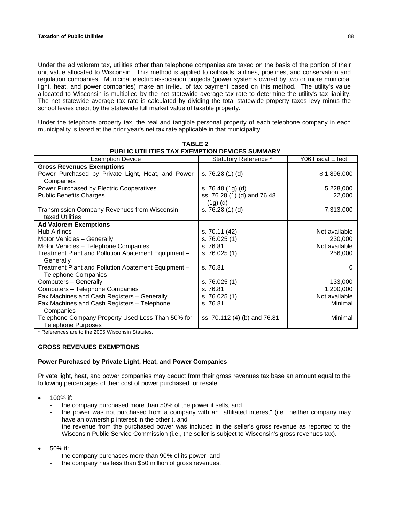Under the ad valorem tax, utilities other than telephone companies are taxed on the basis of the portion of their unit value allocated to Wisconsin. This method is applied to railroads, airlines, pipelines, and conservation and regulation companies. Municipal electric association projects (power systems owned by two or more municipal light, heat, and power companies) make an in-lieu of tax payment based on this method. The utility's value allocated to Wisconsin is multiplied by the net statewide average tax rate to determine the utility's tax liability. The net statewide average tax rate is calculated by dividing the total statewide property taxes levy minus the school levies credit by the statewide full market value of taxable property.

Under the telephone property tax, the real and tangible personal property of each telephone company in each municipality is taxed at the prior year's net tax rate applicable in that municipality.

**TABLE 2** 

| <b>PUBLIC UTILITIES TAX EXEMPTION DEVICES SUMMARY</b>                             |                                        |                           |  |  |  |  |
|-----------------------------------------------------------------------------------|----------------------------------------|---------------------------|--|--|--|--|
| <b>Exemption Device</b>                                                           | Statutory Reference *                  | <b>FY06 Fiscal Effect</b> |  |  |  |  |
| <b>Gross Revenues Exemptions</b>                                                  |                                        |                           |  |  |  |  |
| Power Purchased by Private Light, Heat, and Power<br>Companies                    | s. 76.28 (1) (d)                       | \$1,896,000               |  |  |  |  |
| Power Purchased by Electric Cooperatives                                          | s. 76.48 $(1g)(d)$                     | 5,228,000                 |  |  |  |  |
| <b>Public Benefits Charges</b>                                                    | ss. 76.28 (1) (d) and 76.48<br>(1g)(d) | 22,000                    |  |  |  |  |
| Transmission Company Revenues from Wisconsin-<br>taxed Utilities                  | s. $76.28(1)(d)$                       | 7,313,000                 |  |  |  |  |
| <b>Ad Valorem Exemptions</b>                                                      |                                        |                           |  |  |  |  |
| <b>Hub Airlines</b>                                                               | s. 70.11 (42)                          | Not available             |  |  |  |  |
| Motor Vehicles - Generally                                                        | s. 76.025(1)                           | 230,000                   |  |  |  |  |
| Motor Vehicles - Telephone Companies                                              | s. 76.81                               | Not available             |  |  |  |  |
| Treatment Plant and Pollution Abatement Equipment -<br>Generally                  | s. $76.025(1)$                         | 256,000                   |  |  |  |  |
| Treatment Plant and Pollution Abatement Equipment -<br><b>Telephone Companies</b> | s. 76.81                               | $\Omega$                  |  |  |  |  |
| Computers - Generally                                                             | s. 76.025(1)                           | 133,000                   |  |  |  |  |
| Computers - Telephone Companies                                                   | s. 76.81                               | 1,200,000                 |  |  |  |  |
| Fax Machines and Cash Registers - Generally                                       | s.76.025(1)                            | Not available             |  |  |  |  |
| Fax Machines and Cash Registers - Telephone<br>Companies                          | s. 76.81                               | Minimal                   |  |  |  |  |
| Telephone Company Property Used Less Than 50% for<br>Telephone Purposes           | ss. 70.112 (4) (b) and 76.81           | Minimal                   |  |  |  |  |

\* References are to the 2005 Wisconsin Statutes.

# **GROSS REVENUES EXEMPTIONS**

### **Power Purchased by Private Light, Heat, and Power Companies**

Private light, heat, and power companies may deduct from their gross revenues tax base an amount equal to the following percentages of their cost of power purchased for resale:

- 100% if:
	- the company purchased more than 50% of the power it sells, and
	- the power was not purchased from a company with an "affiliated interest" (i.e., neither company may have an ownership interest in the other ), and
	- the revenue from the purchased power was included in the seller's gross revenue as reported to the Wisconsin Public Service Commission (i.e., the seller is subject to Wisconsin's gross revenues tax).
- 50% if:
	- the company purchases more than 90% of its power, and
	- the company has less than \$50 million of gross revenues.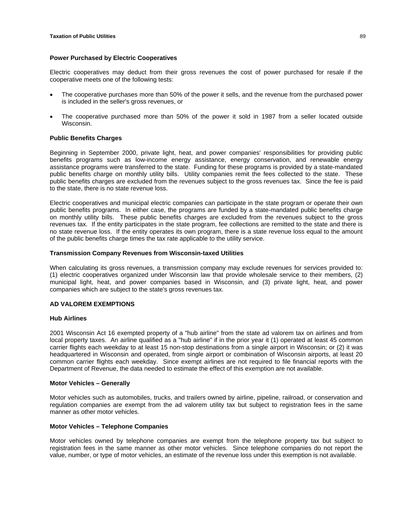# **Power Purchased by Electric Cooperatives**

Electric cooperatives may deduct from their gross revenues the cost of power purchased for resale if the cooperative meets one of the following tests:

- The cooperative purchases more than 50% of the power it sells, and the revenue from the purchased power is included in the seller's gross revenues, or
- The cooperative purchased more than 50% of the power it sold in 1987 from a seller located outside Wisconsin.

# **Public Benefits Charges**

Beginning in September 2000, private light, heat, and power companies' responsibilities for providing public benefits programs such as low-income energy assistance, energy conservation, and renewable energy assistance programs were transferred to the state. Funding for these programs is provided by a state-mandated public benefits charge on monthly utility bills. Utility companies remit the fees collected to the state. These public benefits charges are excluded from the revenues subject to the gross revenues tax. Since the fee is paid to the state, there is no state revenue loss.

Electric cooperatives and municipal electric companies can participate in the state program or operate their own public benefits programs. In either case, the programs are funded by a state-mandated public benefits charge on monthly utility bills. These public benefits charges are excluded from the revenues subject to the gross revenues tax. If the entity participates in the state program, fee collections are remitted to the state and there is no state revenue loss. If the entity operates its own program, there is a state revenue loss equal to the amount of the public benefits charge times the tax rate applicable to the utility service.

# **Transmission Company Revenues from Wisconsin-taxed Utilities**

When calculating its gross revenues, a transmission company may exclude revenues for services provided to: (1) electric cooperatives organized under Wisconsin law that provide wholesale service to their members, (2) municipal light, heat, and power companies based in Wisconsin, and (3) private light, heat, and power companies which are subject to the state's gross revenues tax.

# **AD VALOREM EXEMPTIONS**

### **Hub Airlines**

2001 Wisconsin Act 16 exempted property of a "hub airline" from the state ad valorem tax on airlines and from local property taxes. An airline qualified as a "hub airline" if in the prior year it (1) operated at least 45 common carrier flights each weekday to at least 15 non-stop destinations from a single airport in Wisconsin; or (2) it was headquartered in Wisconsin and operated, from single airport or combination of Wisconsin airports, at least 20 common carrier flights each weekday. Since exempt airlines are not required to file financial reports with the Department of Revenue, the data needed to estimate the effect of this exemption are not available.

# **Motor Vehicles – Generally**

Motor vehicles such as automobiles, trucks, and trailers owned by airline, pipeline, railroad, or conservation and regulation companies are exempt from the ad valorem utility tax but subject to registration fees in the same manner as other motor vehicles.

# **Motor Vehicles – Telephone Companies**

Motor vehicles owned by telephone companies are exempt from the telephone property tax but subject to registration fees in the same manner as other motor vehicles. Since telephone companies do not report the value, number, or type of motor vehicles, an estimate of the revenue loss under this exemption is not available.